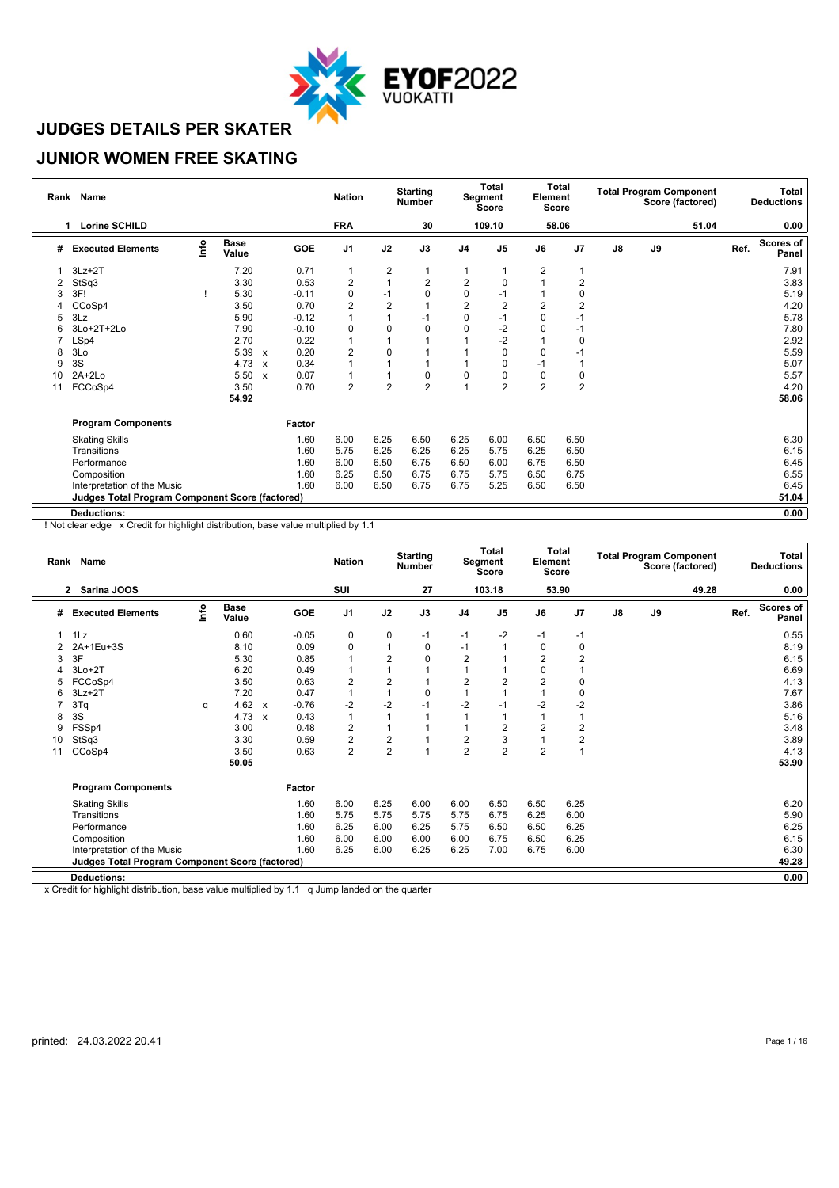

#### **JUNIOR WOMEN FREE SKATING**

| Rank | Name                                                   |      |                      |                           |         | <b>Nation</b>           |                | <b>Starting</b><br><b>Number</b> |                | Total<br>Segment<br><b>Score</b> | Element        | <b>Total</b><br><b>Score</b> |               |    | <b>Total Program Component</b><br>Score (factored) |      | Total<br><b>Deductions</b> |
|------|--------------------------------------------------------|------|----------------------|---------------------------|---------|-------------------------|----------------|----------------------------------|----------------|----------------------------------|----------------|------------------------------|---------------|----|----------------------------------------------------|------|----------------------------|
|      | <b>Lorine SCHILD</b>                                   |      |                      |                           |         | <b>FRA</b>              |                | 30                               |                | 109.10                           |                | 58.06                        |               |    | 51.04                                              |      | 0.00                       |
| #    | <b>Executed Elements</b>                               | Info | <b>Base</b><br>Value |                           | GOE     | J <sub>1</sub>          | J2             | J3                               | J <sub>4</sub> | J <sub>5</sub>                   | J6             | J7                           | $\mathsf{J}8$ | J9 |                                                    | Ref. | <b>Scores of</b><br>Panel  |
|      | $3Lz + 2T$                                             |      | 7.20                 |                           | 0.71    | $\mathbf{1}$            | 2              |                                  | 1              |                                  | 2              |                              |               |    |                                                    |      | 7.91                       |
| 2    | StSq3                                                  |      | 3.30                 |                           | 0.53    | $\overline{\mathbf{c}}$ | 1              | 2                                | $\overline{2}$ |                                  |                | $\overline{2}$               |               |    |                                                    |      | 3.83                       |
| 3    | 3F!                                                    |      | 5.30                 |                           | $-0.11$ | 0                       | $-1$           | 0                                | 0              | -1                               |                | 0                            |               |    |                                                    |      | 5.19                       |
|      | CCoSp4                                                 |      | 3.50                 |                           | 0.70    | $\overline{c}$          | $\overline{2}$ |                                  | $\overline{2}$ | 2                                | $\overline{2}$ | 2                            |               |    |                                                    |      | 4.20                       |
| 5    | 3Lz                                                    |      | 5.90                 |                           | $-0.12$ | 1                       |                | $-1$                             | 0              | -1                               | 0              | -1                           |               |    |                                                    |      | 5.78                       |
| 6    | 3Lo+2T+2Lo                                             |      | 7.90                 |                           | $-0.10$ | 0                       | $\mathbf 0$    | 0                                | 0              | $-2$                             | 0              | -1                           |               |    |                                                    |      | 7.80                       |
|      | LSp4                                                   |      | 2.70                 |                           | 0.22    | $\overline{1}$          |                |                                  |                | $-2$                             |                | $\mathbf 0$                  |               |    |                                                    |      | 2.92                       |
| 8    | 3Lo                                                    |      | 5.39                 | $\boldsymbol{\mathsf{x}}$ | 0.20    | $\overline{c}$          | $\mathbf 0$    |                                  |                | $\Omega$                         | 0              | -1                           |               |    |                                                    |      | 5.59                       |
| 9    | 3S                                                     |      | 4.73                 | $\boldsymbol{\mathsf{x}}$ | 0.34    | 1                       |                |                                  |                |                                  | -1             |                              |               |    |                                                    |      | 5.07                       |
| 10   | $2A+2Lo$                                               |      | 5.50                 | $\mathbf{x}$              | 0.07    | $\overline{1}$          |                | 0                                | 0              | 0                                | 0              | 0                            |               |    |                                                    |      | 5.57                       |
| 11   | FCCoSp4                                                |      | 3.50                 |                           | 0.70    | $\overline{2}$          | $\overline{2}$ | $\overline{2}$                   |                | $\overline{2}$                   | $\overline{2}$ | $\overline{2}$               |               |    |                                                    |      | 4.20                       |
|      |                                                        |      | 54.92                |                           |         |                         |                |                                  |                |                                  |                |                              |               |    |                                                    |      | 58.06                      |
|      | <b>Program Components</b>                              |      |                      |                           | Factor  |                         |                |                                  |                |                                  |                |                              |               |    |                                                    |      |                            |
|      | <b>Skating Skills</b>                                  |      |                      |                           | 1.60    | 6.00                    | 6.25           | 6.50                             | 6.25           | 6.00                             | 6.50           | 6.50                         |               |    |                                                    |      | 6.30                       |
|      | Transitions                                            |      |                      |                           | 1.60    | 5.75                    | 6.25           | 6.25                             | 6.25           | 5.75                             | 6.25           | 6.50                         |               |    |                                                    |      | 6.15                       |
|      | Performance                                            |      |                      |                           | 1.60    | 6.00                    | 6.50           | 6.75                             | 6.50           | 6.00                             | 6.75           | 6.50                         |               |    |                                                    |      | 6.45                       |
|      | Composition                                            |      |                      |                           | 1.60    | 6.25                    | 6.50           | 6.75                             | 6.75           | 5.75                             | 6.50           | 6.75                         |               |    |                                                    |      | 6.55                       |
|      | Interpretation of the Music                            |      |                      |                           | 1.60    | 6.00                    | 6.50           | 6.75                             | 6.75           | 5.25                             | 6.50           | 6.50                         |               |    |                                                    |      | 6.45                       |
|      | <b>Judges Total Program Component Score (factored)</b> |      |                      |                           |         |                         |                |                                  |                |                                  |                |                              |               |    |                                                    |      | 51.04                      |
|      | <b>Deductions:</b>                                     |      |                      |                           |         |                         |                |                                  |                |                                  |                |                              |               |    |                                                    |      | 0.00                       |

! Not clear edge x Credit for highlight distribution, base value multiplied by 1.1

|    | Rank Name                                              |      |                      |                           |         | <b>Nation</b>  |                | <b>Starting</b><br><b>Number</b> |                | Total<br>Segment<br><b>Score</b> | Element        | Total<br><b>Score</b> |               | <b>Total Program Component</b> | Score (factored) |      | <b>Total</b><br><b>Deductions</b> |
|----|--------------------------------------------------------|------|----------------------|---------------------------|---------|----------------|----------------|----------------------------------|----------------|----------------------------------|----------------|-----------------------|---------------|--------------------------------|------------------|------|-----------------------------------|
|    | $\overline{2}$<br>Sarina JOOS                          |      |                      |                           |         | SUI            |                | 27                               |                | 103.18                           |                | 53.90                 |               |                                | 49.28            |      | 0.00                              |
| #  | <b>Executed Elements</b>                               | Info | <b>Base</b><br>Value |                           | GOE     | J <sub>1</sub> | J2             | J3                               | J <sub>4</sub> | J <sub>5</sub>                   | J6             | J <sub>7</sub>        | $\mathsf{J}8$ | J9                             |                  | Ref. | <b>Scores of</b><br>Panel         |
|    | 1Lz                                                    |      | 0.60                 |                           | $-0.05$ | 0              | 0              | $-1$                             | $-1$           | $-2$                             | $-1$           | -1                    |               |                                |                  |      | 0.55                              |
|    | 2A+1Eu+3S                                              |      | 8.10                 |                           | 0.09    | $\mathbf 0$    | 1              | 0                                | $-1$           |                                  | 0              | 0                     |               |                                |                  |      | 8.19                              |
| 3  | 3F                                                     |      | 5.30                 |                           | 0.85    | 1              | $\overline{2}$ | 0                                | $\overline{2}$ |                                  | $\overline{2}$ | $\overline{2}$        |               |                                |                  |      | 6.15                              |
|    | $3Lo+2T$                                               |      | 6.20                 |                           | 0.49    | 1              | 1              |                                  |                |                                  | $\mathbf 0$    |                       |               |                                |                  |      | 6.69                              |
| 5  | FCCoSp4                                                |      | 3.50                 |                           | 0.63    | $\overline{2}$ | $\overline{2}$ |                                  | $\overline{2}$ | $\overline{2}$                   | $\overline{2}$ | 0                     |               |                                |                  |      | 4.13                              |
| 6  | $3Lz + 2T$                                             |      | 7.20                 |                           | 0.47    | 1              | 1              | 0                                |                |                                  |                | 0                     |               |                                |                  |      | 7.67                              |
|    | 3Tq                                                    | q    | 4.62                 | $\boldsymbol{\mathsf{x}}$ | $-0.76$ | $-2$           | $-2$           | $-1$                             | $-2$           | $-1$                             | $-2$           | $-2$                  |               |                                |                  |      | 3.86                              |
| 8  | 3S                                                     |      | 4.73                 | $\boldsymbol{\mathsf{x}}$ | 0.43    | $\overline{1}$ | 1              |                                  |                |                                  |                |                       |               |                                |                  |      | 5.16                              |
| 9  | FSSp4                                                  |      | 3.00                 |                           | 0.48    | 2              | 1              |                                  |                | $\overline{2}$                   | $\overline{2}$ | $\overline{2}$        |               |                                |                  |      | 3.48                              |
| 10 | StSq3                                                  |      | 3.30                 |                           | 0.59    | $\overline{c}$ | 2              |                                  | $\overline{2}$ | 3                                |                | $\overline{2}$        |               |                                |                  |      | 3.89                              |
| 11 | CCoSp4                                                 |      | 3.50                 |                           | 0.63    | $\overline{2}$ | $\overline{2}$ |                                  | $\overline{2}$ | $\overline{2}$                   | $\overline{2}$ | 1                     |               |                                |                  |      | 4.13                              |
|    |                                                        |      | 50.05                |                           |         |                |                |                                  |                |                                  |                |                       |               |                                |                  |      | 53.90                             |
|    | <b>Program Components</b>                              |      |                      |                           | Factor  |                |                |                                  |                |                                  |                |                       |               |                                |                  |      |                                   |
|    | <b>Skating Skills</b>                                  |      |                      |                           | 1.60    | 6.00           | 6.25           | 6.00                             | 6.00           | 6.50                             | 6.50           | 6.25                  |               |                                |                  |      | 6.20                              |
|    | Transitions                                            |      |                      |                           | 1.60    | 5.75           | 5.75           | 5.75                             | 5.75           | 6.75                             | 6.25           | 6.00                  |               |                                |                  |      | 5.90                              |
|    | Performance                                            |      |                      |                           | 1.60    | 6.25           | 6.00           | 6.25                             | 5.75           | 6.50                             | 6.50           | 6.25                  |               |                                |                  |      | 6.25                              |
|    | Composition                                            |      |                      |                           | 1.60    | 6.00           | 6.00           | 6.00                             | 6.00           | 6.75                             | 6.50           | 6.25                  |               |                                |                  |      | 6.15                              |
|    | Interpretation of the Music                            |      |                      |                           | 1.60    | 6.25           | 6.00           | 6.25                             | 6.25           | 7.00                             | 6.75           | 6.00                  |               |                                |                  |      | 6.30                              |
|    | <b>Judges Total Program Component Score (factored)</b> |      |                      |                           |         |                |                |                                  |                |                                  |                |                       |               |                                |                  |      | 49.28                             |
|    | <b>Deductions:</b>                                     |      |                      |                           |         |                |                |                                  |                |                                  |                |                       |               |                                |                  |      | 0.00                              |
|    |                                                        |      | $1.11 - 1.1$         | $\cdots$                  |         |                |                |                                  |                |                                  |                |                       |               |                                |                  |      |                                   |

x Credit for highlight distribution, base value multiplied by 1.1 q Jump landed on the quarter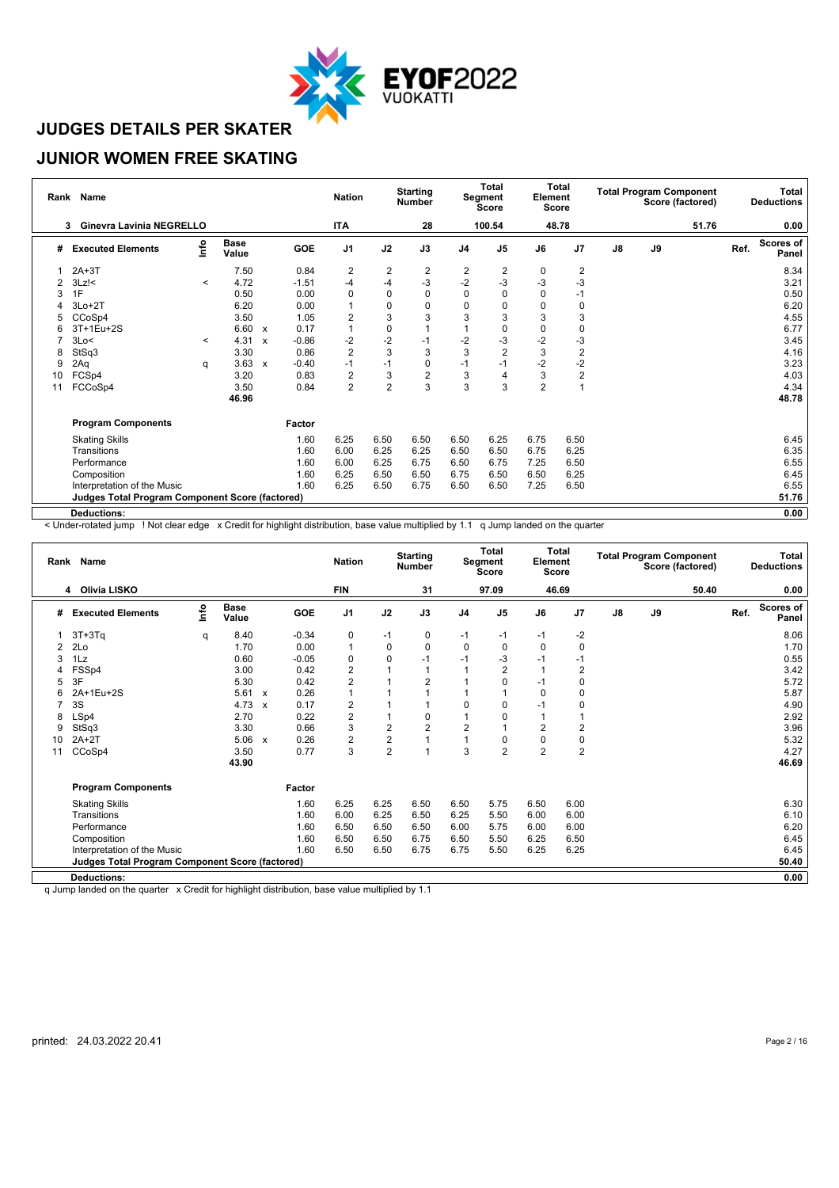

#### **JUNIOR WOMEN FREE SKATING**

| Rank | <b>Name</b>                                     |         |                      |                           |            | <b>Nation</b>  |                | <b>Starting</b><br><b>Number</b> |                | Total<br>Segment<br>Score | Element        | <b>Total</b><br>Score |               |    | <b>Total Program Component</b><br>Score (factored) |      | Total<br><b>Deductions</b> |
|------|-------------------------------------------------|---------|----------------------|---------------------------|------------|----------------|----------------|----------------------------------|----------------|---------------------------|----------------|-----------------------|---------------|----|----------------------------------------------------|------|----------------------------|
|      | Ginevra Lavinia NEGRELLO                        |         |                      |                           |            | <b>ITA</b>     |                | 28                               |                | 100.54                    |                | 48.78                 |               |    | 51.76                                              |      | 0.00                       |
| #    | <b>Executed Elements</b>                        | info    | <b>Base</b><br>Value |                           | <b>GOE</b> | J <sub>1</sub> | J2             | J3                               | J <sub>4</sub> | J <sub>5</sub>            | J6             | J7                    | $\mathsf{J}8$ | J9 |                                                    | Ref. | <b>Scores of</b><br>Panel  |
|      | $2A+3T$                                         |         | 7.50                 |                           | 0.84       | 2              | $\overline{2}$ | $\overline{c}$                   | 2              | 2                         | 0              | 2                     |               |    |                                                    |      | 8.34                       |
| 2    | $3Lz$ !<                                        | $\prec$ | 4.72                 |                           | $-1.51$    | $-4$           | $-4$           | $-3$                             | $-2$           | $-3$                      | $-3$           | $-3$                  |               |    |                                                    |      | 3.21                       |
|      | 1F                                              |         | 0.50                 |                           | 0.00       | $\mathbf 0$    | $\mathbf 0$    | $\Omega$                         | $\Omega$       | $\Omega$                  | 0              | $-1$                  |               |    |                                                    |      | 0.50                       |
|      | 3Lo+2T                                          |         | 6.20                 |                           | 0.00       | $\overline{1}$ | $\mathbf 0$    | $\mathbf 0$                      | 0              | $\Omega$                  | 0              | 0                     |               |    |                                                    |      | 6.20                       |
|      | CCoSp4                                          |         | 3.50                 |                           | 1.05       | 2              | 3              | 3                                | 3              | 3                         | 3              | 3                     |               |    |                                                    |      | 4.55                       |
|      | 3T+1Eu+2S                                       |         | 6.60                 | $\boldsymbol{\mathsf{x}}$ | 0.17       | 1              | $\mathbf 0$    |                                  |                | 0                         | 0              | 0                     |               |    |                                                    |      | 6.77                       |
|      | 3Lo<                                            | $\prec$ | 4.31                 | $\boldsymbol{\mathsf{x}}$ | $-0.86$    | $-2$           | $-2$           | -1                               | $-2$           | -3                        | $-2$           | -3                    |               |    |                                                    |      | 3.45                       |
| 8    | StSq3                                           |         | 3.30                 |                           | 0.86       | $\overline{2}$ | 3              | 3                                | 3              | $\overline{2}$            | 3              | $\sqrt{2}$            |               |    |                                                    |      | 4.16                       |
| 9    | 2Aq                                             | q       | 3.63                 | X                         | $-0.40$    | $-1$           | $-1$           | 0                                | $-1$           | $-1$                      | $-2$           | $-2$                  |               |    |                                                    |      | 3.23                       |
| 10   | FCSp4                                           |         | 3.20                 |                           | 0.83       | $\overline{c}$ | $\sqrt{3}$     | 2                                | 3              | 4                         | 3              | $\overline{2}$        |               |    |                                                    |      | 4.03                       |
| 11   | FCCoSp4                                         |         | 3.50                 |                           | 0.84       | $\overline{2}$ | $\overline{2}$ | 3                                | 3              | 3                         | $\overline{2}$ | 1                     |               |    |                                                    |      | 4.34                       |
|      |                                                 |         | 46.96                |                           |            |                |                |                                  |                |                           |                |                       |               |    |                                                    |      | 48.78                      |
|      | <b>Program Components</b>                       |         |                      |                           | Factor     |                |                |                                  |                |                           |                |                       |               |    |                                                    |      |                            |
|      | <b>Skating Skills</b>                           |         |                      |                           | 1.60       | 6.25           | 6.50           | 6.50                             | 6.50           | 6.25                      | 6.75           | 6.50                  |               |    |                                                    |      | 6.45                       |
|      | Transitions                                     |         |                      |                           | 1.60       | 6.00           | 6.25           | 6.25                             | 6.50           | 6.50                      | 6.75           | 6.25                  |               |    |                                                    |      | 6.35                       |
|      | Performance                                     |         |                      |                           | 1.60       | 6.00           | 6.25           | 6.75                             | 6.50           | 6.75                      | 7.25           | 6.50                  |               |    |                                                    |      | 6.55                       |
|      | Composition                                     |         |                      |                           | 1.60       | 6.25           | 6.50           | 6.50                             | 6.75           | 6.50                      | 6.50           | 6.25                  |               |    |                                                    |      | 6.45                       |
|      | Interpretation of the Music                     |         |                      |                           | 1.60       | 6.25           | 6.50           | 6.75                             | 6.50           | 6.50                      | 7.25           | 6.50                  |               |    |                                                    |      | 6.55                       |
|      | Judges Total Program Component Score (factored) |         |                      |                           |            |                |                |                                  |                |                           |                |                       |               |    |                                                    |      | 51.76                      |
|      | <b>Deductions:</b>                              |         |                      |                           |            |                |                |                                  |                |                           |                |                       |               |    |                                                    |      | 0.00                       |

< Under-rotated jump ! Not clear edge x Credit for highlight distribution, base value multiplied by 1.1 q Jump landed on the quarter

| 97.09<br>46.69<br>0.00<br>Olivia LISKO<br><b>FIN</b><br>31<br>50.40<br>4<br>$\mathop{\mathsf{Irr}}\nolimits$<br><b>Base</b><br><b>Scores of</b><br>J9<br>Ref.<br>GOE<br>J <sub>1</sub><br>J2<br>J3<br>J <sub>7</sub><br>$\mathsf{J}8$<br><b>Executed Elements</b><br>J <sub>4</sub><br>J <sub>5</sub><br>J6<br>#<br>Value<br>Panel<br>$-2$<br>8.06<br>$3T+3Tq$<br>8.40<br>$-0.34$<br>0<br>$-1$<br>0<br>-1<br>$-1$<br>$-1$<br>q<br>0.00<br>$\mathbf 0$<br>0<br>$\mathbf 0$<br>2Lo<br>1.70<br>1<br>$\mathbf 0$<br>0<br>1.70<br>0<br>$\pmb{0}$<br>-3<br>0.60<br>$-0.05$<br>0<br>$-1$<br>0.55<br>1Lz<br>$-1$<br>$-1$<br>$-1$<br>3<br>$\overline{2}$<br>$\overline{2}$<br>$\overline{2}$<br>3.42<br>FSSp4<br>0.42<br>3.00<br>$\overline{c}$<br>5.30<br>0.42<br>$\overline{2}$<br>$\mathbf 0$<br>5.72<br>3F<br>$\Omega$<br>$-1$<br>5<br>5.87<br>5.61<br>0.26<br>$\mathbf 0$<br>2A+1Eu+2S<br>1<br>0<br>6<br>$\boldsymbol{\mathsf{x}}$<br>2<br>3S<br>4.73<br>0.17<br>4.90<br>$\Omega$<br>$\Omega$<br>0<br>$-1$<br>$\boldsymbol{\mathsf{x}}$<br>$\overline{\mathbf{c}}$<br>2.92<br>LSp4<br>2.70<br>0.22<br>0<br>$\Omega$<br>8<br>$\overline{2}$<br>$\overline{2}$<br>3<br>2<br>$\overline{2}$<br>3.96<br>3.30<br>0.66<br>$\overline{2}$<br>StSq3<br>9<br>$\overline{\mathbf{c}}$<br>$\overline{c}$<br>$\pmb{0}$<br>$\overline{A}$<br>0<br>5.32<br>$2A+2T$<br>5.06<br>0.26<br>$\Omega$<br>10<br>$\boldsymbol{\mathsf{x}}$<br>$\overline{2}$<br>3<br>$\overline{2}$<br>3<br>$\overline{2}$<br>3.50<br>0.77<br>$\overline{2}$<br>4.27<br>CCoSp4<br>11<br>46.69<br>43.90<br><b>Program Components</b><br>Factor<br>5.75<br>6.25<br>6.25<br>6.50<br>6.50<br>6.50<br>6.00<br>6.30<br><b>Skating Skills</b><br>1.60<br>Transitions<br>1.60<br>6.00<br>6.25<br>6.25<br>6.00<br>6.10<br>6.50<br>5.50<br>6.00<br>6.20<br>1.60<br>6.50<br>5.75<br>6.00<br>6.00<br>Performance<br>6.50<br>6.50<br>6.00<br>6.45<br>1.60<br>6.25<br>6.50<br>Composition<br>6.50<br>6.50<br>6.75<br>6.50<br>5.50<br>6.45<br>6.25<br>6.25<br>Interpretation of the Music<br>1.60<br>6.50<br>6.50<br>6.75<br>6.75<br>5.50<br><b>Judges Total Program Component Score (factored)</b><br>50.40 | Rank Name          |  |  | <b>Nation</b> | <b>Starting</b><br><b>Number</b> | Total<br>Segment<br><b>Score</b> | Element | <b>Total</b><br>Score | <b>Total Program Component</b> | Score (factored) | <b>Total</b><br><b>Deductions</b> |
|----------------------------------------------------------------------------------------------------------------------------------------------------------------------------------------------------------------------------------------------------------------------------------------------------------------------------------------------------------------------------------------------------------------------------------------------------------------------------------------------------------------------------------------------------------------------------------------------------------------------------------------------------------------------------------------------------------------------------------------------------------------------------------------------------------------------------------------------------------------------------------------------------------------------------------------------------------------------------------------------------------------------------------------------------------------------------------------------------------------------------------------------------------------------------------------------------------------------------------------------------------------------------------------------------------------------------------------------------------------------------------------------------------------------------------------------------------------------------------------------------------------------------------------------------------------------------------------------------------------------------------------------------------------------------------------------------------------------------------------------------------------------------------------------------------------------------------------------------------------------------------------------------------------------------------------------------------------------------------------------------------------------------------------------------------------------------------------------------------------------------------------------------|--------------------|--|--|---------------|----------------------------------|----------------------------------|---------|-----------------------|--------------------------------|------------------|-----------------------------------|
|                                                                                                                                                                                                                                                                                                                                                                                                                                                                                                                                                                                                                                                                                                                                                                                                                                                                                                                                                                                                                                                                                                                                                                                                                                                                                                                                                                                                                                                                                                                                                                                                                                                                                                                                                                                                                                                                                                                                                                                                                                                                                                                                                    |                    |  |  |               |                                  |                                  |         |                       |                                |                  |                                   |
|                                                                                                                                                                                                                                                                                                                                                                                                                                                                                                                                                                                                                                                                                                                                                                                                                                                                                                                                                                                                                                                                                                                                                                                                                                                                                                                                                                                                                                                                                                                                                                                                                                                                                                                                                                                                                                                                                                                                                                                                                                                                                                                                                    |                    |  |  |               |                                  |                                  |         |                       |                                |                  |                                   |
|                                                                                                                                                                                                                                                                                                                                                                                                                                                                                                                                                                                                                                                                                                                                                                                                                                                                                                                                                                                                                                                                                                                                                                                                                                                                                                                                                                                                                                                                                                                                                                                                                                                                                                                                                                                                                                                                                                                                                                                                                                                                                                                                                    |                    |  |  |               |                                  |                                  |         |                       |                                |                  |                                   |
|                                                                                                                                                                                                                                                                                                                                                                                                                                                                                                                                                                                                                                                                                                                                                                                                                                                                                                                                                                                                                                                                                                                                                                                                                                                                                                                                                                                                                                                                                                                                                                                                                                                                                                                                                                                                                                                                                                                                                                                                                                                                                                                                                    |                    |  |  |               |                                  |                                  |         |                       |                                |                  |                                   |
|                                                                                                                                                                                                                                                                                                                                                                                                                                                                                                                                                                                                                                                                                                                                                                                                                                                                                                                                                                                                                                                                                                                                                                                                                                                                                                                                                                                                                                                                                                                                                                                                                                                                                                                                                                                                                                                                                                                                                                                                                                                                                                                                                    |                    |  |  |               |                                  |                                  |         |                       |                                |                  |                                   |
|                                                                                                                                                                                                                                                                                                                                                                                                                                                                                                                                                                                                                                                                                                                                                                                                                                                                                                                                                                                                                                                                                                                                                                                                                                                                                                                                                                                                                                                                                                                                                                                                                                                                                                                                                                                                                                                                                                                                                                                                                                                                                                                                                    |                    |  |  |               |                                  |                                  |         |                       |                                |                  |                                   |
|                                                                                                                                                                                                                                                                                                                                                                                                                                                                                                                                                                                                                                                                                                                                                                                                                                                                                                                                                                                                                                                                                                                                                                                                                                                                                                                                                                                                                                                                                                                                                                                                                                                                                                                                                                                                                                                                                                                                                                                                                                                                                                                                                    |                    |  |  |               |                                  |                                  |         |                       |                                |                  |                                   |
|                                                                                                                                                                                                                                                                                                                                                                                                                                                                                                                                                                                                                                                                                                                                                                                                                                                                                                                                                                                                                                                                                                                                                                                                                                                                                                                                                                                                                                                                                                                                                                                                                                                                                                                                                                                                                                                                                                                                                                                                                                                                                                                                                    |                    |  |  |               |                                  |                                  |         |                       |                                |                  |                                   |
|                                                                                                                                                                                                                                                                                                                                                                                                                                                                                                                                                                                                                                                                                                                                                                                                                                                                                                                                                                                                                                                                                                                                                                                                                                                                                                                                                                                                                                                                                                                                                                                                                                                                                                                                                                                                                                                                                                                                                                                                                                                                                                                                                    |                    |  |  |               |                                  |                                  |         |                       |                                |                  |                                   |
|                                                                                                                                                                                                                                                                                                                                                                                                                                                                                                                                                                                                                                                                                                                                                                                                                                                                                                                                                                                                                                                                                                                                                                                                                                                                                                                                                                                                                                                                                                                                                                                                                                                                                                                                                                                                                                                                                                                                                                                                                                                                                                                                                    |                    |  |  |               |                                  |                                  |         |                       |                                |                  |                                   |
|                                                                                                                                                                                                                                                                                                                                                                                                                                                                                                                                                                                                                                                                                                                                                                                                                                                                                                                                                                                                                                                                                                                                                                                                                                                                                                                                                                                                                                                                                                                                                                                                                                                                                                                                                                                                                                                                                                                                                                                                                                                                                                                                                    |                    |  |  |               |                                  |                                  |         |                       |                                |                  |                                   |
|                                                                                                                                                                                                                                                                                                                                                                                                                                                                                                                                                                                                                                                                                                                                                                                                                                                                                                                                                                                                                                                                                                                                                                                                                                                                                                                                                                                                                                                                                                                                                                                                                                                                                                                                                                                                                                                                                                                                                                                                                                                                                                                                                    |                    |  |  |               |                                  |                                  |         |                       |                                |                  |                                   |
|                                                                                                                                                                                                                                                                                                                                                                                                                                                                                                                                                                                                                                                                                                                                                                                                                                                                                                                                                                                                                                                                                                                                                                                                                                                                                                                                                                                                                                                                                                                                                                                                                                                                                                                                                                                                                                                                                                                                                                                                                                                                                                                                                    |                    |  |  |               |                                  |                                  |         |                       |                                |                  |                                   |
|                                                                                                                                                                                                                                                                                                                                                                                                                                                                                                                                                                                                                                                                                                                                                                                                                                                                                                                                                                                                                                                                                                                                                                                                                                                                                                                                                                                                                                                                                                                                                                                                                                                                                                                                                                                                                                                                                                                                                                                                                                                                                                                                                    |                    |  |  |               |                                  |                                  |         |                       |                                |                  |                                   |
|                                                                                                                                                                                                                                                                                                                                                                                                                                                                                                                                                                                                                                                                                                                                                                                                                                                                                                                                                                                                                                                                                                                                                                                                                                                                                                                                                                                                                                                                                                                                                                                                                                                                                                                                                                                                                                                                                                                                                                                                                                                                                                                                                    |                    |  |  |               |                                  |                                  |         |                       |                                |                  |                                   |
|                                                                                                                                                                                                                                                                                                                                                                                                                                                                                                                                                                                                                                                                                                                                                                                                                                                                                                                                                                                                                                                                                                                                                                                                                                                                                                                                                                                                                                                                                                                                                                                                                                                                                                                                                                                                                                                                                                                                                                                                                                                                                                                                                    |                    |  |  |               |                                  |                                  |         |                       |                                |                  |                                   |
|                                                                                                                                                                                                                                                                                                                                                                                                                                                                                                                                                                                                                                                                                                                                                                                                                                                                                                                                                                                                                                                                                                                                                                                                                                                                                                                                                                                                                                                                                                                                                                                                                                                                                                                                                                                                                                                                                                                                                                                                                                                                                                                                                    |                    |  |  |               |                                  |                                  |         |                       |                                |                  |                                   |
|                                                                                                                                                                                                                                                                                                                                                                                                                                                                                                                                                                                                                                                                                                                                                                                                                                                                                                                                                                                                                                                                                                                                                                                                                                                                                                                                                                                                                                                                                                                                                                                                                                                                                                                                                                                                                                                                                                                                                                                                                                                                                                                                                    |                    |  |  |               |                                  |                                  |         |                       |                                |                  |                                   |
|                                                                                                                                                                                                                                                                                                                                                                                                                                                                                                                                                                                                                                                                                                                                                                                                                                                                                                                                                                                                                                                                                                                                                                                                                                                                                                                                                                                                                                                                                                                                                                                                                                                                                                                                                                                                                                                                                                                                                                                                                                                                                                                                                    |                    |  |  |               |                                  |                                  |         |                       |                                |                  |                                   |
|                                                                                                                                                                                                                                                                                                                                                                                                                                                                                                                                                                                                                                                                                                                                                                                                                                                                                                                                                                                                                                                                                                                                                                                                                                                                                                                                                                                                                                                                                                                                                                                                                                                                                                                                                                                                                                                                                                                                                                                                                                                                                                                                                    |                    |  |  |               |                                  |                                  |         |                       |                                |                  |                                   |
|                                                                                                                                                                                                                                                                                                                                                                                                                                                                                                                                                                                                                                                                                                                                                                                                                                                                                                                                                                                                                                                                                                                                                                                                                                                                                                                                                                                                                                                                                                                                                                                                                                                                                                                                                                                                                                                                                                                                                                                                                                                                                                                                                    |                    |  |  |               |                                  |                                  |         |                       |                                |                  |                                   |
|                                                                                                                                                                                                                                                                                                                                                                                                                                                                                                                                                                                                                                                                                                                                                                                                                                                                                                                                                                                                                                                                                                                                                                                                                                                                                                                                                                                                                                                                                                                                                                                                                                                                                                                                                                                                                                                                                                                                                                                                                                                                                                                                                    | <b>Deductions:</b> |  |  |               |                                  |                                  |         |                       |                                |                  | 0.00                              |

q Jump landed on the quarter x Credit for highlight distribution, base value multiplied by 1.1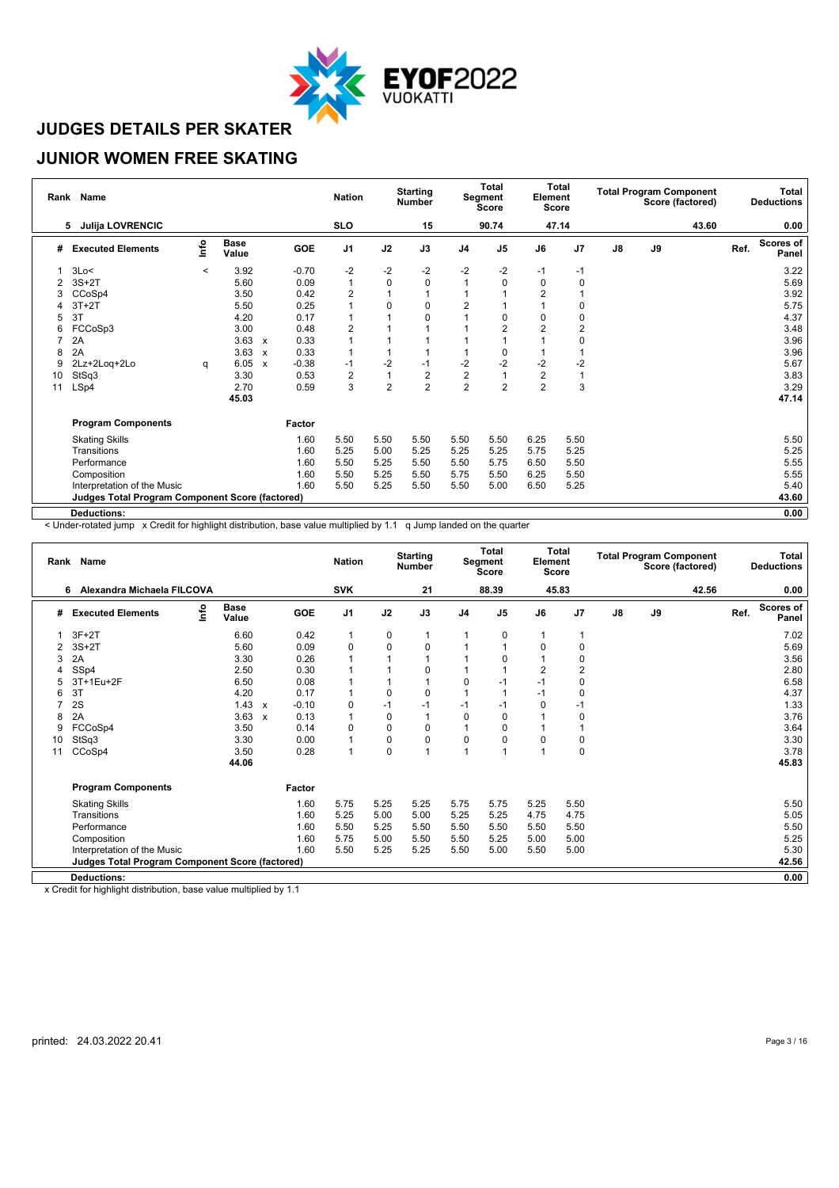

#### **JUNIOR WOMEN FREE SKATING**

| Rank | Name                                            |         |                      |                           |         | <b>Nation</b>  |                | <b>Starting</b><br><b>Number</b> |                | <b>Total</b><br>Segment<br>Score | Element<br><b>Score</b> | <b>Total</b>   |               |    | <b>Total Program Component</b><br>Score (factored) |      | Total<br><b>Deductions</b> |
|------|-------------------------------------------------|---------|----------------------|---------------------------|---------|----------------|----------------|----------------------------------|----------------|----------------------------------|-------------------------|----------------|---------------|----|----------------------------------------------------|------|----------------------------|
|      | <b>Julija LOVRENCIC</b><br>5                    |         |                      |                           |         | <b>SLO</b>     |                | 15                               |                | 90.74                            |                         | 47.14          |               |    | 43.60                                              |      | 0.00                       |
| #    | <b>Executed Elements</b>                        | lnfo    | <b>Base</b><br>Value |                           | GOE     | J <sub>1</sub> | J2             | J3                               | J <sub>4</sub> | J <sub>5</sub>                   | J6                      | J <sub>7</sub> | $\mathsf{J}8$ | J9 |                                                    | Ref. | <b>Scores of</b><br>Panel  |
|      | 3Lo<                                            | $\prec$ | 3.92                 |                           | $-0.70$ | $-2$           | $-2$           | $-2$                             | $-2$           | $-2$                             | $-1$                    | $-1$           |               |    |                                                    |      | 3.22                       |
| 2    | $3S+2T$                                         |         | 5.60                 |                           | 0.09    | 1              | $\mathbf 0$    | $\mathbf 0$                      |                | $\Omega$                         | 0                       | 0              |               |    |                                                    |      | 5.69                       |
|      | CCoSp4                                          |         | 3.50                 |                           | 0.42    | $\overline{2}$ |                |                                  |                |                                  | $\overline{2}$          |                |               |    |                                                    |      | 3.92                       |
|      | $3T+2T$                                         |         | 5.50                 |                           | 0.25    |                | 0              | 0                                | $\overline{2}$ |                                  |                         | 0              |               |    |                                                    |      | 5.75                       |
| 5    | 3T                                              |         | 4.20                 |                           | 0.17    |                |                | $\Omega$                         |                | $\Omega$                         | 0                       | 0              |               |    |                                                    |      | 4.37                       |
| 6    | FCCoSp3                                         |         | 3.00                 |                           | 0.48    | 2              |                |                                  |                | $\overline{2}$                   | $\overline{2}$          | $\overline{2}$ |               |    |                                                    |      | 3.48                       |
|      | 2A                                              |         | 3.63                 | $\boldsymbol{\mathsf{x}}$ | 0.33    |                |                |                                  |                |                                  |                         | $\mathbf 0$    |               |    |                                                    |      | 3.96                       |
| 8    | 2A                                              |         | 3.63                 | X                         | 0.33    |                |                |                                  |                | 0                                |                         |                |               |    |                                                    |      | 3.96                       |
| 9    | 2Lz+2Loq+2Lo                                    | q       | 6.05                 | $\boldsymbol{\mathsf{x}}$ | $-0.38$ | $-1$           | $-2$           | $-1$                             | -2             | $-2$                             | $-2$                    | $-2$           |               |    |                                                    |      | 5.67                       |
| 10   | StSq3                                           |         | 3.30                 |                           | 0.53    | 2              | $\mathbf{1}$   | $\overline{2}$                   | $\overline{c}$ |                                  | $\overline{2}$          | 1              |               |    |                                                    |      | 3.83                       |
| 11   | LSp4                                            |         | 2.70                 |                           | 0.59    | 3              | $\overline{2}$ | $\overline{2}$                   | $\overline{2}$ | $\overline{2}$                   | $\overline{2}$          | 3              |               |    |                                                    |      | 3.29                       |
|      |                                                 |         | 45.03                |                           |         |                |                |                                  |                |                                  |                         |                |               |    |                                                    |      | 47.14                      |
|      | <b>Program Components</b>                       |         |                      |                           | Factor  |                |                |                                  |                |                                  |                         |                |               |    |                                                    |      |                            |
|      | <b>Skating Skills</b>                           |         |                      |                           | 1.60    | 5.50           | 5.50           | 5.50                             | 5.50           | 5.50                             | 6.25                    | 5.50           |               |    |                                                    |      | 5.50                       |
|      | Transitions                                     |         |                      |                           | 1.60    | 5.25           | 5.00           | 5.25                             | 5.25           | 5.25                             | 5.75                    | 5.25           |               |    |                                                    |      | 5.25                       |
|      | Performance                                     |         |                      |                           | 1.60    | 5.50           | 5.25           | 5.50                             | 5.50           | 5.75                             | 6.50                    | 5.50           |               |    |                                                    |      | 5.55                       |
|      | Composition                                     |         |                      |                           | 1.60    | 5.50           | 5.25           | 5.50                             | 5.75           | 5.50                             | 6.25                    | 5.50           |               |    |                                                    |      | 5.55                       |
|      | Interpretation of the Music                     |         |                      |                           | 1.60    | 5.50           | 5.25           | 5.50                             | 5.50           | 5.00                             | 6.50                    | 5.25           |               |    |                                                    |      | 5.40                       |
|      | Judges Total Program Component Score (factored) |         |                      |                           |         |                |                |                                  |                |                                  |                         |                |               |    |                                                    |      | 43.60                      |
|      | <b>Deductions:</b>                              |         |                      |                           |         |                |                |                                  |                |                                  |                         |                |               |    |                                                    |      | 0.00                       |

< Under-rotated jump x Credit for highlight distribution, base value multiplied by 1.1 q Jump landed on the quarter

| Rank | <b>Name</b>                                            |      |                      |                           |            | <b>Nation</b>  |             | <b>Starting</b><br><b>Number</b> |                | Total<br>Segment<br><b>Score</b> | Element | Total<br><b>Score</b>   |               | <b>Total Program Component</b> | Score (factored) |      | <b>Total</b><br><b>Deductions</b> |
|------|--------------------------------------------------------|------|----------------------|---------------------------|------------|----------------|-------------|----------------------------------|----------------|----------------------------------|---------|-------------------------|---------------|--------------------------------|------------------|------|-----------------------------------|
|      | Alexandra Michaela FILCOVA<br>6                        |      |                      |                           |            | <b>SVK</b>     |             | 21                               |                | 88.39                            |         | 45.83                   |               |                                | 42.56            |      | 0.00                              |
| #    | <b>Executed Elements</b>                               | lnfo | <b>Base</b><br>Value |                           | <b>GOE</b> | J <sub>1</sub> | J2          | J3                               | J <sub>4</sub> | J <sub>5</sub>                   | J6      | J7                      | $\mathsf{J}8$ | J9                             |                  | Ref. | Scores of<br>Panel                |
|      | $3F+2T$                                                |      | 6.60                 |                           | 0.42       | $\mathbf{1}$   | 0           |                                  |                | 0                                |         | -1                      |               |                                |                  |      | 7.02                              |
|      | $3S+2T$                                                |      | 5.60                 |                           | 0.09       | 0              | $\pmb{0}$   | $\mathbf 0$                      |                |                                  | 0       | 0                       |               |                                |                  |      | 5.69                              |
| 3    | 2A                                                     |      | 3.30                 |                           | 0.26       | 1              |             |                                  |                | O                                |         | 0                       |               |                                |                  |      | 3.56                              |
| 4    | SSp4                                                   |      | 2.50                 |                           | 0.30       | 1              |             | 0                                |                |                                  | 2       | $\overline{\mathbf{c}}$ |               |                                |                  |      | 2.80                              |
| 5    | 3T+1Eu+2F                                              |      | 6.50                 |                           | 0.08       | 1              |             |                                  | $\mathbf 0$    | -1                               | $-1$    | 0                       |               |                                |                  |      | 6.58                              |
| 6    | 3T                                                     |      | 4.20                 |                           | 0.17       | 1              | $\mathbf 0$ | $\mathbf 0$                      |                |                                  | $-1$    | $\mathbf 0$             |               |                                |                  |      | 4.37                              |
|      | 2S                                                     |      | 1.43                 | $\mathbf{x}$              | $-0.10$    | 0              | $-1$        | $-1$                             | $-1$           | $-1$                             | 0       | -1                      |               |                                |                  |      | 1.33                              |
| 8    | 2A                                                     |      | 3.63                 | $\boldsymbol{\mathsf{x}}$ | 0.13       | 1              | $\mathbf 0$ |                                  | $\mathbf 0$    | $\Omega$                         |         | 0                       |               |                                |                  |      | 3.76                              |
| 9    | FCCoSp4                                                |      | 3.50                 |                           | 0.14       | 0              | $\mathbf 0$ | 0                                |                | $\Omega$                         |         |                         |               |                                |                  |      | 3.64                              |
| 10   | StSq3                                                  |      | 3.30                 |                           | 0.00       | 1              | $\mathbf 0$ | $\mathbf 0$                      | $\mathbf 0$    | $\Omega$                         | 0       | 0                       |               |                                |                  |      | 3.30                              |
| 11   | CCoSp4                                                 |      | 3.50                 |                           | 0.28       | 1              | $\mathbf 0$ |                                  |                |                                  |         | $\mathbf 0$             |               |                                |                  |      | 3.78                              |
|      |                                                        |      | 44.06                |                           |            |                |             |                                  |                |                                  |         |                         |               |                                |                  |      | 45.83                             |
|      | <b>Program Components</b>                              |      |                      |                           | Factor     |                |             |                                  |                |                                  |         |                         |               |                                |                  |      |                                   |
|      | <b>Skating Skills</b>                                  |      |                      |                           | 1.60       | 5.75           | 5.25        | 5.25                             | 5.75           | 5.75                             | 5.25    | 5.50                    |               |                                |                  |      | 5.50                              |
|      | Transitions                                            |      |                      |                           | 1.60       | 5.25           | 5.00        | 5.00                             | 5.25           | 5.25                             | 4.75    | 4.75                    |               |                                |                  |      | 5.05                              |
|      | Performance                                            |      |                      |                           | 1.60       | 5.50           | 5.25        | 5.50                             | 5.50           | 5.50                             | 5.50    | 5.50                    |               |                                |                  |      | 5.50                              |
|      | Composition                                            |      |                      |                           | 1.60       | 5.75           | 5.00        | 5.50                             | 5.50           | 5.25                             | 5.00    | 5.00                    |               |                                |                  |      | 5.25                              |
|      | Interpretation of the Music                            |      |                      |                           | 1.60       | 5.50           | 5.25        | 5.25                             | 5.50           | 5.00                             | 5.50    | 5.00                    |               |                                |                  |      | 5.30                              |
|      | <b>Judges Total Program Component Score (factored)</b> |      |                      |                           |            |                |             |                                  |                |                                  |         |                         |               |                                |                  |      | 42.56                             |
|      | <b>Deductions:</b>                                     |      |                      |                           |            |                |             |                                  |                |                                  |         |                         |               |                                |                  |      | 0.00                              |
|      |                                                        |      |                      |                           |            |                |             |                                  |                |                                  |         |                         |               |                                |                  |      |                                   |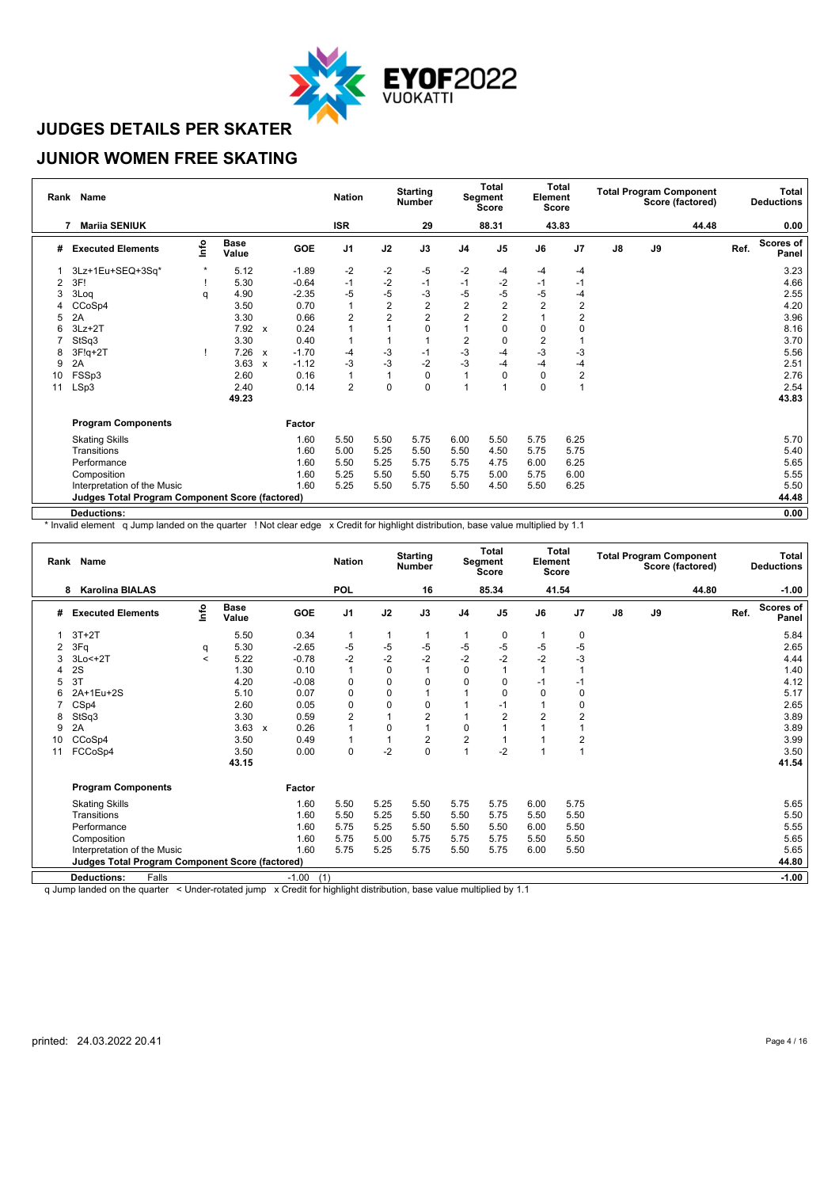

#### **JUNIOR WOMEN FREE SKATING**

|    | Rank Name                                       |         |                      |                           |            | <b>Nation</b>  |                | <b>Starting</b><br><b>Number</b> |                | <b>Total</b><br>Segment<br><b>Score</b> | Element        | Total<br>Score |               |    | <b>Total Program Component</b><br>Score (factored) |      | Total<br><b>Deductions</b> |
|----|-------------------------------------------------|---------|----------------------|---------------------------|------------|----------------|----------------|----------------------------------|----------------|-----------------------------------------|----------------|----------------|---------------|----|----------------------------------------------------|------|----------------------------|
|    | <b>Mariia SENIUK</b>                            |         |                      |                           |            | <b>ISR</b>     |                | 29                               |                | 88.31                                   |                | 43.83          |               |    | 44.48                                              |      | 0.00                       |
| #  | <b>Executed Elements</b>                        | Info    | <b>Base</b><br>Value |                           | <b>GOE</b> | J <sub>1</sub> | J2             | J3                               | J <sub>4</sub> | J <sub>5</sub>                          | J6             | J <sub>7</sub> | $\mathsf{J}8$ | J9 |                                                    | Ref. | <b>Scores of</b><br>Panel  |
|    | 3Lz+1Eu+SEQ+3Sq*                                | $\star$ | 5.12                 |                           | $-1.89$    | $-2$           | $-2$           | $-5$                             | $-2$           | -4                                      | -4             | -4             |               |    |                                                    |      | 3.23                       |
| 2  | 3F!                                             |         | 5.30                 |                           | $-0.64$    | $-1$           | $-2$           | $-1$                             | $-1$           | $-2$                                    | $-1$           | -1             |               |    |                                                    |      | 4.66                       |
| 3  | 3Log                                            | q       | 4.90                 |                           | $-2.35$    | $-5$           | -5             | $-3$                             | $-5$           | $-5$                                    | $-5$           | $-4$           |               |    |                                                    |      | 2.55                       |
| 4  | CCoSp4                                          |         | 3.50                 |                           | 0.70       | $\mathbf{1}$   | $\overline{2}$ | $\overline{2}$                   | $\overline{2}$ | $\overline{2}$                          | $\overline{2}$ | $\overline{2}$ |               |    |                                                    |      | 4.20                       |
| 5  | 2A                                              |         | 3.30                 |                           | 0.66       | $\overline{2}$ | $\overline{2}$ | $\overline{2}$                   | $\overline{2}$ | $\overline{2}$                          |                | 2              |               |    |                                                    |      | 3.96                       |
| 6  | $3Lz + 2T$                                      |         | 7.92 x               |                           | 0.24       | 1              |                | 0                                |                |                                         | 0              | 0              |               |    |                                                    |      | 8.16                       |
|    | StSq3                                           |         | 3.30                 |                           | 0.40       | 1              |                |                                  | $\overline{2}$ |                                         | $\overline{2}$ |                |               |    |                                                    |      | 3.70                       |
| 8  | $3F!q+2T$                                       |         | 7.26 x               |                           | $-1.70$    | $-4$           | $-3$           | $-1$                             | $-3$           | -4                                      | $-3$           | $-3$           |               |    |                                                    |      | 5.56                       |
| 9  | 2A                                              |         | 3.63                 | $\boldsymbol{\mathsf{x}}$ | $-1.12$    | $-3$           | $-3$           | $-2$                             | $-3$           | -4                                      | $-4$           | -4             |               |    |                                                    |      | 2.51                       |
| 10 | FSSp3                                           |         | 2.60                 |                           | 0.16       | $\mathbf{1}$   | $\overline{1}$ | $\mathbf 0$                      | $\overline{1}$ | $\Omega$                                | $\Omega$       | 2              |               |    |                                                    |      | 2.76                       |
| 11 | LSp3                                            |         | 2.40                 |                           | 0.14       | $\overline{2}$ | $\mathbf 0$    | $\mathbf 0$                      | $\overline{ }$ |                                         | 0              | 1              |               |    |                                                    |      | 2.54                       |
|    |                                                 |         | 49.23                |                           |            |                |                |                                  |                |                                         |                |                |               |    |                                                    |      | 43.83                      |
|    | <b>Program Components</b>                       |         |                      |                           | Factor     |                |                |                                  |                |                                         |                |                |               |    |                                                    |      |                            |
|    | <b>Skating Skills</b>                           |         |                      |                           | 1.60       | 5.50           | 5.50           | 5.75                             | 6.00           | 5.50                                    | 5.75           | 6.25           |               |    |                                                    |      | 5.70                       |
|    | Transitions                                     |         |                      |                           | 1.60       | 5.00           | 5.25           | 5.50                             | 5.50           | 4.50                                    | 5.75           | 5.75           |               |    |                                                    |      | 5.40                       |
|    | Performance                                     |         |                      |                           | 1.60       | 5.50           | 5.25           | 5.75                             | 5.75           | 4.75                                    | 6.00           | 6.25           |               |    |                                                    |      | 5.65                       |
|    | Composition                                     |         |                      |                           | 1.60       | 5.25           | 5.50           | 5.50                             | 5.75           | 5.00                                    | 5.75           | 6.00           |               |    |                                                    |      | 5.55                       |
|    | Interpretation of the Music                     |         |                      |                           | 1.60       | 5.25           | 5.50           | 5.75                             | 5.50           | 4.50                                    | 5.50           | 6.25           |               |    |                                                    |      | 5.50                       |
|    | Judges Total Program Component Score (factored) |         |                      |                           |            |                |                |                                  |                |                                         |                |                |               |    |                                                    |      | 44.48                      |
|    | <b>Deductions:</b>                              |         |                      |                           |            |                |                |                                  |                |                                         |                |                |               |    |                                                    |      | 0.00                       |

\* Invalid element q Jump landed on the quarter ! Not clear edge x Credit for highlight distribution, base value multiplied by 1.1

|    | Rank Name                                              |                           |                      |                           |                | <b>Nation</b>  |              | <b>Starting</b><br><b>Number</b> |                | Total<br>Segment<br><b>Score</b> | Element        | <b>Total</b><br><b>Score</b> |               | <b>Total Program Component</b> | Score (factored) |      | Total<br><b>Deductions</b> |
|----|--------------------------------------------------------|---------------------------|----------------------|---------------------------|----------------|----------------|--------------|----------------------------------|----------------|----------------------------------|----------------|------------------------------|---------------|--------------------------------|------------------|------|----------------------------|
| 8  | <b>Karolina BIALAS</b>                                 |                           |                      |                           |                | POL            |              | 16                               |                | 85.34                            |                | 41.54                        |               |                                | 44.80            |      | $-1.00$                    |
| #  | <b>Executed Elements</b>                               | $\mathsf{Int} \mathsf{o}$ | <b>Base</b><br>Value |                           | GOE            | J <sub>1</sub> | J2           | J3                               | J <sub>4</sub> | J <sub>5</sub>                   | J6             | J <sub>7</sub>               | $\mathsf{J}8$ | $\mathsf{J}9$                  |                  | Ref. | <b>Scores of</b><br>Panel  |
|    | $3T+2T$                                                |                           | 5.50                 |                           | 0.34           | $\mathbf{1}$   | 1            | 1                                |                | 0                                | 1              | 0                            |               |                                |                  |      | 5.84                       |
|    | 3Fq                                                    | q                         | 5.30                 |                           | $-2.65$        | $-5$           | $-5$         | $-5$                             | $-5$           | $-5$                             | $-5$           | -5                           |               |                                |                  |      | 2.65                       |
| 3  | $3Lo < +2T$                                            | $\overline{\phantom{a}}$  | 5.22                 |                           | $-0.78$        | $-2$           | $-2$         | $-2$                             | $-2$           | $-2$                             | $-2$           | -3                           |               |                                |                  |      | 4.44                       |
|    | 2S                                                     |                           | 1.30                 |                           | 0.10           | $\mathbf{1}$   | $\Omega$     | $\overline{1}$                   | $\mathbf 0$    |                                  | 1              |                              |               |                                |                  |      | 1.40                       |
| 5  | 3T                                                     |                           | 4.20                 |                           | $-0.08$        | 0              | $\pmb{0}$    | 0                                | $\Omega$       | 0                                | $-1$           | -1                           |               |                                |                  |      | 4.12                       |
| 6  | 2A+1Eu+2S                                              |                           | 5.10                 |                           | 0.07           | 0              | $\mathbf 0$  |                                  |                | $\Omega$                         | $\Omega$       | 0                            |               |                                |                  |      | 5.17                       |
|    | CSp4                                                   |                           | 2.60                 |                           | 0.05           | 0              | $\mathbf 0$  | 0                                |                | $-1$                             |                | 0                            |               |                                |                  |      | 2.65                       |
| 8  | StSq3                                                  |                           | 3.30                 |                           | 0.59           | $\overline{2}$ | 1            | $\overline{2}$                   |                | $\overline{2}$                   | $\overline{2}$ | $\overline{2}$               |               |                                |                  |      | 3.89                       |
| 9  | 2A                                                     |                           | 3.63                 | $\boldsymbol{\mathsf{x}}$ | 0.26           | 1              | $\mathbf 0$  | 1                                | 0              |                                  |                |                              |               |                                |                  |      | 3.89                       |
| 10 | CCoSp4                                                 |                           | 3.50                 |                           | 0.49           | 1              | $\mathbf{1}$ | 2                                | $\overline{c}$ |                                  |                | $\overline{2}$               |               |                                |                  |      | 3.99                       |
| 11 | FCCoSp4                                                |                           | 3.50                 |                           | 0.00           | $\mathbf 0$    | $-2$         | $\mathbf 0$                      | $\overline{1}$ | $-2$                             |                | 1                            |               |                                |                  |      | 3.50                       |
|    |                                                        |                           | 43.15                |                           |                |                |              |                                  |                |                                  |                |                              |               |                                |                  |      | 41.54                      |
|    | <b>Program Components</b>                              |                           |                      |                           | Factor         |                |              |                                  |                |                                  |                |                              |               |                                |                  |      |                            |
|    | <b>Skating Skills</b>                                  |                           |                      |                           | 1.60           | 5.50           | 5.25         | 5.50                             | 5.75           | 5.75                             | 6.00           | 5.75                         |               |                                |                  |      | 5.65                       |
|    | Transitions                                            |                           |                      |                           | 1.60           | 5.50           | 5.25         | 5.50                             | 5.50           | 5.75                             | 5.50           | 5.50                         |               |                                |                  |      | 5.50                       |
|    | Performance                                            |                           |                      |                           | 1.60           | 5.75           | 5.25         | 5.50                             | 5.50           | 5.50                             | 6.00           | 5.50                         |               |                                |                  |      | 5.55                       |
|    | Composition                                            |                           |                      |                           | 1.60           | 5.75           | 5.00         | 5.75                             | 5.75           | 5.75                             | 5.50           | 5.50                         |               |                                |                  |      | 5.65                       |
|    | Interpretation of the Music                            |                           |                      |                           | 1.60           | 5.75           | 5.25         | 5.75                             | 5.50           | 5.75                             | 6.00           | 5.50                         |               |                                |                  |      | 5.65                       |
|    | <b>Judges Total Program Component Score (factored)</b> |                           |                      |                           |                |                |              |                                  |                |                                  |                |                              |               |                                |                  |      | 44.80                      |
|    | Falls<br><b>Deductions:</b>                            |                           |                      |                           | $-1.00$<br>(1) |                |              |                                  |                |                                  |                |                              |               |                                |                  |      | $-1.00$                    |

q Jump landed on the quarter < Under-rotated jump x Credit for highlight distribution, base value multiplied by 1.1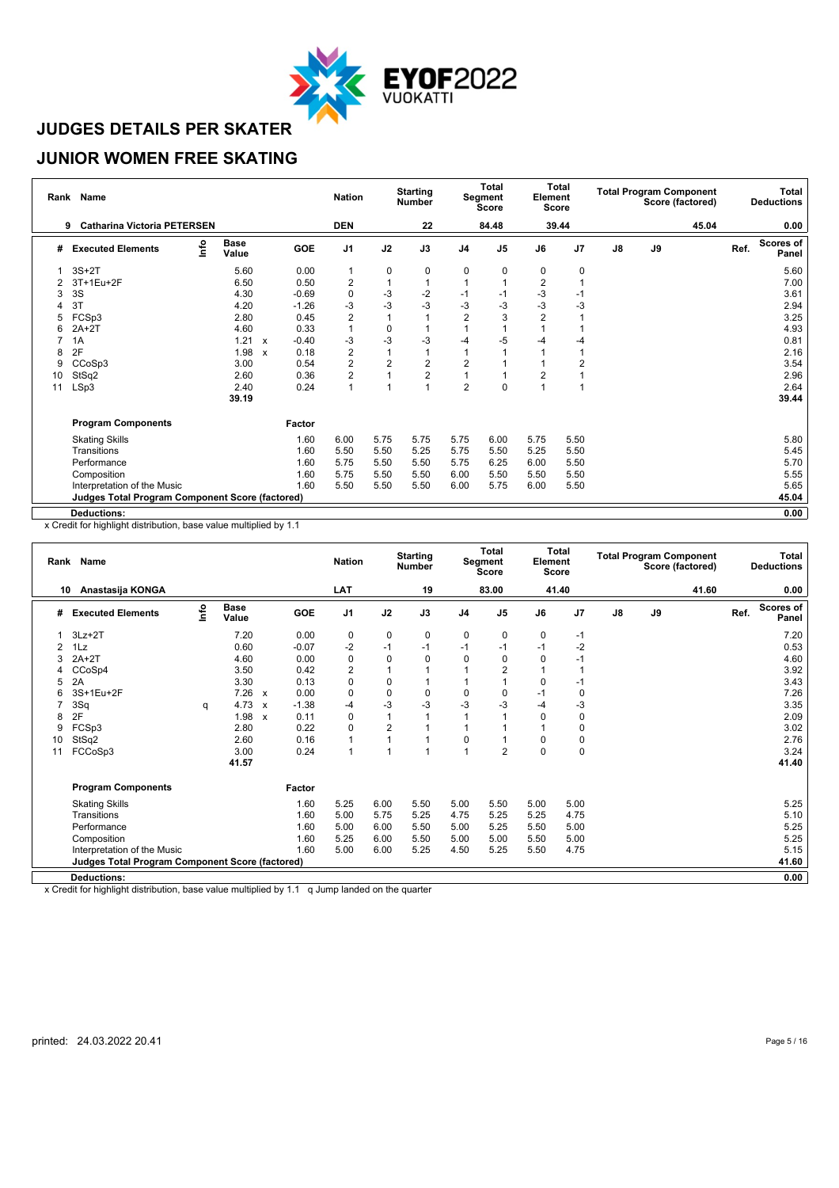

#### **JUNIOR WOMEN FREE SKATING**

| Rank | <b>Name</b>                                            |      |                      |              |         | <b>Nation</b>           |                | <b>Starting</b><br><b>Number</b> |                | <b>Total</b><br>Segment<br><b>Score</b> | Element | <b>Total</b><br><b>Score</b> |               |    | <b>Total Program Component</b><br>Score (factored) |      | <b>Total</b><br><b>Deductions</b> |
|------|--------------------------------------------------------|------|----------------------|--------------|---------|-------------------------|----------------|----------------------------------|----------------|-----------------------------------------|---------|------------------------------|---------------|----|----------------------------------------------------|------|-----------------------------------|
|      | <b>Catharina Victoria PETERSEN</b><br>9.               |      |                      |              |         | <b>DEN</b>              |                | 22                               |                | 84.48                                   |         | 39.44                        |               |    | 45.04                                              |      | 0.00                              |
| #    | <b>Executed Elements</b>                               | ١nfo | <b>Base</b><br>Value |              | GOE     | J1                      | J2             | J3                               | J <sub>4</sub> | J <sub>5</sub>                          | J6      | J <sub>7</sub>               | $\mathsf{J}8$ | J9 |                                                    | Ref. | <b>Scores of</b><br>Panel         |
|      | $3S+2T$                                                |      | 5.60                 |              | 0.00    | 1                       | 0              | 0                                | 0              | 0                                       | 0       | 0                            |               |    |                                                    |      | 5.60                              |
| 2    | 3T+1Eu+2F                                              |      | 6.50                 |              | 0.50    | $\overline{\mathbf{c}}$ | 1              |                                  |                |                                         | 2       |                              |               |    |                                                    |      | 7.00                              |
|      | 3S                                                     |      | 4.30                 |              | $-0.69$ | 0                       | $-3$           | $-2$                             | -1             | -1                                      | $-3$    | $-1$                         |               |    |                                                    |      | 3.61                              |
| 4    | 3T                                                     |      | 4.20                 |              | $-1.26$ | $-3$                    | $-3$           | -3                               | -3             | $-3$                                    | -3      | -3                           |               |    |                                                    |      | 2.94                              |
| 5    | FCSp3                                                  |      | 2.80                 |              | 0.45    | 2                       | 1              |                                  | 2              | 3                                       | 2       |                              |               |    |                                                    |      | 3.25                              |
| 6    | $2A+2T$                                                |      | 4.60                 |              | 0.33    |                         | 0              |                                  |                |                                         |         |                              |               |    |                                                    |      | 4.93                              |
|      | 1A                                                     |      | 1.21                 | $\mathsf{x}$ | $-0.40$ | $-3$                    | $-3$           | -3                               | -4             | -5                                      | $-4$    | -4                           |               |    |                                                    |      | 0.81                              |
| 8    | 2F                                                     |      | 1.98                 | X            | 0.18    | $\overline{\mathbf{c}}$ | 1              |                                  |                |                                         |         |                              |               |    |                                                    |      | 2.16                              |
| 9    | CCoSp3                                                 |      | 3.00                 |              | 0.54    | 2                       | $\overline{2}$ | 2                                | $\overline{c}$ |                                         |         | $\overline{2}$               |               |    |                                                    |      | 3.54                              |
| 10   | StSq2                                                  |      | 2.60                 |              | 0.36    | $\overline{2}$          |                | $\overline{\mathbf{c}}$          |                |                                         | 2       |                              |               |    |                                                    |      | 2.96                              |
| 11   | LSp3                                                   |      | 2.40                 |              | 0.24    |                         |                |                                  | $\overline{2}$ | $\Omega$                                |         | 1                            |               |    |                                                    |      | 2.64                              |
|      |                                                        |      | 39.19                |              |         |                         |                |                                  |                |                                         |         |                              |               |    |                                                    |      | 39.44                             |
|      | <b>Program Components</b>                              |      |                      |              | Factor  |                         |                |                                  |                |                                         |         |                              |               |    |                                                    |      |                                   |
|      | <b>Skating Skills</b>                                  |      |                      |              | 1.60    | 6.00                    | 5.75           | 5.75                             | 5.75           | 6.00                                    | 5.75    | 5.50                         |               |    |                                                    |      | 5.80                              |
|      | Transitions                                            |      |                      |              | 1.60    | 5.50                    | 5.50           | 5.25                             | 5.75           | 5.50                                    | 5.25    | 5.50                         |               |    |                                                    |      | 5.45                              |
|      | Performance                                            |      |                      |              | 1.60    | 5.75                    | 5.50           | 5.50                             | 5.75           | 6.25                                    | 6.00    | 5.50                         |               |    |                                                    |      | 5.70                              |
|      | Composition                                            |      |                      |              | 1.60    | 5.75                    | 5.50           | 5.50                             | 6.00           | 5.50                                    | 5.50    | 5.50                         |               |    |                                                    |      | 5.55                              |
|      | Interpretation of the Music                            |      |                      |              | 1.60    | 5.50                    | 5.50           | 5.50                             | 6.00           | 5.75                                    | 6.00    | 5.50                         |               |    |                                                    |      | 5.65                              |
|      | <b>Judges Total Program Component Score (factored)</b> |      |                      |              |         |                         |                |                                  |                |                                         |         |                              |               |    |                                                    |      | 45.04                             |
|      | <b>Deductions:</b>                                     |      |                      |              |         |                         |                |                                  |                |                                         |         |                              |               |    |                                                    |      | 0.00                              |

x Credit for highlight distribution, base value multiplied by 1.1

| Rank | <b>Name</b>                                            |      |                      |                           |         | <b>Nation</b>           |                | <b>Starting</b><br><b>Number</b> |                | <b>Total</b><br>Segment<br><b>Score</b> | Element  | <b>Total</b><br>Score |               | <b>Total Program Component</b><br>Score (factored) |      | <b>Total</b><br><b>Deductions</b> |
|------|--------------------------------------------------------|------|----------------------|---------------------------|---------|-------------------------|----------------|----------------------------------|----------------|-----------------------------------------|----------|-----------------------|---------------|----------------------------------------------------|------|-----------------------------------|
| 10   | Anastasija KONGA                                       |      |                      |                           |         | LAT                     |                | 19                               |                | 83.00                                   |          | 41.40                 |               | 41.60                                              |      | 0.00                              |
| #    | <b>Executed Elements</b>                               | lnfo | <b>Base</b><br>Value |                           | GOE     | J1                      | J2             | J3                               | J <sub>4</sub> | J <sub>5</sub>                          | J6       | J7                    | $\mathsf{J}8$ | J9                                                 | Ref. | <b>Scores of</b><br>Panel         |
|      | $3Lz + 2T$                                             |      | 7.20                 |                           | 0.00    | 0                       | 0              | 0                                | 0              | 0                                       | 0        | $-1$                  |               |                                                    |      | 7.20                              |
| 2    | 1Lz                                                    |      | 0.60                 |                           | $-0.07$ | $-2$                    | $-1$           | $-1$                             | $-1$           | $-1$                                    | $-1$     | $-2$                  |               |                                                    |      | 0.53                              |
| 3    | $2A+2T$                                                |      | 4.60                 |                           | 0.00    | 0                       | $\mathbf 0$    | 0                                | 0              | 0                                       | 0        | $-1$                  |               |                                                    |      | 4.60                              |
| 4    | CCoSp4                                                 |      | 3.50                 |                           | 0.42    | $\overline{\mathbf{c}}$ | 1              |                                  |                | 2                                       |          | 1                     |               |                                                    |      | 3.92                              |
| 5    | 2A                                                     |      | 3.30                 |                           | 0.13    | 0                       | 0              |                                  |                |                                         | 0        | $-1$                  |               |                                                    |      | 3.43                              |
| 6    | 3S+1Eu+2F                                              |      | 7.26                 | $\mathsf{x}$              | 0.00    | 0                       | $\mathbf 0$    | 0                                | $\mathbf 0$    | $\Omega$                                | $-1$     | 0                     |               |                                                    |      | 7.26                              |
|      | 3Sq                                                    | q    | 4.73                 | $\boldsymbol{\mathsf{x}}$ | $-1.38$ | $-4$                    | $-3$           | $-3$                             | -3             | -3                                      | $-4$     | -3                    |               |                                                    |      | 3.35                              |
| 8    | 2F                                                     |      | 1.98                 | $\boldsymbol{\mathsf{x}}$ | 0.11    | $\mathbf 0$             | $\overline{ }$ |                                  | $\overline{A}$ |                                         | $\Omega$ | 0                     |               |                                                    |      | 2.09                              |
| 9    | FCSp3                                                  |      | 2.80                 |                           | 0.22    | 0                       | $\overline{2}$ |                                  |                |                                         |          | 0                     |               |                                                    |      | 3.02                              |
| 10   | StSq2                                                  |      | 2.60                 |                           | 0.16    | 1                       | 1              |                                  | $\mathbf 0$    |                                         | 0        | 0                     |               |                                                    |      | 2.76                              |
| 11   | FCCoSp3                                                |      | 3.00                 |                           | 0.24    | 1                       | и              |                                  | $\overline{ }$ | $\overline{2}$                          | 0        | 0                     |               |                                                    |      | 3.24                              |
|      |                                                        |      | 41.57                |                           |         |                         |                |                                  |                |                                         |          |                       |               |                                                    |      | 41.40                             |
|      | <b>Program Components</b>                              |      |                      |                           | Factor  |                         |                |                                  |                |                                         |          |                       |               |                                                    |      |                                   |
|      | <b>Skating Skills</b>                                  |      |                      |                           | 1.60    | 5.25                    | 6.00           | 5.50                             | 5.00           | 5.50                                    | 5.00     | 5.00                  |               |                                                    |      | 5.25                              |
|      | Transitions                                            |      |                      |                           | 1.60    | 5.00                    | 5.75           | 5.25                             | 4.75           | 5.25                                    | 5.25     | 4.75                  |               |                                                    |      | 5.10                              |
|      | Performance                                            |      |                      |                           | 1.60    | 5.00                    | 6.00           | 5.50                             | 5.00           | 5.25                                    | 5.50     | 5.00                  |               |                                                    |      | 5.25                              |
|      | Composition                                            |      |                      |                           | 1.60    | 5.25                    | 6.00           | 5.50                             | 5.00           | 5.00                                    | 5.50     | 5.00                  |               |                                                    |      | 5.25                              |
|      | Interpretation of the Music                            |      |                      |                           | 1.60    | 5.00                    | 6.00           | 5.25                             | 4.50           | 5.25                                    | 5.50     | 4.75                  |               |                                                    |      | 5.15                              |
|      | <b>Judges Total Program Component Score (factored)</b> |      |                      |                           |         |                         |                |                                  |                |                                         |          |                       |               |                                                    |      | 41.60                             |
|      | <b>Deductions:</b>                                     |      |                      |                           |         |                         |                |                                  |                |                                         |          |                       |               |                                                    |      | 0.00                              |
|      |                                                        |      |                      |                           |         |                         |                |                                  |                |                                         |          |                       |               |                                                    |      |                                   |

x Credit for highlight distribution, base value multiplied by 1.1 q Jump landed on the quarter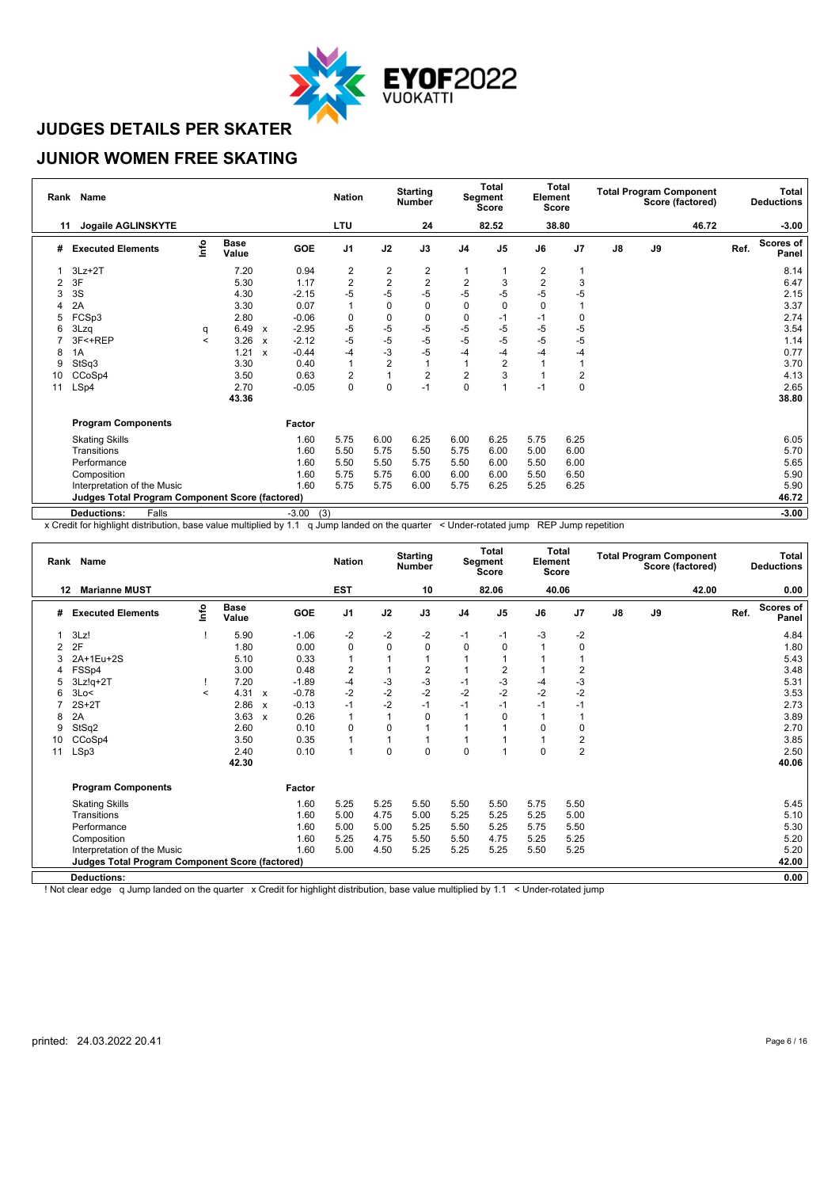

#### **JUNIOR WOMEN FREE SKATING**

| Rank | Name                                                   |         |                      |                           |                | <b>Nation</b>           |                | <b>Starting</b><br><b>Number</b> |                | Total<br>Segment<br><b>Score</b> | Element        | Total<br>Score |               |    | <b>Total Program Component</b><br>Score (factored) |      | Total<br><b>Deductions</b> |
|------|--------------------------------------------------------|---------|----------------------|---------------------------|----------------|-------------------------|----------------|----------------------------------|----------------|----------------------------------|----------------|----------------|---------------|----|----------------------------------------------------|------|----------------------------|
| 11   | Jogaile AGLINSKYTE                                     |         |                      |                           |                | <b>LTU</b>              |                | 24                               |                | 82.52                            |                | 38.80          |               |    | 46.72                                              |      | $-3.00$                    |
| #    | <b>Executed Elements</b>                               | ۴o      | <b>Base</b><br>Value |                           | GOE            | J <sub>1</sub>          | J2             | J3                               | J <sub>4</sub> | J <sub>5</sub>                   | J6             | J <sub>7</sub> | $\mathsf{J}8$ | J9 |                                                    | Ref. | Scores of<br>Panel         |
|      | $3Lz + 2T$                                             |         | 7.20                 |                           | 0.94           | $\overline{\mathbf{c}}$ | $\overline{2}$ | 2                                |                |                                  | 2              |                |               |    |                                                    |      | 8.14                       |
| 2    | 3F                                                     |         | 5.30                 |                           | 1.17           | $\overline{c}$          | $\overline{2}$ | $\overline{c}$                   | $\overline{2}$ | 3                                | $\overline{2}$ | 3              |               |    |                                                    |      | 6.47                       |
| 3    | 3S                                                     |         | 4.30                 |                           | $-2.15$        | $-5$                    | $-5$           | $-5$                             | $-5$           | -5                               | $-5$           | -5             |               |    |                                                    |      | 2.15                       |
|      | 2A                                                     |         | 3.30                 |                           | 0.07           | $\mathbf{1}$            | $\mathbf 0$    | 0                                | $\mathbf 0$    | 0                                | 0              |                |               |    |                                                    |      | 3.37                       |
| 5    | FCSp3                                                  |         | 2.80                 |                           | $-0.06$        | 0                       | $\mathbf 0$    | 0                                | $\mathbf 0$    | -1                               | $-1$           | 0              |               |    |                                                    |      | 2.74                       |
| 6    | 3Lzq                                                   | q       | 6.49                 | $\boldsymbol{\mathsf{x}}$ | $-2.95$        | -5                      | $-5$           | $-5$                             | $-5$           | -5                               | -5             | -5             |               |    |                                                    |      | 3.54                       |
|      | 3F<+REP                                                | $\,<\,$ | 3.26                 | $\boldsymbol{\mathsf{x}}$ | $-2.12$        | -5                      | $-5$           | $-5$                             | $-5$           | -5                               | -5             | -5             |               |    |                                                    |      | 1.14                       |
| 8    | 1A                                                     |         | 1.21                 | X                         | $-0.44$        | $-4$                    | $-3$           | $-5$                             | $-4$           | $-4$                             | $-4$           | -4             |               |    |                                                    |      | 0.77                       |
| 9    | StSq3                                                  |         | 3.30                 |                           | 0.40           | $\mathbf{1}$            | $\overline{2}$ |                                  | 1              | 2                                |                |                |               |    |                                                    |      | 3.70                       |
| 10   | CCoSp4                                                 |         | 3.50                 |                           | 0.63           | $\boldsymbol{2}$        | 1              | $\overline{c}$                   | $\overline{2}$ | 3                                |                | $\overline{2}$ |               |    |                                                    |      | 4.13                       |
| 11   | LSp4                                                   |         | 2.70                 |                           | $-0.05$        | 0                       | $\mathbf 0$    | $-1$                             | 0              |                                  | $-1$           | 0              |               |    |                                                    |      | 2.65                       |
|      |                                                        |         | 43.36                |                           |                |                         |                |                                  |                |                                  |                |                |               |    |                                                    |      | 38.80                      |
|      | <b>Program Components</b>                              |         |                      |                           | Factor         |                         |                |                                  |                |                                  |                |                |               |    |                                                    |      |                            |
|      | <b>Skating Skills</b>                                  |         |                      |                           | 1.60           | 5.75                    | 6.00           | 6.25                             | 6.00           | 6.25                             | 5.75           | 6.25           |               |    |                                                    |      | 6.05                       |
|      | Transitions                                            |         |                      |                           | 1.60           | 5.50                    | 5.75           | 5.50                             | 5.75           | 6.00                             | 5.00           | 6.00           |               |    |                                                    |      | 5.70                       |
|      | Performance                                            |         |                      |                           | 1.60           | 5.50                    | 5.50           | 5.75                             | 5.50           | 6.00                             | 5.50           | 6.00           |               |    |                                                    |      | 5.65                       |
|      | Composition                                            |         |                      |                           | 1.60           | 5.75                    | 5.75           | 6.00                             | 6.00           | 6.00                             | 5.50           | 6.50           |               |    |                                                    |      | 5.90                       |
|      | Interpretation of the Music                            |         |                      |                           | 1.60           | 5.75                    | 5.75           | 6.00                             | 5.75           | 6.25                             | 5.25           | 6.25           |               |    |                                                    |      | 5.90                       |
|      | <b>Judges Total Program Component Score (factored)</b> |         |                      |                           |                |                         |                |                                  |                |                                  |                |                |               |    |                                                    |      | 46.72                      |
|      | Falls<br><b>Deductions:</b>                            |         |                      |                           | $-3.00$<br>(3) |                         |                |                                  |                |                                  |                |                |               |    |                                                    |      | $-3.00$                    |

x Credit for highlight distribution, base value multiplied by 1.1 q Jump landed on the quarter < Under-rotated jump REP Jump repetition

| <b>EST</b><br>82.06<br>40.06<br>42.00<br>0.00<br><b>Marianne MUST</b><br>10<br>12<br>lnfo<br><b>Base</b><br>Scores of<br><b>GOE</b><br>J <sub>1</sub><br>J2<br>J3<br>J <sub>7</sub><br>$\mathsf{J}8$<br>J9<br>Ref.<br>J <sub>4</sub><br>J <sub>5</sub><br>J6<br><b>Executed Elements</b><br>#<br>Value<br>Panel<br>$-2$<br>$-2$<br>3Lz!<br>5.90<br>$-1.06$<br>$-2$<br>-3<br>-2<br>4.84<br>$-1$<br>$-1$<br>$\mathbf 0$<br>2F<br>1.80<br>0.00<br>0<br>0<br>$\mathbf 0$<br>$\Omega$<br>0<br>1.80<br>5.10<br>0.33<br>2A+1Eu+2S<br>1<br>5.43<br>3<br>$\overline{\mathbf{c}}$<br>$\overline{\mathbf{c}}$<br>FSSp4<br>3.00<br>0.48<br>2<br>3.48<br>$\overline{2}$<br>$-3$<br>-3<br>$-3$<br>-3<br>7.20<br>$-1.89$<br>-4<br>5.31<br>$3Lz!q+2T$<br>-1<br>-4<br>$-2$<br>$-2$<br>$-2$<br>$-2$<br>$-2$<br>$-2$<br>$-2$<br>4.31<br>$-0.78$<br>3Lo<<br>3.53<br>$\overline{\phantom{a}}$<br>$\boldsymbol{\mathsf{x}}$<br>6<br>$-2$<br>$2S+2T$<br>2.86<br>$-0.13$<br>$-1$<br>$-1$<br>2.73<br>$-1$<br>$-1$<br>$-1$<br>$-1$<br>$\mathbf{x}$<br>$\overline{1}$<br>2A<br>3.63<br>0.26<br>0<br>3.89<br>1<br>$\Omega$<br>8<br>$\boldsymbol{\mathsf{x}}$<br>2.60<br>0.10<br>$\mathbf 0$<br>2.70<br>StSq2<br>0<br>0<br>$\Omega$<br>9<br>$\overline{2}$<br>1<br>1<br>3.85<br>CCoSp4<br>3.50<br>0.35<br>10<br>$\overline{2}$<br>2.40<br>0.10<br>0<br>$\mathbf 0$<br>LSp3<br>$\mathbf{1}$<br>0<br>$\Omega$<br>2.50<br>11<br>42.30<br>40.06<br><b>Program Components</b><br>Factor<br>5.50<br>1.60<br>5.25<br>5.25<br>5.50<br>5.50<br>5.75<br>5.50<br>5.45<br><b>Skating Skills</b><br>Transitions<br>1.60<br>4.75<br>5.25<br>5.25<br>5.25<br>5.00<br>5.10<br>5.00<br>5.00<br>5.30<br>Performance<br>1.60<br>5.00<br>5.00<br>5.25<br>5.75<br>5.50<br>5.25<br>5.50<br>1.60<br>5.25<br>4.75<br>5.25<br>5.25<br>5.20<br>Composition<br>4.75<br>5.50<br>5.50<br>1.60<br>5.00<br>4.50<br>5.25<br>5.50<br>5.25<br>5.20<br>Interpretation of the Music<br>5.25<br>5.25<br><b>Judges Total Program Component Score (factored)</b><br>42.00 | Rank Name          |  |  | <b>Nation</b> | <b>Starting</b><br><b>Number</b> | Total<br>Segment<br><b>Score</b> | Element | <b>Total</b><br>Score |  | <b>Total Program Component</b><br>Score (factored) | Total<br><b>Deductions</b> |
|-------------------------------------------------------------------------------------------------------------------------------------------------------------------------------------------------------------------------------------------------------------------------------------------------------------------------------------------------------------------------------------------------------------------------------------------------------------------------------------------------------------------------------------------------------------------------------------------------------------------------------------------------------------------------------------------------------------------------------------------------------------------------------------------------------------------------------------------------------------------------------------------------------------------------------------------------------------------------------------------------------------------------------------------------------------------------------------------------------------------------------------------------------------------------------------------------------------------------------------------------------------------------------------------------------------------------------------------------------------------------------------------------------------------------------------------------------------------------------------------------------------------------------------------------------------------------------------------------------------------------------------------------------------------------------------------------------------------------------------------------------------------------------------------------------------------------------------------------------------------------------------------------------------------------------------------------------------------------------------------------------|--------------------|--|--|---------------|----------------------------------|----------------------------------|---------|-----------------------|--|----------------------------------------------------|----------------------------|
|                                                                                                                                                                                                                                                                                                                                                                                                                                                                                                                                                                                                                                                                                                                                                                                                                                                                                                                                                                                                                                                                                                                                                                                                                                                                                                                                                                                                                                                                                                                                                                                                                                                                                                                                                                                                                                                                                                                                                                                                       |                    |  |  |               |                                  |                                  |         |                       |  |                                                    |                            |
|                                                                                                                                                                                                                                                                                                                                                                                                                                                                                                                                                                                                                                                                                                                                                                                                                                                                                                                                                                                                                                                                                                                                                                                                                                                                                                                                                                                                                                                                                                                                                                                                                                                                                                                                                                                                                                                                                                                                                                                                       |                    |  |  |               |                                  |                                  |         |                       |  |                                                    |                            |
|                                                                                                                                                                                                                                                                                                                                                                                                                                                                                                                                                                                                                                                                                                                                                                                                                                                                                                                                                                                                                                                                                                                                                                                                                                                                                                                                                                                                                                                                                                                                                                                                                                                                                                                                                                                                                                                                                                                                                                                                       |                    |  |  |               |                                  |                                  |         |                       |  |                                                    |                            |
|                                                                                                                                                                                                                                                                                                                                                                                                                                                                                                                                                                                                                                                                                                                                                                                                                                                                                                                                                                                                                                                                                                                                                                                                                                                                                                                                                                                                                                                                                                                                                                                                                                                                                                                                                                                                                                                                                                                                                                                                       |                    |  |  |               |                                  |                                  |         |                       |  |                                                    |                            |
|                                                                                                                                                                                                                                                                                                                                                                                                                                                                                                                                                                                                                                                                                                                                                                                                                                                                                                                                                                                                                                                                                                                                                                                                                                                                                                                                                                                                                                                                                                                                                                                                                                                                                                                                                                                                                                                                                                                                                                                                       |                    |  |  |               |                                  |                                  |         |                       |  |                                                    |                            |
|                                                                                                                                                                                                                                                                                                                                                                                                                                                                                                                                                                                                                                                                                                                                                                                                                                                                                                                                                                                                                                                                                                                                                                                                                                                                                                                                                                                                                                                                                                                                                                                                                                                                                                                                                                                                                                                                                                                                                                                                       |                    |  |  |               |                                  |                                  |         |                       |  |                                                    |                            |
|                                                                                                                                                                                                                                                                                                                                                                                                                                                                                                                                                                                                                                                                                                                                                                                                                                                                                                                                                                                                                                                                                                                                                                                                                                                                                                                                                                                                                                                                                                                                                                                                                                                                                                                                                                                                                                                                                                                                                                                                       |                    |  |  |               |                                  |                                  |         |                       |  |                                                    |                            |
|                                                                                                                                                                                                                                                                                                                                                                                                                                                                                                                                                                                                                                                                                                                                                                                                                                                                                                                                                                                                                                                                                                                                                                                                                                                                                                                                                                                                                                                                                                                                                                                                                                                                                                                                                                                                                                                                                                                                                                                                       |                    |  |  |               |                                  |                                  |         |                       |  |                                                    |                            |
|                                                                                                                                                                                                                                                                                                                                                                                                                                                                                                                                                                                                                                                                                                                                                                                                                                                                                                                                                                                                                                                                                                                                                                                                                                                                                                                                                                                                                                                                                                                                                                                                                                                                                                                                                                                                                                                                                                                                                                                                       |                    |  |  |               |                                  |                                  |         |                       |  |                                                    |                            |
|                                                                                                                                                                                                                                                                                                                                                                                                                                                                                                                                                                                                                                                                                                                                                                                                                                                                                                                                                                                                                                                                                                                                                                                                                                                                                                                                                                                                                                                                                                                                                                                                                                                                                                                                                                                                                                                                                                                                                                                                       |                    |  |  |               |                                  |                                  |         |                       |  |                                                    |                            |
|                                                                                                                                                                                                                                                                                                                                                                                                                                                                                                                                                                                                                                                                                                                                                                                                                                                                                                                                                                                                                                                                                                                                                                                                                                                                                                                                                                                                                                                                                                                                                                                                                                                                                                                                                                                                                                                                                                                                                                                                       |                    |  |  |               |                                  |                                  |         |                       |  |                                                    |                            |
|                                                                                                                                                                                                                                                                                                                                                                                                                                                                                                                                                                                                                                                                                                                                                                                                                                                                                                                                                                                                                                                                                                                                                                                                                                                                                                                                                                                                                                                                                                                                                                                                                                                                                                                                                                                                                                                                                                                                                                                                       |                    |  |  |               |                                  |                                  |         |                       |  |                                                    |                            |
|                                                                                                                                                                                                                                                                                                                                                                                                                                                                                                                                                                                                                                                                                                                                                                                                                                                                                                                                                                                                                                                                                                                                                                                                                                                                                                                                                                                                                                                                                                                                                                                                                                                                                                                                                                                                                                                                                                                                                                                                       |                    |  |  |               |                                  |                                  |         |                       |  |                                                    |                            |
|                                                                                                                                                                                                                                                                                                                                                                                                                                                                                                                                                                                                                                                                                                                                                                                                                                                                                                                                                                                                                                                                                                                                                                                                                                                                                                                                                                                                                                                                                                                                                                                                                                                                                                                                                                                                                                                                                                                                                                                                       |                    |  |  |               |                                  |                                  |         |                       |  |                                                    |                            |
|                                                                                                                                                                                                                                                                                                                                                                                                                                                                                                                                                                                                                                                                                                                                                                                                                                                                                                                                                                                                                                                                                                                                                                                                                                                                                                                                                                                                                                                                                                                                                                                                                                                                                                                                                                                                                                                                                                                                                                                                       |                    |  |  |               |                                  |                                  |         |                       |  |                                                    |                            |
|                                                                                                                                                                                                                                                                                                                                                                                                                                                                                                                                                                                                                                                                                                                                                                                                                                                                                                                                                                                                                                                                                                                                                                                                                                                                                                                                                                                                                                                                                                                                                                                                                                                                                                                                                                                                                                                                                                                                                                                                       |                    |  |  |               |                                  |                                  |         |                       |  |                                                    |                            |
|                                                                                                                                                                                                                                                                                                                                                                                                                                                                                                                                                                                                                                                                                                                                                                                                                                                                                                                                                                                                                                                                                                                                                                                                                                                                                                                                                                                                                                                                                                                                                                                                                                                                                                                                                                                                                                                                                                                                                                                                       |                    |  |  |               |                                  |                                  |         |                       |  |                                                    |                            |
|                                                                                                                                                                                                                                                                                                                                                                                                                                                                                                                                                                                                                                                                                                                                                                                                                                                                                                                                                                                                                                                                                                                                                                                                                                                                                                                                                                                                                                                                                                                                                                                                                                                                                                                                                                                                                                                                                                                                                                                                       |                    |  |  |               |                                  |                                  |         |                       |  |                                                    |                            |
|                                                                                                                                                                                                                                                                                                                                                                                                                                                                                                                                                                                                                                                                                                                                                                                                                                                                                                                                                                                                                                                                                                                                                                                                                                                                                                                                                                                                                                                                                                                                                                                                                                                                                                                                                                                                                                                                                                                                                                                                       |                    |  |  |               |                                  |                                  |         |                       |  |                                                    |                            |
|                                                                                                                                                                                                                                                                                                                                                                                                                                                                                                                                                                                                                                                                                                                                                                                                                                                                                                                                                                                                                                                                                                                                                                                                                                                                                                                                                                                                                                                                                                                                                                                                                                                                                                                                                                                                                                                                                                                                                                                                       |                    |  |  |               |                                  |                                  |         |                       |  |                                                    |                            |
|                                                                                                                                                                                                                                                                                                                                                                                                                                                                                                                                                                                                                                                                                                                                                                                                                                                                                                                                                                                                                                                                                                                                                                                                                                                                                                                                                                                                                                                                                                                                                                                                                                                                                                                                                                                                                                                                                                                                                                                                       |                    |  |  |               |                                  |                                  |         |                       |  |                                                    |                            |
|                                                                                                                                                                                                                                                                                                                                                                                                                                                                                                                                                                                                                                                                                                                                                                                                                                                                                                                                                                                                                                                                                                                                                                                                                                                                                                                                                                                                                                                                                                                                                                                                                                                                                                                                                                                                                                                                                                                                                                                                       | <b>Deductions:</b> |  |  |               |                                  |                                  |         |                       |  |                                                    | 0.00                       |

! Not clear edge q Jump landed on the quarter x Credit for highlight distribution, base value multiplied by 1.1 < Under-rotated jump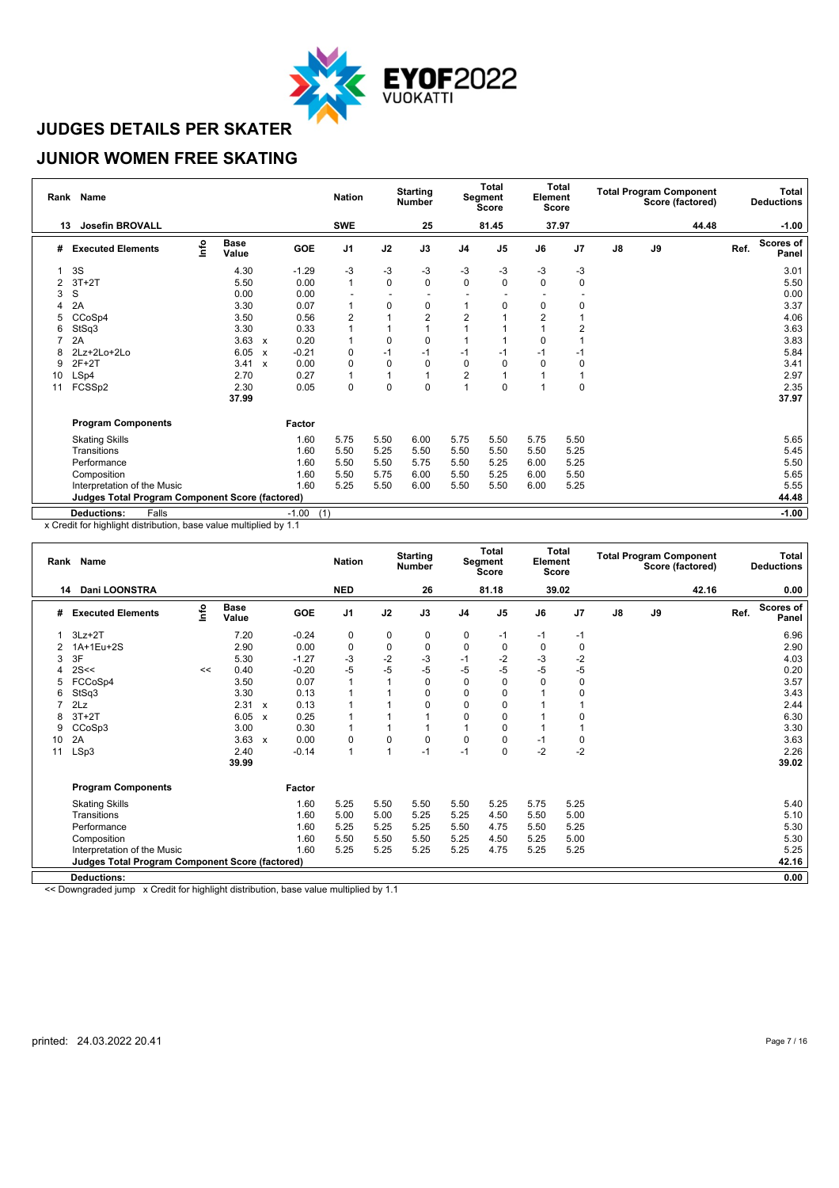

#### **JUNIOR WOMEN FREE SKATING**

| Rank           | <b>Name</b>                                            |      |                      |                           |                | <b>Nation</b>  |             | <b>Starting</b><br><b>Number</b> |                | Total<br>Segment<br>Score | Element<br><b>Score</b> | <b>Total</b> |               |    | <b>Total Program Component</b><br>Score (factored) |      | <b>Total</b><br><b>Deductions</b> |
|----------------|--------------------------------------------------------|------|----------------------|---------------------------|----------------|----------------|-------------|----------------------------------|----------------|---------------------------|-------------------------|--------------|---------------|----|----------------------------------------------------|------|-----------------------------------|
| 13             | <b>Josefin BROVALL</b>                                 |      |                      |                           |                | <b>SWE</b>     |             | 25                               |                | 81.45                     |                         | 37.97        |               |    | 44.48                                              |      | $-1.00$                           |
| #              | <b>Executed Elements</b>                               | lnfo | <b>Base</b><br>Value |                           | GOE            | J <sub>1</sub> | J2          | J3                               | J <sub>4</sub> | J <sub>5</sub>            | J6                      | J7           | $\mathsf{J}8$ | J9 |                                                    | Ref. | <b>Scores of</b><br>Panel         |
|                | 3S                                                     |      | 4.30                 |                           | $-1.29$        | $-3$           | $-3$        | -3                               | -3             | -3                        | -3                      | -3           |               |    |                                                    |      | 3.01                              |
| $\overline{2}$ | $3T+2T$                                                |      | 5.50                 |                           | 0.00           | $\overline{1}$ | $\mathbf 0$ | $\mathbf 0$                      | $\mathbf 0$    | $\Omega$                  | 0                       | 0            |               |    |                                                    |      | 5.50                              |
| 3              | S                                                      |      | 0.00                 |                           | 0.00           |                |             |                                  |                |                           |                         |              |               |    |                                                    |      | 0.00                              |
|                | 2A                                                     |      | 3.30                 |                           | 0.07           |                | 0           | 0                                |                | $\Omega$                  | 0                       | 0            |               |    |                                                    |      | 3.37                              |
|                | CCoSp4                                                 |      | 3.50                 |                           | 0.56           | 2              |             | $\overline{c}$                   | $\overline{2}$ |                           | $\overline{2}$          |              |               |    |                                                    |      | 4.06                              |
| 6              | StSq3                                                  |      | 3.30                 |                           | 0.33           |                |             |                                  |                |                           |                         | 2            |               |    |                                                    |      | 3.63                              |
|                | 2A                                                     |      | 3.63                 | $\boldsymbol{\mathsf{x}}$ | 0.20           |                | 0           | $\Omega$                         |                |                           | 0                       | 1            |               |    |                                                    |      | 3.83                              |
| 8              | 2Lz+2Lo+2Lo                                            |      | 6.05                 | $\boldsymbol{\mathsf{x}}$ | $-0.21$        | 0              | $-1$        | $-1$                             | $-1$           | $-1$                      | $-1$                    | $-1$         |               |    |                                                    |      | 5.84                              |
| 9              | $2F+2T$                                                |      | 3.41                 | $\boldsymbol{\mathsf{x}}$ | 0.00           | 0              | 0           | 0                                | 0              | $\Omega$                  | 0                       | 0            |               |    |                                                    |      | 3.41                              |
| 10             | LSp4                                                   |      | 2.70                 |                           | 0.27           | 1              |             |                                  | $\overline{2}$ |                           |                         | 1            |               |    |                                                    |      | 2.97                              |
| 11             | FCSSp2                                                 |      | 2.30                 |                           | 0.05           | 0              | 0           | $\Omega$                         |                | $\Omega$                  |                         | 0            |               |    |                                                    |      | 2.35                              |
|                |                                                        |      | 37.99                |                           |                |                |             |                                  |                |                           |                         |              |               |    |                                                    |      | 37.97                             |
|                | <b>Program Components</b>                              |      |                      |                           | Factor         |                |             |                                  |                |                           |                         |              |               |    |                                                    |      |                                   |
|                | <b>Skating Skills</b>                                  |      |                      |                           | 1.60           | 5.75           | 5.50        | 6.00                             | 5.75           | 5.50                      | 5.75                    | 5.50         |               |    |                                                    |      | 5.65                              |
|                | Transitions                                            |      |                      |                           | 1.60           | 5.50           | 5.25        | 5.50                             | 5.50           | 5.50                      | 5.50                    | 5.25         |               |    |                                                    |      | 5.45                              |
|                | Performance                                            |      |                      |                           | 1.60           | 5.50           | 5.50        | 5.75                             | 5.50           | 5.25                      | 6.00                    | 5.25         |               |    |                                                    |      | 5.50                              |
|                | Composition                                            |      |                      |                           | 1.60           | 5.50           | 5.75        | 6.00                             | 5.50           | 5.25                      | 6.00                    | 5.50         |               |    |                                                    |      | 5.65                              |
|                | Interpretation of the Music                            |      |                      |                           | 1.60           | 5.25           | 5.50        | 6.00                             | 5.50           | 5.50                      | 6.00                    | 5.25         |               |    |                                                    |      | 5.55                              |
|                | <b>Judges Total Program Component Score (factored)</b> |      |                      |                           |                |                |             |                                  |                |                           |                         |              |               |    |                                                    |      | 44.48                             |
|                | <b>Deductions:</b><br>Falls                            |      |                      |                           | $-1.00$<br>(1) |                |             |                                  |                |                           |                         |              |               |    |                                                    |      | $-1.00$                           |

x Credit for highlight distribution, base value multiplied by 1.1

|    | Rank Name                                                                                                                                                        |      |                      |  |            | <b>Nation</b>  |                | <b>Starting</b><br><b>Number</b> |      | Total<br>Segment<br><b>Score</b> | Element | Total<br>Score |               |    | <b>Total Program Component</b><br>Score (factored) |      | Total<br><b>Deductions</b> |
|----|------------------------------------------------------------------------------------------------------------------------------------------------------------------|------|----------------------|--|------------|----------------|----------------|----------------------------------|------|----------------------------------|---------|----------------|---------------|----|----------------------------------------------------|------|----------------------------|
| 14 | <b>Dani LOONSTRA</b>                                                                                                                                             |      |                      |  |            | <b>NED</b>     |                | 26                               |      | 81.18                            |         | 39.02          |               |    | 42.16                                              |      | 0.00                       |
| #  | <b>Executed Elements</b>                                                                                                                                         | lnfo | <b>Base</b><br>Value |  | <b>GOE</b> | J <sub>1</sub> | J2             | J3                               | J4   | J <sub>5</sub>                   | J6      | J7             | $\mathsf{J}8$ | J9 |                                                    | Ref. | <b>Scores of</b><br>Panel  |
| 1  | $3Lz + 2T$                                                                                                                                                       |      | 7.20                 |  | $-0.24$    | 0              | 0              | 0                                | 0    | -1                               | $-1$    | $-1$           |               |    |                                                    |      | 6.96                       |
|    | 1A+1Eu+2S                                                                                                                                                        |      | 2.90                 |  | 0.00       | $\mathbf 0$    | $\mathbf 0$    | 0                                | 0    | 0                                | 0       | $\mathbf 0$    |               |    |                                                    |      | 2.90                       |
| 3  | 3F                                                                                                                                                               |      | 5.30                 |  | $-1.27$    | -3             | $-2$           | $-3$                             | $-1$ | $-2$                             | -3      | $-2$           |               |    |                                                    |      | 4.03                       |
|    | $-5$<br>$-5$<br>$-5$<br>$-5$<br>-5<br>$-0.20$<br>$-5$<br>-5<br>2S <<br>0.40<br><<<br>0.07<br>FCCoSp4<br>3.50<br>0<br>$\mathbf 0$<br>1<br>$\Omega$<br>0<br>0<br>5 |      |                      |  |            |                |                |                                  |      |                                  |         |                |               |    |                                                    | 0.20 |                            |
|    | 3.30<br>StSq3<br>0.13<br>0<br>$\mathbf 0$<br>0<br>6                                                                                                              |      |                      |  |            |                |                |                                  |      |                                  |         |                |               |    |                                                    | 3.57 |                            |
|    | 2.31<br>0.13<br>0<br>0<br>2Lz<br>$\boldsymbol{\mathsf{x}}$                                                                                                       |      |                      |  |            |                |                |                                  |      |                                  |         |                |               |    |                                                    | 3.43 |                            |
|    | $\mathbf 0$<br>$3T+2T$<br>0.25<br>6.05<br>0<br>8<br>$\boldsymbol{\mathsf{x}}$                                                                                    |      |                      |  |            |                |                |                                  |      |                                  |         |                |               |    |                                                    | 2.44 |                            |
|    |                                                                                                                                                                  |      |                      |  |            |                |                |                                  |      |                                  |         |                |               |    |                                                    | 6.30 |                            |
| 9  | CCoSp3<br>3.00<br>0.30                                                                                                                                           |      |                      |  |            |                |                |                                  |      |                                  |         |                |               |    |                                                    | 3.30 |                            |
| 10 | 3.63<br>0.00<br>0<br>0<br>2A<br>0<br>0<br>0<br>0<br>-1<br>$\mathsf{x}$                                                                                           |      |                      |  |            |                |                |                                  |      |                                  |         |                |               |    |                                                    | 3.63 |                            |
| 11 | LSp3                                                                                                                                                             |      | 2.40                 |  | $-0.14$    | 1              | $\overline{1}$ | $-1$                             | $-1$ | 0                                | $-2$    | $-2$           |               |    |                                                    |      | 2.26                       |
|    |                                                                                                                                                                  |      | 39.99                |  |            |                |                |                                  |      |                                  |         |                |               |    |                                                    |      | 39.02                      |
|    | <b>Program Components</b>                                                                                                                                        |      |                      |  | Factor     |                |                |                                  |      |                                  |         |                |               |    |                                                    |      |                            |
|    | <b>Skating Skills</b>                                                                                                                                            |      |                      |  | 1.60       | 5.25           | 5.50           | 5.50                             | 5.50 | 5.25                             | 5.75    | 5.25           |               |    |                                                    |      | 5.40                       |
|    | Transitions                                                                                                                                                      |      |                      |  | 1.60       | 5.00           | 5.00           | 5.25                             | 5.25 | 4.50                             | 5.50    | 5.00           |               |    |                                                    |      | 5.10                       |
|    | Performance                                                                                                                                                      |      |                      |  | 1.60       | 5.25           | 5.25           | 5.25                             | 5.50 | 4.75                             | 5.50    | 5.25           |               |    |                                                    |      | 5.30                       |
|    | Composition                                                                                                                                                      |      |                      |  | 1.60       | 5.50           | 5.50           | 5.50                             | 5.25 | 4.50                             | 5.25    | 5.00           |               |    |                                                    |      | 5.30                       |
|    | Interpretation of the Music                                                                                                                                      |      |                      |  | 1.60       | 5.25           | 5.25           | 5.25                             | 5.25 | 4.75                             | 5.25    | 5.25           |               |    |                                                    |      | 5.25                       |
|    | Judges Total Program Component Score (factored)                                                                                                                  |      |                      |  |            |                |                |                                  |      |                                  |         |                |               |    |                                                    |      | 42.16                      |
|    | <b>Deductions:</b>                                                                                                                                               |      |                      |  |            |                |                |                                  |      |                                  |         |                |               |    |                                                    |      | 0.00                       |
|    | a a film comment of the contract of film distributed the state of catalog to a comment of the contract of the state of a                                         |      |                      |  |            |                |                |                                  |      |                                  |         |                |               |    |                                                    |      |                            |

<< Downgraded jump x Credit for highlight distribution, base value multiplied by 1.1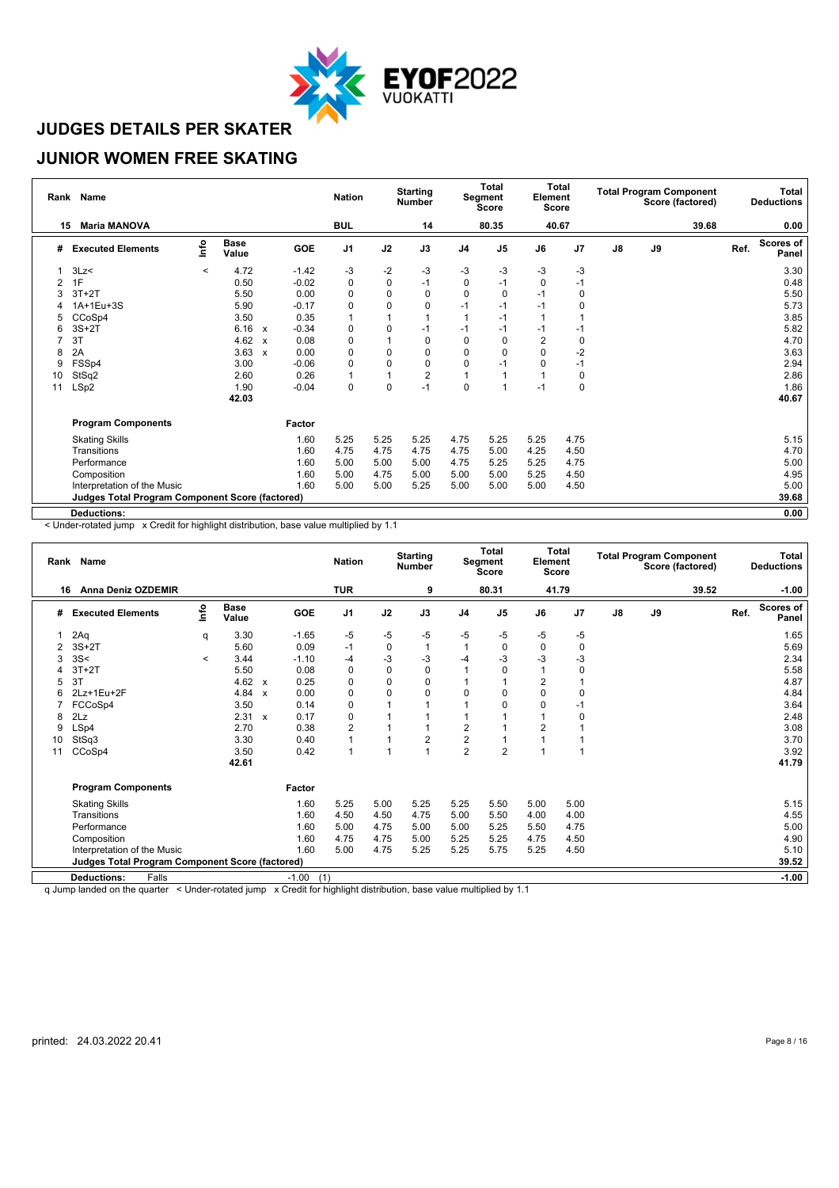

#### **JUNIOR WOMEN FREE SKATING**

| Rank | <b>Name</b>                                            |       |                      |                           |         | <b>Nation</b>  |             | <b>Starting</b><br><b>Number</b> |                | Total<br>Segment<br>Score | Element<br><b>Score</b> | <b>Total</b> |               | <b>Total Program Component</b> | Score (factored) |      | Total<br><b>Deductions</b> |
|------|--------------------------------------------------------|-------|----------------------|---------------------------|---------|----------------|-------------|----------------------------------|----------------|---------------------------|-------------------------|--------------|---------------|--------------------------------|------------------|------|----------------------------|
| 15   | <b>Maria MANOVA</b>                                    |       |                      |                           |         | <b>BUL</b>     |             | 14                               |                | 80.35                     |                         | 40.67        |               |                                | 39.68            |      | 0.00                       |
| #    | <b>Executed Elements</b>                               | lnfo  | <b>Base</b><br>Value |                           | GOE     | J <sub>1</sub> | J2          | J3                               | J <sub>4</sub> | J <sub>5</sub>            | J6                      | J7           | $\mathsf{J}8$ | J9                             |                  | Ref. | <b>Scores of</b><br>Panel  |
|      | 3Lz<                                                   | $\,<$ | 4.72                 |                           | $-1.42$ | -3             | $-2$        | -3                               | -3             | -3                        | -3                      | -3           |               |                                |                  |      | 3.30                       |
| 2    | 1F                                                     |       | 0.50                 |                           | $-0.02$ | $\pmb{0}$      | $\mathbf 0$ | $-1$                             | 0              | $-1$                      | 0                       | -1           |               |                                |                  |      | 0.48                       |
|      | $3T+2T$                                                |       | 5.50                 |                           | 0.00    | 0              | 0           | $\Omega$                         | $\Omega$       | $\Omega$                  | $-1$                    | 0            |               |                                |                  |      | 5.50                       |
|      | 1A+1Eu+3S                                              |       | 5.90                 |                           | $-0.17$ | 0              | $\mathbf 0$ | 0                                | $-1$           | $-1$                      | $-1$                    | 0            |               |                                |                  |      | 5.73                       |
|      | CCoSp4                                                 |       | 3.50                 |                           | 0.35    | 1              |             |                                  |                | $-1$                      | 1                       |              |               |                                |                  |      | 3.85                       |
| 6    | $3S+2T$                                                |       | 6.16                 | $\boldsymbol{\mathsf{x}}$ | $-0.34$ | 0              | 0           | $-1$                             | $-1$           | $-1$                      | $-1$                    | $-1$         |               |                                |                  |      | 5.82                       |
|      | 3T                                                     |       | 4.62                 | $\boldsymbol{\mathsf{x}}$ | 0.08    | 0              |             | 0                                | $\Omega$       | $\Omega$                  | $\overline{2}$          | $\mathbf 0$  |               |                                |                  |      | 4.70                       |
| 8    | 2A                                                     |       | 3.63                 | $\boldsymbol{\mathsf{x}}$ | 0.00    | 0              | $\mathbf 0$ | 0                                | 0              | $\Omega$                  | 0                       | $-2$         |               |                                |                  |      | 3.63                       |
| 9    | FSSp4                                                  |       | 3.00                 |                           | $-0.06$ | 0              | $\mathbf 0$ | $\mathbf 0$                      | 0              | -1                        | 0                       | -1           |               |                                |                  |      | 2.94                       |
| 10   | StSq2                                                  |       | 2.60                 |                           | 0.26    | 1              |             | $\overline{2}$                   |                |                           |                         | $\mathbf 0$  |               |                                |                  |      | 2.86                       |
| 11   | LSp2                                                   |       | 1.90                 |                           | $-0.04$ | $\mathbf 0$    | $\mathbf 0$ | $-1$                             | $\Omega$       |                           | $-1$                    | 0            |               |                                |                  |      | 1.86                       |
|      |                                                        |       | 42.03                |                           |         |                |             |                                  |                |                           |                         |              |               |                                |                  |      | 40.67                      |
|      | <b>Program Components</b>                              |       |                      |                           | Factor  |                |             |                                  |                |                           |                         |              |               |                                |                  |      |                            |
|      | <b>Skating Skills</b>                                  |       |                      |                           | 1.60    | 5.25           | 5.25        | 5.25                             | 4.75           | 5.25                      | 5.25                    | 4.75         |               |                                |                  |      | 5.15                       |
|      | Transitions                                            |       |                      |                           | 1.60    | 4.75           | 4.75        | 4.75                             | 4.75           | 5.00                      | 4.25                    | 4.50         |               |                                |                  |      | 4.70                       |
|      | Performance                                            |       |                      |                           | 1.60    | 5.00           | 5.00        | 5.00                             | 4.75           | 5.25                      | 5.25                    | 4.75         |               |                                |                  |      | 5.00                       |
|      | Composition                                            |       |                      |                           | 1.60    | 5.00           | 4.75        | 5.00                             | 5.00           | 5.00                      | 5.25                    | 4.50         |               |                                |                  |      | 4.95                       |
|      | Interpretation of the Music                            |       |                      |                           | 1.60    | 5.00           | 5.00        | 5.25                             | 5.00           | 5.00                      | 5.00                    | 4.50         |               |                                |                  |      | 5.00                       |
|      | <b>Judges Total Program Component Score (factored)</b> |       |                      |                           |         |                |             |                                  |                |                           |                         |              |               |                                |                  |      | 39.68                      |
|      | <b>Deductions:</b>                                     |       |                      |                           |         |                |             |                                  |                |                           |                         |              |               |                                |                  |      | 0.00                       |

< Under-rotated jump x Credit for highlight distribution, base value multiplied by 1.1

|              |                                                                                                                                                                                                   |                      |  |         | <b>Nation</b>  |             | <b>Starting</b><br><b>Number</b> |                | <b>Segment</b><br><b>Score</b> | Element<br><b>Score</b> |                |               | <b>Total Program Component</b><br>Score (factored) |       |      | <b>Total</b><br><b>Deductions</b> |
|--------------|---------------------------------------------------------------------------------------------------------------------------------------------------------------------------------------------------|----------------------|--|---------|----------------|-------------|----------------------------------|----------------|--------------------------------|-------------------------|----------------|---------------|----------------------------------------------------|-------|------|-----------------------------------|
|              | 16 Anna Deniz OZDEMIR                                                                                                                                                                             |                      |  |         | <b>TUR</b>     |             | 9                                |                | 80.31                          |                         | 41.79          |               |                                                    | 39.52 |      | $-1.00$                           |
| #            | lnfo<br><b>Executed Elements</b>                                                                                                                                                                  | <b>Base</b><br>Value |  | GOE     | J <sub>1</sub> | J2          | J3                               | J <sub>4</sub> | J <sub>5</sub>                 | J6                      | J <sub>7</sub> | $\mathsf{J}8$ | J9                                                 |       | Ref. | <b>Scores of</b><br>Panel         |
| 2Aq          |                                                                                                                                                                                                   | 3.30<br>q            |  | $-1.65$ | $-5$           | -5          | $-5$                             | $-5$           | -5                             | -5                      | $-5$           |               |                                                    |       |      | 1.65                              |
| $3S+2T$      |                                                                                                                                                                                                   | 5.60                 |  | 0.09    | $-1$           | $\mathbf 0$ | 1                                | $\mathbf{1}$   | $\Omega$                       | 0                       | $\mathbf 0$    |               |                                                    |       |      | 5.69                              |
| 3S<<br>3     |                                                                                                                                                                                                   | 3.44<br>$\,<\,$      |  | $-1.10$ | $-4$           | $-3$        | $-3$                             | -4             | $-3$                           | $-3$                    | $-3$           |               |                                                    |       |      | 2.34                              |
| $3T+2T$      |                                                                                                                                                                                                   | 5.50                 |  | 0.08    | $\mathbf 0$    | $\mathbf 0$ | $\Omega$                         | 1              | $\Omega$                       | 1                       | 0              |               |                                                    |       |      | 5.58                              |
| 3T<br>5      | $\mathbf 0$<br>4.62 $\times$<br>0.25<br>$\mathbf 0$<br>$\overline{2}$<br>0<br>1<br>0.00<br>0<br>$\Omega$<br>$\Omega$<br>$\Omega$<br>2Lz+1Eu+2F<br>4.84<br>$\Omega$<br>0<br>O<br>6<br>$\mathsf{x}$ |                      |  |         |                |             |                                  |                |                                |                         |                |               |                                                    |       |      | 4.87                              |
|              | 0.14<br>FCCoSp4<br>3.50<br>0<br>0<br>$-1$                                                                                                                                                         |                      |  |         |                |             |                                  |                |                                |                         |                |               |                                                    |       |      | 4.84                              |
|              | 2.31<br>0.17<br>0<br>2Lz<br>0<br>8<br>$\mathsf{x}$<br>2.70                                                                                                                                        |                      |  |         |                |             |                                  |                |                                |                         |                |               |                                                    |       |      | 3.64                              |
|              |                                                                                                                                                                                                   |                      |  |         |                |             |                                  |                |                                |                         |                |               |                                                    |       |      | 2.48                              |
| LSp4<br>9    |                                                                                                                                                                                                   |                      |  | 0.38    | $\overline{2}$ |             |                                  | $\overline{c}$ |                                | $\overline{2}$          |                |               |                                                    |       |      | 3.08                              |
| StSq3<br>10  |                                                                                                                                                                                                   | 3.30                 |  | 0.40    | 1              |             | 2                                | $\overline{c}$ |                                |                         |                |               |                                                    |       |      | 3.70                              |
| CCoSp4<br>11 |                                                                                                                                                                                                   | 3.50                 |  | 0.42    | 1              |             |                                  | $\overline{2}$ | $\overline{2}$                 |                         | 1              |               |                                                    |       |      | 3.92                              |
|              |                                                                                                                                                                                                   | 42.61                |  |         |                |             |                                  |                |                                |                         |                |               |                                                    |       |      | 41.79                             |
|              | <b>Program Components</b>                                                                                                                                                                         |                      |  | Factor  |                |             |                                  |                |                                |                         |                |               |                                                    |       |      |                                   |
|              | <b>Skating Skills</b>                                                                                                                                                                             |                      |  | 1.60    | 5.25           | 5.00        | 5.25                             | 5.25           | 5.50                           | 5.00                    | 5.00           |               |                                                    |       |      | 5.15                              |
| Transitions  |                                                                                                                                                                                                   |                      |  | 1.60    | 4.50           | 4.50        | 4.75                             | 5.00           | 5.50                           | 4.00                    | 4.00           |               |                                                    |       |      | 4.55                              |
|              | Performance                                                                                                                                                                                       |                      |  | 1.60    | 5.00           | 4.75        | 5.00                             | 5.00           | 5.25                           | 5.50                    | 4.75           |               |                                                    |       |      | 5.00                              |
|              | Composition                                                                                                                                                                                       |                      |  | 1.60    | 4.75           | 4.75        | 5.00                             | 5.25           | 5.25                           | 4.75                    | 4.50           |               |                                                    |       |      | 4.90                              |
|              | Interpretation of the Music                                                                                                                                                                       |                      |  | 1.60    | 5.00           | 4.75        | 5.25                             | 5.25           | 5.75                           | 5.25                    | 4.50           |               |                                                    |       |      | 5.10                              |
|              | Judges Total Program Component Score (factored)                                                                                                                                                   |                      |  |         |                |             |                                  |                |                                |                         |                |               |                                                    |       |      | 39.52                             |
|              | <b>Deductions:</b><br>Falls                                                                                                                                                                       |                      |  | $-1.00$ | (1)            |             |                                  |                |                                |                         |                |               |                                                    |       |      | $-1.00$                           |

q Jump landed on the quarter < Under-rotated jump x Credit for highlight distribution, base value multiplied by 1.1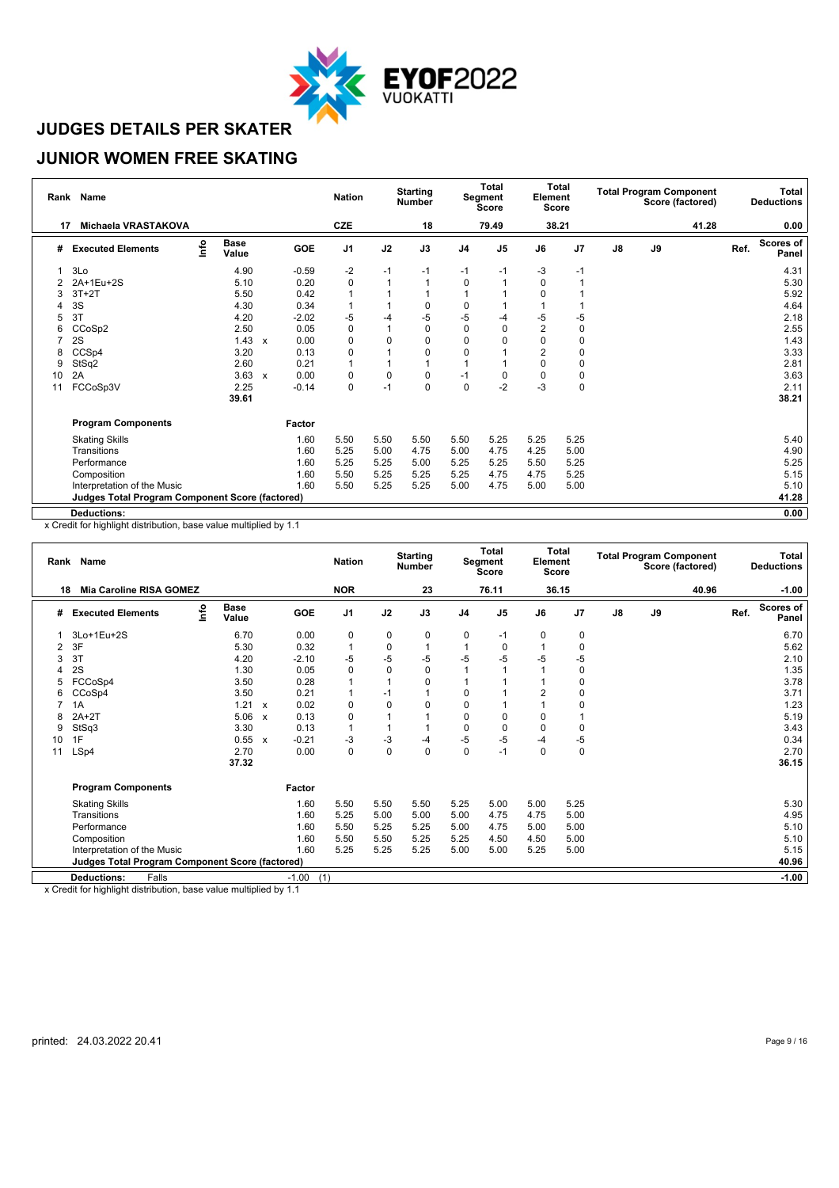

#### **JUNIOR WOMEN FREE SKATING**

| Rank | <b>Name</b>                                            |      |                      |                           |         | <b>Nation</b> |          | <b>Starting</b><br><b>Number</b> |                | <b>Total</b><br>Segment<br><b>Score</b> | Element | <b>Total</b><br><b>Score</b> |               |    | <b>Total Program Component</b><br>Score (factored) |      | <b>Total</b><br><b>Deductions</b> |
|------|--------------------------------------------------------|------|----------------------|---------------------------|---------|---------------|----------|----------------------------------|----------------|-----------------------------------------|---------|------------------------------|---------------|----|----------------------------------------------------|------|-----------------------------------|
| 17   | Michaela VRASTAKOVA                                    |      |                      |                           |         | <b>CZE</b>    |          | 18                               |                | 79.49                                   |         | 38.21                        |               |    | 41.28                                              |      | 0.00                              |
| #    | <b>Executed Elements</b>                               | lnfo | <b>Base</b><br>Value |                           | GOE     | J1            | J2       | J3                               | J <sub>4</sub> | J <sub>5</sub>                          | J6      | J <sub>7</sub>               | $\mathsf{J}8$ | J9 |                                                    | Ref. | <b>Scores of</b><br>Panel         |
|      | 3Lo                                                    |      | 4.90                 |                           | $-0.59$ | $-2$          | $-1$     | $-1$                             | $-1$           | -1                                      | $-3$    | $-1$                         |               |    |                                                    |      | 4.31                              |
| 2    | 2A+1Eu+2S                                              |      | 5.10                 |                           | 0.20    | 0             | 1        |                                  | $\mathbf 0$    |                                         | 0       |                              |               |    |                                                    |      | 5.30                              |
|      | $3T+2T$                                                |      | 5.50                 |                           | 0.42    |               |          |                                  |                |                                         | 0       |                              |               |    |                                                    |      | 5.92                              |
|      | 3S                                                     |      | 4.30                 |                           | 0.34    |               |          | 0                                | 0              |                                         |         |                              |               |    |                                                    |      | 4.64                              |
| 5    | 3T                                                     |      | 4.20                 |                           | $-2.02$ | $-5$          | -4       | -5                               | -5             | -4                                      | -5      | -5                           |               |    |                                                    |      | 2.18                              |
| 6    | CCoSp2                                                 |      | 2.50                 |                           | 0.05    | 0             |          | 0                                | 0              | 0                                       | 2       | 0                            |               |    |                                                    |      | 2.55                              |
|      | 2S                                                     |      | 1.43                 | $\boldsymbol{\mathsf{x}}$ | 0.00    | 0             | $\Omega$ | $\Omega$                         | 0              | 0                                       | 0       | 0                            |               |    |                                                    |      | 1.43                              |
| 8    | CCSp4                                                  |      | 3.20                 |                           | 0.13    | 0             |          | 0                                | $\mathbf 0$    |                                         | 2       | 0                            |               |    |                                                    |      | 3.33                              |
| 9    | StSq2                                                  |      | 2.60                 |                           | 0.21    |               |          |                                  |                |                                         | 0       | 0                            |               |    |                                                    |      | 2.81                              |
| 10   | 2A                                                     |      | 3.63                 | $\boldsymbol{\mathsf{x}}$ | 0.00    | 0             | 0        | 0                                | -1             | 0                                       | 0       | 0                            |               |    |                                                    |      | 3.63                              |
| 11   | FCCoSp3V                                               |      | 2.25                 |                           | $-0.14$ | $\pmb{0}$     | $-1$     | $\Omega$                         | $\mathbf 0$    | $-2$                                    | $-3$    | 0                            |               |    |                                                    |      | 2.11                              |
|      |                                                        |      | 39.61                |                           |         |               |          |                                  |                |                                         |         |                              |               |    |                                                    |      | 38.21                             |
|      | <b>Program Components</b>                              |      |                      |                           | Factor  |               |          |                                  |                |                                         |         |                              |               |    |                                                    |      |                                   |
|      | <b>Skating Skills</b>                                  |      |                      |                           | 1.60    | 5.50          | 5.50     | 5.50                             | 5.50           | 5.25                                    | 5.25    | 5.25                         |               |    |                                                    |      | 5.40                              |
|      | Transitions                                            |      |                      |                           | 1.60    | 5.25          | 5.00     | 4.75                             | 5.00           | 4.75                                    | 4.25    | 5.00                         |               |    |                                                    |      | 4.90                              |
|      | Performance                                            |      |                      |                           | 1.60    | 5.25          | 5.25     | 5.00                             | 5.25           | 5.25                                    | 5.50    | 5.25                         |               |    |                                                    |      | 5.25                              |
|      | Composition                                            |      |                      |                           | 1.60    | 5.50          | 5.25     | 5.25                             | 5.25           | 4.75                                    | 4.75    | 5.25                         |               |    |                                                    |      | 5.15                              |
|      | Interpretation of the Music                            |      |                      |                           | 1.60    | 5.50          | 5.25     | 5.25                             | 5.00           | 4.75                                    | 5.00    | 5.00                         |               |    |                                                    |      | 5.10                              |
|      | <b>Judges Total Program Component Score (factored)</b> |      |                      |                           |         |               |          |                                  |                |                                         |         |                              |               |    |                                                    |      | 41.28                             |
|      | <b>Deductions:</b>                                     |      |                      |                           |         |               |          |                                  |                |                                         |         |                              |               |    |                                                    |      | 0.00                              |

x Credit for highlight distribution, base value multiplied by 1.1

| Rank | <b>Name</b>                                                                                       |      |                      |                           |            | <b>Nation</b>  |             | <b>Starting</b><br><b>Number</b> |                | Total<br>Segment<br><b>Score</b> | Element        | Total<br><b>Score</b> |               | <b>Total Program Component</b> | Score (factored) |      | <b>Total</b><br><b>Deductions</b> |
|------|---------------------------------------------------------------------------------------------------|------|----------------------|---------------------------|------------|----------------|-------------|----------------------------------|----------------|----------------------------------|----------------|-----------------------|---------------|--------------------------------|------------------|------|-----------------------------------|
| 18   | <b>Mia Caroline RISA GOMEZ</b>                                                                    |      |                      |                           |            | <b>NOR</b>     |             | 23                               |                | 76.11                            |                | 36.15                 |               |                                | 40.96            |      | $-1.00$                           |
| #    | <b>Executed Elements</b>                                                                          | Info | <b>Base</b><br>Value |                           | <b>GOE</b> | J <sub>1</sub> | J2          | J3                               | J <sub>4</sub> | J <sub>5</sub>                   | J6             | J <sub>7</sub>        | $\mathsf{J}8$ | J9                             |                  | Ref. | Scores of<br>Panel                |
|      | 3Lo+1Eu+2S                                                                                        |      | 6.70                 |                           | 0.00       | $\pmb{0}$      | 0           | 0                                | 0              | -1                               | 0              | 0                     |               |                                |                  |      | 6.70                              |
|      | 3F                                                                                                |      | 5.30                 |                           | 0.32       |                | $\pmb{0}$   |                                  |                | 0                                |                | 0                     |               |                                |                  |      | 5.62                              |
| 3    | 3T                                                                                                |      | 4.20                 |                           | $-2.10$    | -5             | -5          | $-5$                             | $-5$           | -5                               | -5             | -5                    |               |                                |                  |      | 2.10                              |
|      | 2S                                                                                                |      | 1.30                 |                           | 0.05       | $\mathbf 0$    | $\Omega$    | 0                                |                |                                  |                | 0                     |               |                                |                  |      | 1.35                              |
| 5    | FCCoSp4                                                                                           |      | 3.50                 |                           | 0.28       |                |             | 0                                |                |                                  |                | 0                     |               |                                |                  |      | 3.78                              |
| 6    | CCoSp4                                                                                            |      | 3.50                 |                           | 0.21       |                | $-1$        |                                  | 0              |                                  | $\overline{2}$ | 0                     |               |                                |                  |      | 3.71                              |
|      | 1A                                                                                                |      | 1.21                 | $\boldsymbol{\mathsf{x}}$ | 0.02       | 0              | 0           | 0                                | 0              |                                  |                | 0                     |               |                                |                  |      | 1.23                              |
| 8    | $2A+2T$                                                                                           |      | 5.06                 | $\boldsymbol{\mathsf{x}}$ | 0.13       | $\mathbf 0$    |             |                                  | 0              |                                  | $\Omega$       |                       |               |                                |                  |      | 5.19                              |
| 9    | StSq3                                                                                             |      | 3.30                 |                           | 0.13       |                |             |                                  | $\mathbf 0$    |                                  | $\Omega$       | 0                     |               |                                |                  |      | 3.43                              |
| 10   | 1F                                                                                                |      | 0.55                 | $\boldsymbol{\mathsf{x}}$ | $-0.21$    | -3             | $-3$        | $-4$                             | $-5$           | -5                               | -4             | -5                    |               |                                |                  |      | 0.34                              |
| 11   | LSp4                                                                                              |      | 2.70                 |                           | 0.00       | $\mathbf 0$    | $\mathbf 0$ | $\mathbf 0$                      | $\mathbf 0$    | $-1$                             | $\Omega$       | $\mathbf 0$           |               |                                |                  |      | 2.70                              |
|      |                                                                                                   |      | 37.32                |                           |            |                |             |                                  |                |                                  |                |                       |               |                                |                  |      | 36.15                             |
|      | <b>Program Components</b>                                                                         |      |                      |                           | Factor     |                |             |                                  |                |                                  |                |                       |               |                                |                  |      |                                   |
|      | <b>Skating Skills</b>                                                                             |      |                      |                           | 1.60       | 5.50           | 5.50        | 5.50                             | 5.25           | 5.00                             | 5.00           | 5.25                  |               |                                |                  |      | 5.30                              |
|      | Transitions                                                                                       |      |                      |                           | 1.60       | 5.25           | 5.00        | 5.00                             | 5.00           | 4.75                             | 4.75           | 5.00                  |               |                                |                  |      | 4.95                              |
|      | Performance                                                                                       |      |                      |                           | 1.60       | 5.50           | 5.25        | 5.25                             | 5.00           | 4.75                             | 5.00           | 5.00                  |               |                                |                  |      | 5.10                              |
|      | Composition                                                                                       |      |                      |                           | 1.60       | 5.50           | 5.50        | 5.25                             | 5.25           | 4.50                             | 4.50           | 5.00                  |               |                                |                  |      | 5.10                              |
|      | Interpretation of the Music                                                                       |      |                      |                           | 1.60       | 5.25           | 5.25        | 5.25                             | 5.00           | 5.00                             | 5.25           | 5.00                  |               |                                |                  |      | 5.15                              |
|      | <b>Judges Total Program Component Score (factored)</b>                                            |      |                      |                           |            |                |             |                                  |                |                                  |                |                       |               |                                |                  |      | 40.96                             |
|      | <b>Deductions:</b><br>Falls                                                                       |      |                      |                           | $-1.00$    | (1)            |             |                                  |                |                                  |                |                       |               |                                |                  |      | $-1.00$                           |
|      | Concentration in the little and continuations are as a concentration of the state of the state of |      |                      |                           |            |                |             |                                  |                |                                  |                |                       |               |                                |                  |      |                                   |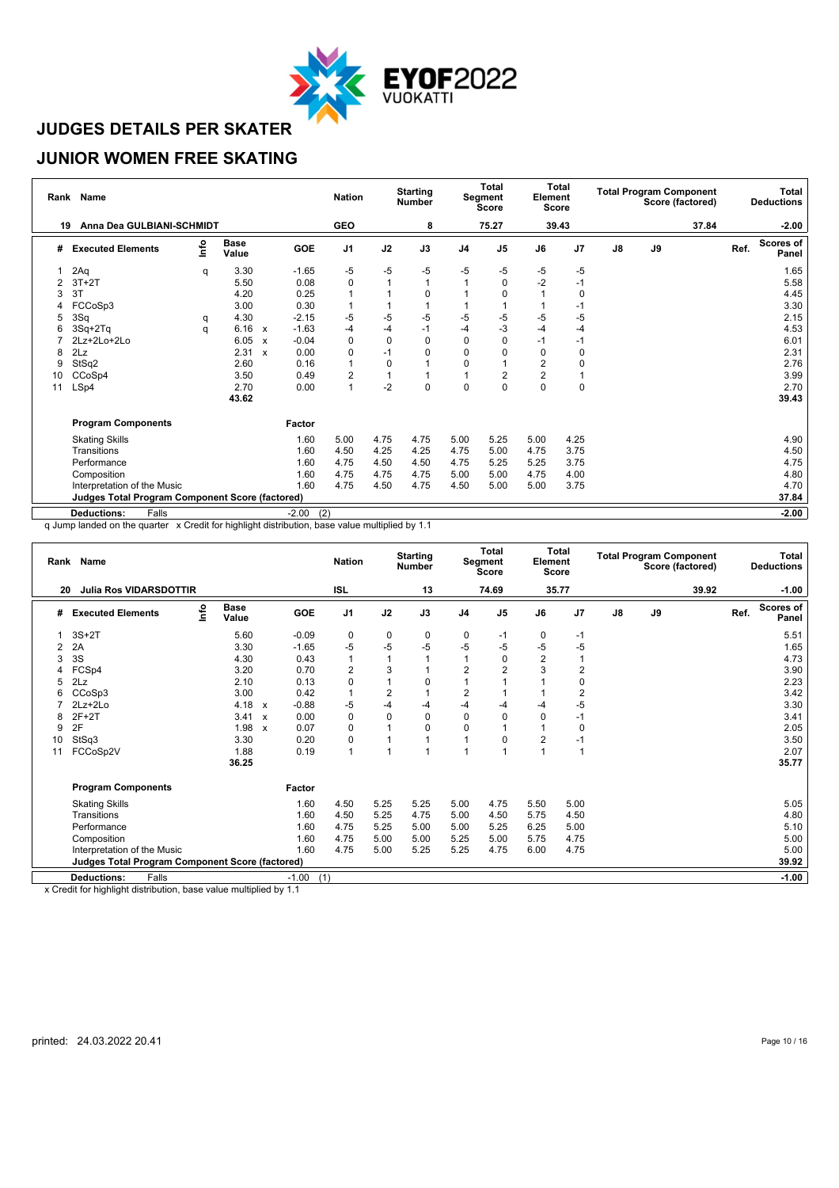

#### **JUNIOR WOMEN FREE SKATING**

| Rank | <b>Name</b>                                     |      |                      |                           |         | <b>Nation</b>  |              | <b>Starting</b><br><b>Number</b> |                | <b>Total</b><br>Segment<br><b>Score</b> | Element        | <b>Total</b><br>Score |               |    | <b>Total Program Component</b><br>Score (factored) |      | Total<br><b>Deductions</b> |
|------|-------------------------------------------------|------|----------------------|---------------------------|---------|----------------|--------------|----------------------------------|----------------|-----------------------------------------|----------------|-----------------------|---------------|----|----------------------------------------------------|------|----------------------------|
| 19   | Anna Dea GULBIANI-SCHMIDT                       |      |                      |                           |         | <b>GEO</b>     |              | 8                                |                | 75.27                                   |                | 39.43                 |               |    | 37.84                                              |      | $-2.00$                    |
| #    | <b>Executed Elements</b>                        | lnfo | <b>Base</b><br>Value |                           | GOE     | J <sub>1</sub> | J2           | J3                               | J <sub>4</sub> | J <sub>5</sub>                          | J6             | J <sub>7</sub>        | $\mathsf{J}8$ | J9 |                                                    | Ref. | <b>Scores of</b><br>Panel  |
|      | 2Aq                                             | q    | 3.30                 |                           | $-1.65$ | $-5$           | $-5$         | -5                               | -5             | $-5$                                    | $-5$           | $-5$                  |               |    |                                                    |      | 1.65                       |
| 2    | $3T+2T$                                         |      | 5.50                 |                           | 0.08    | $\pmb{0}$      | $\mathbf{1}$ |                                  |                | $\Omega$                                | $-2$           | $-1$                  |               |    |                                                    |      | 5.58                       |
| 3    | 3T                                              |      | 4.20                 |                           | 0.25    |                |              | $\Omega$                         |                |                                         |                | $\mathbf 0$           |               |    |                                                    |      | 4.45                       |
|      | FCCoSp3                                         |      | 3.00                 |                           | 0.30    |                | 1            |                                  |                |                                         |                | $-1$                  |               |    |                                                    |      | 3.30                       |
| 5    | 3Sq                                             | q    | 4.30                 |                           | $-2.15$ | $-5$           | $-5$         | -5                               | -5             | -5                                      | -5             | -5                    |               |    |                                                    |      | 2.15                       |
|      | $3Sq+2Tq$                                       | q    | 6.16                 | $\mathsf{x}$              | $-1.63$ | $-4$           | -4           | $-1$                             | -4             | $-3$                                    | $-4$           | $-4$                  |               |    |                                                    |      | 4.53                       |
|      | 2Lz+2Lo+2Lo                                     |      | 6.05                 | $\boldsymbol{\mathsf{x}}$ | $-0.04$ | $\mathbf 0$    | 0            | $\Omega$                         | $\Omega$       | $\Omega$                                | $-1$           | $-1$                  |               |    |                                                    |      | 6.01                       |
|      | 2Lz                                             |      | 2.31                 | $\boldsymbol{\mathsf{x}}$ | 0.00    | $\mathbf 0$    | $-1$         | $\Omega$                         | $\Omega$       | 0                                       | 0              | 0                     |               |    |                                                    |      | 2.31                       |
| 9    | StSq2                                           |      | 2.60                 |                           | 0.16    |                | 0            |                                  | $\mathbf 0$    |                                         | 2              | 0                     |               |    |                                                    |      | 2.76                       |
| 10   | CCoSp4                                          |      | 3.50                 |                           | 0.49    | $\overline{2}$ | $\mathbf{1}$ |                                  |                | $\overline{2}$                          | $\overline{2}$ |                       |               |    |                                                    |      | 3.99                       |
| 11   | LSp4                                            |      | 2.70                 |                           | 0.00    | 1              | $-2$         | $\Omega$                         | $\Omega$       | 0                                       | 0              | $\mathbf 0$           |               |    |                                                    |      | 2.70                       |
|      |                                                 |      | 43.62                |                           |         |                |              |                                  |                |                                         |                |                       |               |    |                                                    |      | 39.43                      |
|      | <b>Program Components</b>                       |      |                      |                           | Factor  |                |              |                                  |                |                                         |                |                       |               |    |                                                    |      |                            |
|      | <b>Skating Skills</b>                           |      |                      |                           | 1.60    | 5.00           | 4.75         | 4.75                             | 5.00           | 5.25                                    | 5.00           | 4.25                  |               |    |                                                    |      | 4.90                       |
|      | Transitions                                     |      |                      |                           | 1.60    | 4.50           | 4.25         | 4.25                             | 4.75           | 5.00                                    | 4.75           | 3.75                  |               |    |                                                    |      | 4.50                       |
|      | Performance                                     |      |                      |                           | 1.60    | 4.75           | 4.50         | 4.50                             | 4.75           | 5.25                                    | 5.25           | 3.75                  |               |    |                                                    |      | 4.75                       |
|      | Composition                                     |      |                      |                           | 1.60    | 4.75           | 4.75         | 4.75                             | 5.00           | 5.00                                    | 4.75           | 4.00                  |               |    |                                                    |      | 4.80                       |
|      | Interpretation of the Music                     |      |                      |                           | 1.60    | 4.75           | 4.50         | 4.75                             | 4.50           | 5.00                                    | 5.00           | 3.75                  |               |    |                                                    |      | 4.70                       |
|      | Judges Total Program Component Score (factored) |      |                      |                           |         |                |              |                                  |                |                                         |                |                       |               |    |                                                    |      | 37.84                      |
|      | Falls<br><b>Deductions:</b>                     |      |                      |                           | $-2.00$ | (2)            |              |                                  |                |                                         |                |                       |               |    |                                                    |      | $-2.00$                    |

q Jump landed on the quarter x Credit for highlight distribution, base value multiplied by 1.1

| <b>Julia Ros VIDARSDOTTIR</b><br><b>ISL</b><br>13<br>74.69<br>35.77<br>39.92<br>20<br>$\mathop{\mathsf{Irr}}\nolimits$<br><b>Base</b><br>J <sub>1</sub><br>J9<br>Ref.<br>GOE<br>J2<br>J3<br>J <sub>5</sub><br>J6<br>J <sub>7</sub><br>$\mathsf{J}8$<br><b>Executed Elements</b><br>J <sub>4</sub><br>#<br>Value<br>$-0.09$<br>$3S+2T$<br>5.60<br>0<br>0<br>0<br>$-1$<br>0<br>0<br>$-1$<br>$-5$<br>$-5$<br>-5<br>-5<br>3.30<br>$-1.65$<br>-5<br>-5<br>-5<br>2A<br>3S<br>2<br>0.43<br>$\mathbf{1}$<br>1<br>$\overline{1}$<br>4.30<br>$\Omega$<br>3<br>3<br>$\overline{2}$<br>$\overline{2}$<br>0.70<br>3<br>$\overline{2}$<br>$\overline{2}$<br>FCSp4<br>3.20<br>2.10<br>0.13<br>0<br>$\mathbf 0$<br>2Lz<br>0<br>$\overline{2}$<br>$\overline{2}$<br>$\overline{2}$<br>CCoSp3<br>3.00<br>0.42<br>1<br>6<br>$-5$<br>$-0.88$<br>-5<br>$-4$<br>$2Lz + 2Lo$<br>4.18<br>-4<br>-4<br>-4<br>-4<br>$\boldsymbol{\mathsf{x}}$<br>$\Omega$<br>$\theta$<br>$-1$<br>0<br>$\Omega$<br>$2F+2T$<br>0.00<br>$\Omega$<br>0<br>3.41<br>8<br>$\boldsymbol{\mathsf{x}}$<br>2F<br>0.07<br>1.98<br>0<br>0<br>0<br>0<br>9<br>$\boldsymbol{\mathsf{x}}$<br>$\overline{2}$<br>$-1$<br>StSq3<br>3.30<br>0.20<br>0<br>$\overline{A}$<br>$\Omega$<br>10<br>$\mathbf{1}$<br>FCCoSp2V<br>1.88<br>0.19<br>$\overline{1}$<br>11<br>4<br>36.25<br><b>Program Components</b><br>Factor<br>5.25<br>5.00<br>4.75<br>5.50<br>5.00<br>1.60<br>4.50<br>5.25<br><b>Skating Skills</b><br>5.75<br>4.50<br>Transitions<br>1.60<br>4.50<br>5.25<br>4.75<br>5.00<br>4.50<br>1.60<br>6.25<br>5.00<br>Performance<br>4.75<br>5.25<br>5.00<br>5.00<br>5.25 | Rank Name   |  |  |  |      | <b>Nation</b> |      | <b>Starting</b><br><b>Number</b> |      | <b>Total</b><br>Segment<br><b>Score</b> | Element | <b>Total</b><br><b>Score</b> |  |  | <b>Total Program Component</b><br>Score (factored) |      | <b>Total</b><br><b>Deductions</b> |
|-----------------------------------------------------------------------------------------------------------------------------------------------------------------------------------------------------------------------------------------------------------------------------------------------------------------------------------------------------------------------------------------------------------------------------------------------------------------------------------------------------------------------------------------------------------------------------------------------------------------------------------------------------------------------------------------------------------------------------------------------------------------------------------------------------------------------------------------------------------------------------------------------------------------------------------------------------------------------------------------------------------------------------------------------------------------------------------------------------------------------------------------------------------------------------------------------------------------------------------------------------------------------------------------------------------------------------------------------------------------------------------------------------------------------------------------------------------------------------------------------------------------------------------------------------------------------------------------------------------|-------------|--|--|--|------|---------------|------|----------------------------------|------|-----------------------------------------|---------|------------------------------|--|--|----------------------------------------------------|------|-----------------------------------|
|                                                                                                                                                                                                                                                                                                                                                                                                                                                                                                                                                                                                                                                                                                                                                                                                                                                                                                                                                                                                                                                                                                                                                                                                                                                                                                                                                                                                                                                                                                                                                                                                           |             |  |  |  |      |               |      |                                  |      |                                         |         |                              |  |  |                                                    |      | $-1.00$                           |
|                                                                                                                                                                                                                                                                                                                                                                                                                                                                                                                                                                                                                                                                                                                                                                                                                                                                                                                                                                                                                                                                                                                                                                                                                                                                                                                                                                                                                                                                                                                                                                                                           |             |  |  |  |      |               |      |                                  |      |                                         |         |                              |  |  |                                                    |      | <b>Scores of</b><br>Panel         |
|                                                                                                                                                                                                                                                                                                                                                                                                                                                                                                                                                                                                                                                                                                                                                                                                                                                                                                                                                                                                                                                                                                                                                                                                                                                                                                                                                                                                                                                                                                                                                                                                           |             |  |  |  |      |               |      |                                  |      |                                         |         |                              |  |  |                                                    |      | 5.51                              |
|                                                                                                                                                                                                                                                                                                                                                                                                                                                                                                                                                                                                                                                                                                                                                                                                                                                                                                                                                                                                                                                                                                                                                                                                                                                                                                                                                                                                                                                                                                                                                                                                           |             |  |  |  |      |               |      |                                  |      |                                         |         |                              |  |  |                                                    |      | 1.65                              |
|                                                                                                                                                                                                                                                                                                                                                                                                                                                                                                                                                                                                                                                                                                                                                                                                                                                                                                                                                                                                                                                                                                                                                                                                                                                                                                                                                                                                                                                                                                                                                                                                           |             |  |  |  |      |               |      |                                  |      |                                         |         |                              |  |  |                                                    |      | 4.73                              |
|                                                                                                                                                                                                                                                                                                                                                                                                                                                                                                                                                                                                                                                                                                                                                                                                                                                                                                                                                                                                                                                                                                                                                                                                                                                                                                                                                                                                                                                                                                                                                                                                           |             |  |  |  |      |               |      |                                  |      |                                         |         |                              |  |  |                                                    |      | 3.90                              |
|                                                                                                                                                                                                                                                                                                                                                                                                                                                                                                                                                                                                                                                                                                                                                                                                                                                                                                                                                                                                                                                                                                                                                                                                                                                                                                                                                                                                                                                                                                                                                                                                           |             |  |  |  |      |               |      |                                  |      |                                         |         |                              |  |  |                                                    | 2.23 |                                   |
|                                                                                                                                                                                                                                                                                                                                                                                                                                                                                                                                                                                                                                                                                                                                                                                                                                                                                                                                                                                                                                                                                                                                                                                                                                                                                                                                                                                                                                                                                                                                                                                                           |             |  |  |  |      |               |      |                                  |      |                                         |         |                              |  |  |                                                    | 3.42 |                                   |
|                                                                                                                                                                                                                                                                                                                                                                                                                                                                                                                                                                                                                                                                                                                                                                                                                                                                                                                                                                                                                                                                                                                                                                                                                                                                                                                                                                                                                                                                                                                                                                                                           |             |  |  |  |      |               |      |                                  |      |                                         |         |                              |  |  |                                                    |      | 3.30                              |
|                                                                                                                                                                                                                                                                                                                                                                                                                                                                                                                                                                                                                                                                                                                                                                                                                                                                                                                                                                                                                                                                                                                                                                                                                                                                                                                                                                                                                                                                                                                                                                                                           |             |  |  |  |      |               |      |                                  |      |                                         |         |                              |  |  |                                                    |      | 3.41                              |
|                                                                                                                                                                                                                                                                                                                                                                                                                                                                                                                                                                                                                                                                                                                                                                                                                                                                                                                                                                                                                                                                                                                                                                                                                                                                                                                                                                                                                                                                                                                                                                                                           |             |  |  |  |      |               |      |                                  |      |                                         |         |                              |  |  |                                                    |      | 2.05                              |
|                                                                                                                                                                                                                                                                                                                                                                                                                                                                                                                                                                                                                                                                                                                                                                                                                                                                                                                                                                                                                                                                                                                                                                                                                                                                                                                                                                                                                                                                                                                                                                                                           |             |  |  |  |      |               |      |                                  |      |                                         |         |                              |  |  |                                                    |      | 3.50                              |
|                                                                                                                                                                                                                                                                                                                                                                                                                                                                                                                                                                                                                                                                                                                                                                                                                                                                                                                                                                                                                                                                                                                                                                                                                                                                                                                                                                                                                                                                                                                                                                                                           |             |  |  |  |      |               |      |                                  |      |                                         |         |                              |  |  |                                                    |      | 2.07                              |
|                                                                                                                                                                                                                                                                                                                                                                                                                                                                                                                                                                                                                                                                                                                                                                                                                                                                                                                                                                                                                                                                                                                                                                                                                                                                                                                                                                                                                                                                                                                                                                                                           |             |  |  |  |      |               |      |                                  |      |                                         |         |                              |  |  |                                                    |      | 35.77                             |
|                                                                                                                                                                                                                                                                                                                                                                                                                                                                                                                                                                                                                                                                                                                                                                                                                                                                                                                                                                                                                                                                                                                                                                                                                                                                                                                                                                                                                                                                                                                                                                                                           |             |  |  |  |      |               |      |                                  |      |                                         |         |                              |  |  |                                                    |      |                                   |
|                                                                                                                                                                                                                                                                                                                                                                                                                                                                                                                                                                                                                                                                                                                                                                                                                                                                                                                                                                                                                                                                                                                                                                                                                                                                                                                                                                                                                                                                                                                                                                                                           |             |  |  |  |      |               |      |                                  |      |                                         |         |                              |  |  |                                                    |      | 5.05                              |
|                                                                                                                                                                                                                                                                                                                                                                                                                                                                                                                                                                                                                                                                                                                                                                                                                                                                                                                                                                                                                                                                                                                                                                                                                                                                                                                                                                                                                                                                                                                                                                                                           |             |  |  |  |      |               |      |                                  |      |                                         |         |                              |  |  |                                                    |      | 4.80                              |
|                                                                                                                                                                                                                                                                                                                                                                                                                                                                                                                                                                                                                                                                                                                                                                                                                                                                                                                                                                                                                                                                                                                                                                                                                                                                                                                                                                                                                                                                                                                                                                                                           |             |  |  |  |      |               |      |                                  |      |                                         |         |                              |  |  |                                                    |      | 5.10                              |
|                                                                                                                                                                                                                                                                                                                                                                                                                                                                                                                                                                                                                                                                                                                                                                                                                                                                                                                                                                                                                                                                                                                                                                                                                                                                                                                                                                                                                                                                                                                                                                                                           | Composition |  |  |  | 1.60 | 4.75          | 5.00 | 5.00                             | 5.25 | 5.00                                    | 5.75    | 4.75                         |  |  |                                                    |      | 5.00                              |
| 1.60<br>Interpretation of the Music<br>4.75<br>5.00<br>5.25<br>5.25<br>4.75<br>6.00<br>4.75                                                                                                                                                                                                                                                                                                                                                                                                                                                                                                                                                                                                                                                                                                                                                                                                                                                                                                                                                                                                                                                                                                                                                                                                                                                                                                                                                                                                                                                                                                               |             |  |  |  |      |               |      |                                  |      |                                         |         |                              |  |  |                                                    |      | 5.00                              |
| <b>Judges Total Program Component Score (factored)</b>                                                                                                                                                                                                                                                                                                                                                                                                                                                                                                                                                                                                                                                                                                                                                                                                                                                                                                                                                                                                                                                                                                                                                                                                                                                                                                                                                                                                                                                                                                                                                    |             |  |  |  |      |               |      |                                  |      |                                         |         |                              |  |  |                                                    |      | 39.92                             |
| <b>Deductions:</b><br>Falls<br>$-1.00$<br>(1)                                                                                                                                                                                                                                                                                                                                                                                                                                                                                                                                                                                                                                                                                                                                                                                                                                                                                                                                                                                                                                                                                                                                                                                                                                                                                                                                                                                                                                                                                                                                                             |             |  |  |  |      |               |      |                                  |      |                                         |         |                              |  |  |                                                    |      | $-1.00$                           |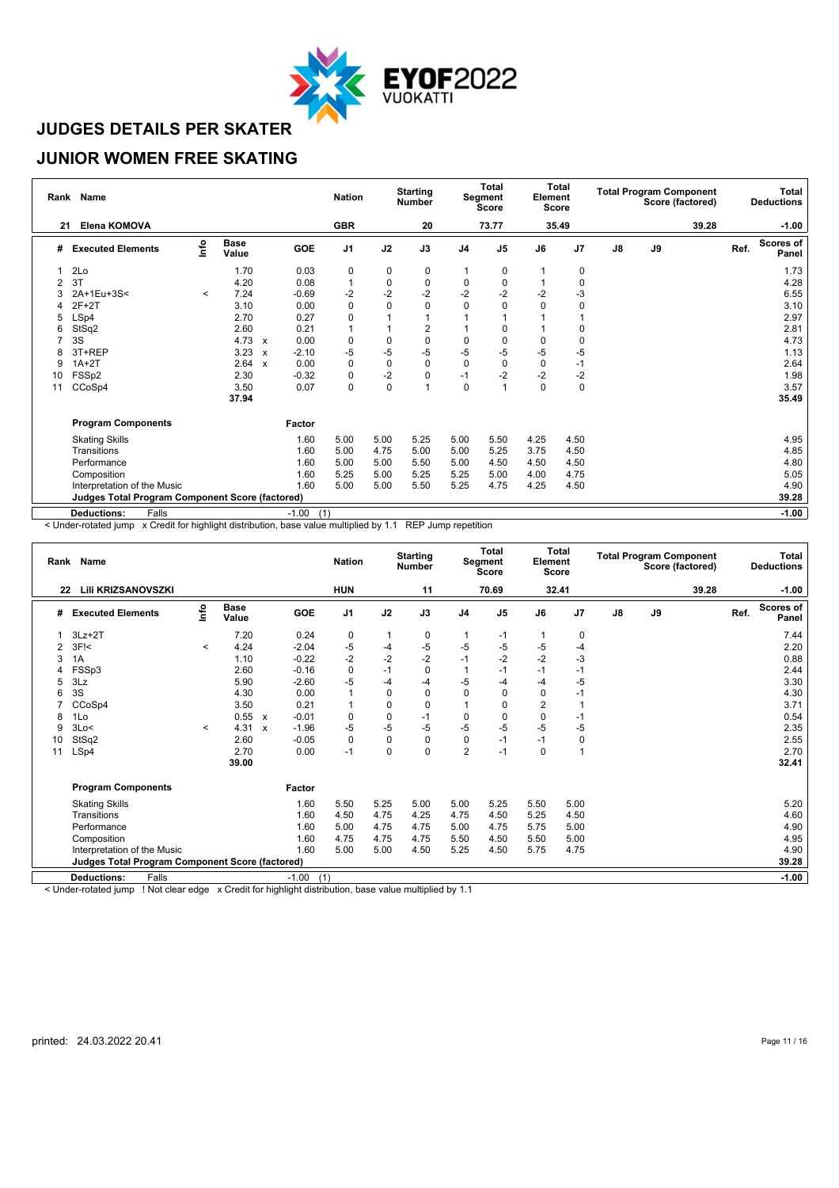

#### **JUNIOR WOMEN FREE SKATING**

| Rank | Name                                                   |         |                      |                           |                | <b>Nation</b>  |             | <b>Starting</b><br><b>Number</b> |                | Total<br>Segment<br><b>Score</b> | Element  | <b>Total</b><br>Score |               |    | <b>Total Program Component</b><br>Score (factored) |      | Total<br><b>Deductions</b> |
|------|--------------------------------------------------------|---------|----------------------|---------------------------|----------------|----------------|-------------|----------------------------------|----------------|----------------------------------|----------|-----------------------|---------------|----|----------------------------------------------------|------|----------------------------|
| 21   | Elena KOMOVA                                           |         |                      |                           |                | <b>GBR</b>     |             | 20                               |                | 73.77                            |          | 35.49                 |               |    | 39.28                                              |      | $-1.00$                    |
| #    | <b>Executed Elements</b>                               | Info    | <b>Base</b><br>Value |                           | GOE            | J <sub>1</sub> | J2          | J3                               | J <sub>4</sub> | J <sub>5</sub>                   | J6       | J7                    | $\mathsf{J}8$ | J9 |                                                    | Ref. | <b>Scores of</b><br>Panel  |
|      | 2Lo                                                    |         | 1.70                 |                           | 0.03           | 0              | 0           | 0                                |                | 0                                |          | 0                     |               |    |                                                    |      | 1.73                       |
| 2    | 3T                                                     |         | 4.20                 |                           | 0.08           | $\mathbf{1}$   | $\mathbf 0$ | 0                                | 0              | 0                                |          | 0                     |               |    |                                                    |      | 4.28                       |
| 3    | 2A+1Eu+3S<                                             | $\prec$ | 7.24                 |                           | $-0.69$        | $-2$           | $-2$        | $-2$                             | $-2$           | $-2$                             | $-2$     | -3                    |               |    |                                                    |      | 6.55                       |
|      | $2F+2T$                                                |         | 3.10                 |                           | 0.00           | 0              | $\mathbf 0$ | 0                                | 0              |                                  | $\Omega$ | 0                     |               |    |                                                    |      | 3.10                       |
| 5    | LSp4                                                   |         | 2.70                 |                           | 0.27           | 0              |             |                                  |                |                                  |          |                       |               |    |                                                    |      | 2.97                       |
| 6    | StSq2                                                  |         | 2.60                 |                           | 0.21           | 1              |             | 2                                |                |                                  |          | 0                     |               |    |                                                    |      | 2.81                       |
|      | 3S                                                     |         | 4.73 $\times$        |                           | 0.00           | 0              | 0           | 0                                | 0              | 0                                | 0        | $\mathbf 0$           |               |    |                                                    |      | 4.73                       |
| 8    | 3T+REP                                                 |         | 3.23                 | $\boldsymbol{\mathsf{x}}$ | $-2.10$        | -5             | -5          | $-5$                             | -5             | $-5$                             | $-5$     | -5                    |               |    |                                                    |      | 1.13                       |
| 9    | $1A+2T$                                                |         | 2.64                 | $\boldsymbol{\mathsf{x}}$ | 0.00           | 0              | $\mathbf 0$ | $\mathbf 0$                      | $\mathbf 0$    | 0                                | 0        | -1                    |               |    |                                                    |      | 2.64                       |
| 10   | FSSp2                                                  |         | 2.30                 |                           | $-0.32$        | 0              | $-2$        | 0                                | $-1$           | $-2$                             | $-2$     | $-2$                  |               |    |                                                    |      | 1.98                       |
| 11   | CCoSp4                                                 |         | 3.50                 |                           | 0.07           | 0              | $\mathbf 0$ |                                  | $\mathbf 0$    |                                  | 0        | $\mathbf 0$           |               |    |                                                    |      | 3.57                       |
|      |                                                        |         | 37.94                |                           |                |                |             |                                  |                |                                  |          |                       |               |    |                                                    |      | 35.49                      |
|      | <b>Program Components</b>                              |         |                      |                           | Factor         |                |             |                                  |                |                                  |          |                       |               |    |                                                    |      |                            |
|      | <b>Skating Skills</b>                                  |         |                      |                           | 1.60           | 5.00           | 5.00        | 5.25                             | 5.00           | 5.50                             | 4.25     | 4.50                  |               |    |                                                    |      | 4.95                       |
|      | Transitions                                            |         |                      |                           | 1.60           | 5.00           | 4.75        | 5.00                             | 5.00           | 5.25                             | 3.75     | 4.50                  |               |    |                                                    |      | 4.85                       |
|      | Performance                                            |         |                      |                           | 1.60           | 5.00           | 5.00        | 5.50                             | 5.00           | 4.50                             | 4.50     | 4.50                  |               |    |                                                    |      | 4.80                       |
|      | Composition                                            |         |                      |                           | 1.60           | 5.25           | 5.00        | 5.25                             | 5.25           | 5.00                             | 4.00     | 4.75                  |               |    |                                                    |      | 5.05                       |
|      | Interpretation of the Music                            |         |                      |                           | 1.60           | 5.00           | 5.00        | 5.50                             | 5.25           | 4.75                             | 4.25     | 4.50                  |               |    |                                                    |      | 4.90                       |
|      | <b>Judges Total Program Component Score (factored)</b> |         |                      |                           |                |                |             |                                  |                |                                  |          |                       |               |    |                                                    |      | 39.28                      |
|      | <b>Deductions:</b><br>Falls                            |         |                      |                           | (1)<br>$-1.00$ |                |             |                                  |                |                                  |          |                       |               |    |                                                    |      | $-1.00$                    |

< Under-rotated jump x Credit for highlight distribution, base value multiplied by 1.1 REP Jump repetition

|    | Rank Name                                              |                                  |                      |                           |                | <b>Nation</b>  |             | <b>Starting</b><br><b>Number</b> |                | <b>Total</b><br>Segment<br>Score | Element  | <b>Total</b><br><b>Score</b> |               |    | <b>Total Program Component</b><br>Score (factored) |      | <b>Total</b><br><b>Deductions</b> |
|----|--------------------------------------------------------|----------------------------------|----------------------|---------------------------|----------------|----------------|-------------|----------------------------------|----------------|----------------------------------|----------|------------------------------|---------------|----|----------------------------------------------------|------|-----------------------------------|
| 22 | <b>Lili KRIZSANOVSZKI</b>                              |                                  |                      |                           |                | <b>HUN</b>     |             | 11                               |                | 70.69                            |          | 32.41                        |               |    | 39.28                                              |      | $-1.00$                           |
| #  | <b>Executed Elements</b>                               | $\mathop{\mathsf{Irr}}\nolimits$ | <b>Base</b><br>Value |                           | <b>GOE</b>     | J <sub>1</sub> | J2          | J3                               | J <sub>4</sub> | J <sub>5</sub>                   | J6       | J <sub>7</sub>               | $\mathsf{J}8$ | J9 |                                                    | Ref. | Scores of<br>Panel                |
|    | $3Lz + 2T$                                             |                                  | 7.20                 |                           | 0.24           | 0              | 1           | 0                                |                | $-1$                             |          | 0                            |               |    |                                                    |      | 7.44                              |
|    | 3F <sub>1</sub>                                        | $\prec$                          | 4.24                 |                           | $-2.04$        | -5             | $-4$        | $-5$                             | -5             | -5                               | $-5$     | -4                           |               |    |                                                    |      | 2.20                              |
| 3  | 1A                                                     |                                  | 1.10                 |                           | $-0.22$        | $-2$           | $-2$        | $-2$                             | $-1$           | $-2$                             | $-2$     | $-3$                         |               |    |                                                    |      | 0.88                              |
|    | FSSp3                                                  |                                  | 2.60                 |                           | $-0.16$        | 0              | $-1$        | $\mathbf 0$                      |                | $-1$                             | $-1$     | $-1$                         |               |    |                                                    |      | 2.44                              |
| 5  | 3Lz                                                    |                                  | 5.90                 |                           | $-2.60$        | $-5$           | $-4$        | $-4$                             | -5             | $-4$                             | $-4$     | $-5$                         |               |    |                                                    |      | 3.30                              |
| 6  | 3S                                                     |                                  | 4.30                 |                           | 0.00           | $\mathbf{1}$   | $\mathbf 0$ | $\mathbf 0$                      | $\mathbf 0$    | $\Omega$                         | 0        | $-1$                         |               |    |                                                    |      | 4.30                              |
|    | CCoSp4                                                 |                                  | 3.50                 |                           | 0.21           | 1              | $\mathbf 0$ | 0                                |                | $\Omega$                         | 2        |                              |               |    |                                                    |      | 3.71                              |
| 8  | 1Lo                                                    |                                  | 0.55                 | $\boldsymbol{\mathsf{x}}$ | $-0.01$        | 0              | $\mathbf 0$ | $-1$                             | $\mathbf 0$    | $\Omega$                         | $\Omega$ | $-1$                         |               |    |                                                    |      | 0.54                              |
| 9  | 3Lo<                                                   | $\,<\,$                          | 4.31                 | $\boldsymbol{\mathsf{x}}$ | $-1.96$        | $-5$           | $-5$        | $-5$                             | $-5$           | $-5$                             | $-5$     | -5                           |               |    |                                                    |      | 2.35                              |
| 10 | StSq2                                                  |                                  | 2.60                 |                           | $-0.05$        | $\mathbf 0$    | $\mathbf 0$ | 0                                | $\mathbf 0$    | $-1$                             | $-1$     | 0                            |               |    |                                                    |      | 2.55                              |
| 11 | LSp4                                                   |                                  | 2.70                 |                           | 0.00           | $-1$           | $\mathbf 0$ | $\mathbf 0$                      | $\overline{2}$ | $-1$                             | 0        | 1                            |               |    |                                                    |      | 2.70                              |
|    |                                                        |                                  | 39.00                |                           |                |                |             |                                  |                |                                  |          |                              |               |    |                                                    |      | 32.41                             |
|    | <b>Program Components</b>                              |                                  |                      |                           | Factor         |                |             |                                  |                |                                  |          |                              |               |    |                                                    |      |                                   |
|    | <b>Skating Skills</b>                                  |                                  |                      |                           | 1.60           | 5.50           | 5.25        | 5.00                             | 5.00           | 5.25                             | 5.50     | 5.00                         |               |    |                                                    |      | 5.20                              |
|    | Transitions                                            |                                  |                      |                           | 1.60           | 4.50           | 4.75        | 4.25                             | 4.75           | 4.50                             | 5.25     | 4.50                         |               |    |                                                    |      | 4.60                              |
|    | Performance                                            |                                  |                      |                           | 1.60           | 5.00           | 4.75        | 4.75                             | 5.00           | 4.75                             | 5.75     | 5.00                         |               |    |                                                    |      | 4.90                              |
|    | Composition                                            |                                  |                      |                           | 1.60           | 4.75           | 4.75        | 4.75                             | 5.50           | 4.50                             | 5.50     | 5.00                         |               |    |                                                    |      | 4.95                              |
|    | Interpretation of the Music                            |                                  |                      |                           | 1.60           | 5.00           | 5.00        | 4.50                             | 5.25           | 4.50                             | 5.75     | 4.75                         |               |    |                                                    |      | 4.90                              |
|    | <b>Judges Total Program Component Score (factored)</b> |                                  |                      |                           |                |                |             |                                  |                |                                  |          |                              |               |    |                                                    |      | 39.28                             |
|    | <b>Deductions:</b><br>Falls                            |                                  |                      |                           | (1)<br>$-1.00$ |                |             |                                  |                |                                  |          |                              |               |    |                                                    |      | $-1.00$                           |

< Under-rotated jump ! Not clear edge x Credit for highlight distribution, base value multiplied by 1.1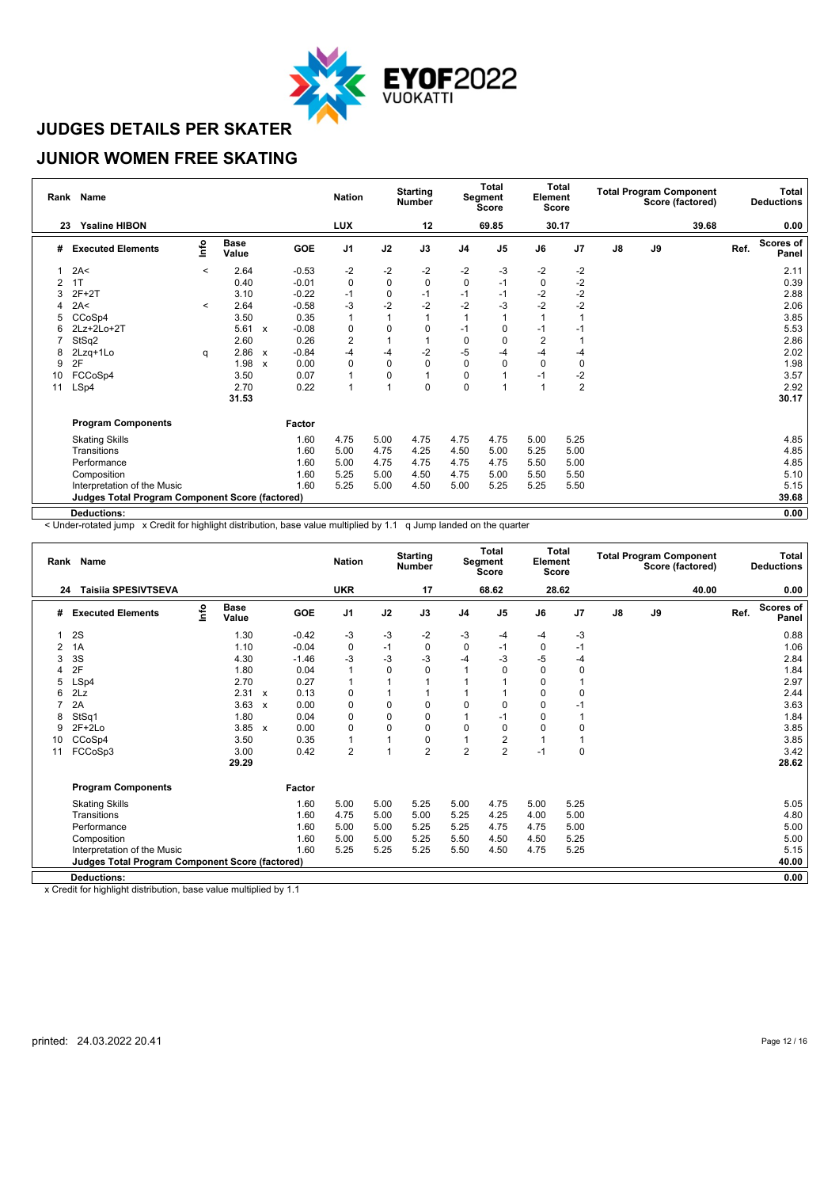

#### **JUNIOR WOMEN FREE SKATING**

| Rank | <b>Name</b>                                     |         |                      |                           |         | <b>Nation</b>  |             | <b>Starting</b><br><b>Number</b> |                | <b>Total</b><br>Segment<br>Score | Element        | <b>Total</b><br><b>Score</b> |               |    | <b>Total Program Component</b><br>Score (factored) |      | Total<br><b>Deductions</b> |
|------|-------------------------------------------------|---------|----------------------|---------------------------|---------|----------------|-------------|----------------------------------|----------------|----------------------------------|----------------|------------------------------|---------------|----|----------------------------------------------------|------|----------------------------|
| 23   | <b>Ysaline HIBON</b>                            |         |                      |                           |         | <b>LUX</b>     |             | 12                               |                | 69.85                            |                | 30.17                        |               |    | 39.68                                              |      | 0.00                       |
| #    | <b>Executed Elements</b>                        | lnfo    | <b>Base</b><br>Value |                           | GOE     | J <sub>1</sub> | J2          | J3                               | J <sub>4</sub> | J <sub>5</sub>                   | J6             | J7                           | $\mathsf{J}8$ | J9 |                                                    | Ref. | <b>Scores of</b><br>Panel  |
|      | 2A<                                             | $\,<\,$ | 2.64                 |                           | $-0.53$ | $-2$           | $-2$        | $-2$                             | $-2$           | $-3$                             | -2             | $-2$                         |               |    |                                                    |      | 2.11                       |
| 2    | 1T                                              |         | 0.40                 |                           | $-0.01$ | $\pmb{0}$      | $\mathbf 0$ | $\mathbf 0$                      | $\mathbf 0$    | $-1$                             | 0              | $-2$                         |               |    |                                                    |      | 0.39                       |
|      | $2F+2T$                                         |         | 3.10                 |                           | $-0.22$ | $-1$           | $\pmb{0}$   | $-1$                             | -1             | $-1$                             | $-2$           | $-2$                         |               |    |                                                    |      | 2.88                       |
|      | 2A<                                             | $\,<\,$ | 2.64                 |                           | $-0.58$ | $-3$           | $-2$        | $-2$                             | $-2$           | $-3$                             | $-2$           | $-2$                         |               |    |                                                    |      | 2.06                       |
|      | CCoSp4                                          |         | 3.50                 |                           | 0.35    | $\overline{1}$ |             |                                  |                |                                  | 1              | $\overline{1}$               |               |    |                                                    |      | 3.85                       |
| 6    | 2Lz+2Lo+2T                                      |         | 5.61                 | $\boldsymbol{\mathsf{x}}$ | $-0.08$ | 0              | 0           | 0                                | $-1$           | 0                                | $-1$           | $-1$                         |               |    |                                                    |      | 5.53                       |
|      | StSq2                                           |         | 2.60                 |                           | 0.26    | 2              |             |                                  | $\mathbf 0$    | $\Omega$                         | $\overline{2}$ |                              |               |    |                                                    |      | 2.86                       |
| 8    | 2Lzq+1Lo                                        | q       | 2.86                 | $\boldsymbol{\mathsf{x}}$ | $-0.84$ | $-4$           | $-4$        | $-2$                             | $-5$           | -4                               | $-4$           | $-4$                         |               |    |                                                    |      | 2.02                       |
| 9    | 2F                                              |         | 1.98                 | $\boldsymbol{\mathsf{x}}$ | 0.00    | 0              | $\mathbf 0$ | $\Omega$                         | 0              | $\Omega$                         | 0              | 0                            |               |    |                                                    |      | 1.98                       |
| 10   | FCCoSp4                                         |         | 3.50                 |                           | 0.07    |                | 0           |                                  | $\Omega$       |                                  | $-1$           | $-2$                         |               |    |                                                    |      | 3.57                       |
| 11   | LSp4                                            |         | 2.70                 |                           | 0.22    | 1              |             | $\Omega$                         | $\mathbf 0$    |                                  | 1              | $\overline{2}$               |               |    |                                                    |      | 2.92                       |
|      |                                                 |         | 31.53                |                           |         |                |             |                                  |                |                                  |                |                              |               |    |                                                    |      | 30.17                      |
|      | <b>Program Components</b>                       |         |                      |                           | Factor  |                |             |                                  |                |                                  |                |                              |               |    |                                                    |      |                            |
|      | <b>Skating Skills</b>                           |         |                      |                           | 1.60    | 4.75           | 5.00        | 4.75                             | 4.75           | 4.75                             | 5.00           | 5.25                         |               |    |                                                    |      | 4.85                       |
|      | Transitions                                     |         |                      |                           | 1.60    | 5.00           | 4.75        | 4.25                             | 4.50           | 5.00                             | 5.25           | 5.00                         |               |    |                                                    |      | 4.85                       |
|      | Performance                                     |         |                      |                           | 1.60    | 5.00           | 4.75        | 4.75                             | 4.75           | 4.75                             | 5.50           | 5.00                         |               |    |                                                    |      | 4.85                       |
|      | Composition                                     |         |                      |                           | 1.60    | 5.25           | 5.00        | 4.50                             | 4.75           | 5.00                             | 5.50           | 5.50                         |               |    |                                                    |      | 5.10                       |
|      | Interpretation of the Music                     |         |                      |                           | 1.60    | 5.25           | 5.00        | 4.50                             | 5.00           | 5.25                             | 5.25           | 5.50                         |               |    |                                                    |      | 5.15                       |
|      | Judges Total Program Component Score (factored) |         |                      |                           |         |                |             |                                  |                |                                  |                |                              |               |    |                                                    |      | 39.68                      |
|      | <b>Deductions:</b>                              |         |                      |                           |         |                |             |                                  |                |                                  |                |                              |               |    |                                                    |      | 0.00                       |

< Under-rotated jump x Credit for highlight distribution, base value multiplied by 1.1 q Jump landed on the quarter

| Rank | Name                                                   |          |                      |                           |         | <b>Nation</b>  |          | <b>Starting</b><br><b>Number</b> |                | Total<br>Segment<br><b>Score</b> | Element  | Total<br><b>Score</b> |               | <b>Total Program Component</b> | Score (factored) |      | <b>Total</b><br><b>Deductions</b> |
|------|--------------------------------------------------------|----------|----------------------|---------------------------|---------|----------------|----------|----------------------------------|----------------|----------------------------------|----------|-----------------------|---------------|--------------------------------|------------------|------|-----------------------------------|
| 24   | <b>Taisiia SPESIVTSEVA</b>                             |          |                      |                           |         | <b>UKR</b>     |          | 17                               |                | 68.62                            |          | 28.62                 |               |                                | 40.00            |      | 0.00                              |
| #    | <b>Executed Elements</b>                               | <b>u</b> | <b>Base</b><br>Value |                           | GOE     | J <sub>1</sub> | J2       | J3                               | J <sub>4</sub> | J <sub>5</sub>                   | J6       | J <sub>7</sub>        | $\mathsf{J}8$ | J9                             |                  | Ref. | <b>Scores of</b><br>Panel         |
|      | 2S                                                     |          | 1.30                 |                           | $-0.42$ | -3             | $-3$     | $-2$                             | $-3$           | -4                               | -4       | $-3$                  |               |                                |                  |      | 0.88                              |
| 2    | 1A                                                     |          | 1.10                 |                           | $-0.04$ | 0              | $-1$     | 0                                | 0              | $-1$                             | 0        | $-1$                  |               |                                |                  |      | 1.06                              |
| 3    | 3S                                                     |          | 4.30                 |                           | $-1.46$ | -3             | $-3$     | $-3$                             | $-4$           | $-3$                             | $-5$     | $-4$                  |               |                                |                  |      | 2.84                              |
| 4    | 2F                                                     |          | 1.80                 |                           | 0.04    | 1              | $\Omega$ | $\mathbf 0$                      |                |                                  | $\Omega$ | 0                     |               |                                |                  |      | 1.84                              |
| 5    | LSp4                                                   |          | 2.70                 |                           | 0.27    | 1              |          |                                  |                |                                  | 0        |                       |               |                                |                  |      | 2.97                              |
| 6    | 2Lz                                                    |          | 2.31                 | $\boldsymbol{\mathsf{x}}$ | 0.13    | 0              |          |                                  |                |                                  | $\Omega$ | 0                     |               |                                |                  |      | 2.44                              |
|      | 2A                                                     |          | 3.63                 | $\boldsymbol{\mathsf{x}}$ | 0.00    | 0              | 0        | 0                                | 0              |                                  | $\Omega$ | $-1$                  |               |                                |                  |      | 3.63                              |
| 8    | StSq1                                                  |          | 1.80                 |                           | 0.04    | 0              | 0        | $\mathbf 0$                      |                | $-1$                             | $\Omega$ |                       |               |                                |                  |      | 1.84                              |
| 9    | $2F+2Lo$                                               |          | 3.85                 | $\mathsf{x}$              | 0.00    | 0              | 0        | $\mathbf 0$                      | 0              | $\Omega$                         | $\Omega$ | 0                     |               |                                |                  |      | 3.85                              |
| 10   | CCoSp4                                                 |          | 3.50                 |                           | 0.35    |                |          | 0                                |                | $\overline{c}$                   |          |                       |               |                                |                  |      | 3.85                              |
| 11   | FCCoSp3                                                |          | 3.00                 |                           | 0.42    | $\overline{2}$ | 1        | $\overline{2}$                   | $\overline{2}$ | $\overline{2}$                   | $-1$     | 0                     |               |                                |                  |      | 3.42                              |
|      |                                                        |          | 29.29                |                           |         |                |          |                                  |                |                                  |          |                       |               |                                |                  |      | 28.62                             |
|      | <b>Program Components</b>                              |          |                      |                           | Factor  |                |          |                                  |                |                                  |          |                       |               |                                |                  |      |                                   |
|      | <b>Skating Skills</b>                                  |          |                      |                           | 1.60    | 5.00           | 5.00     | 5.25                             | 5.00           | 4.75                             | 5.00     | 5.25                  |               |                                |                  |      | 5.05                              |
|      | Transitions                                            |          |                      |                           | 1.60    | 4.75           | 5.00     | 5.00                             | 5.25           | 4.25                             | 4.00     | 5.00                  |               |                                |                  |      | 4.80                              |
|      | Performance                                            |          |                      |                           | 1.60    | 5.00           | 5.00     | 5.25                             | 5.25           | 4.75                             | 4.75     | 5.00                  |               |                                |                  |      | 5.00                              |
|      | Composition                                            |          |                      |                           | 1.60    | 5.00           | 5.00     | 5.25                             | 5.50           | 4.50                             | 4.50     | 5.25                  |               |                                |                  |      | 5.00                              |
|      | Interpretation of the Music                            |          |                      |                           | 1.60    | 5.25           | 5.25     | 5.25                             | 5.50           | 4.50                             | 4.75     | 5.25                  |               |                                |                  |      | 5.15                              |
|      | <b>Judges Total Program Component Score (factored)</b> |          |                      |                           |         |                |          |                                  |                |                                  |          |                       |               |                                |                  |      | 40.00                             |
|      | <b>Deductions:</b>                                     |          |                      |                           |         |                |          |                                  |                |                                  |          |                       |               |                                |                  |      | 0.00                              |
|      |                                                        |          |                      |                           |         |                |          |                                  |                |                                  |          |                       |               |                                |                  |      |                                   |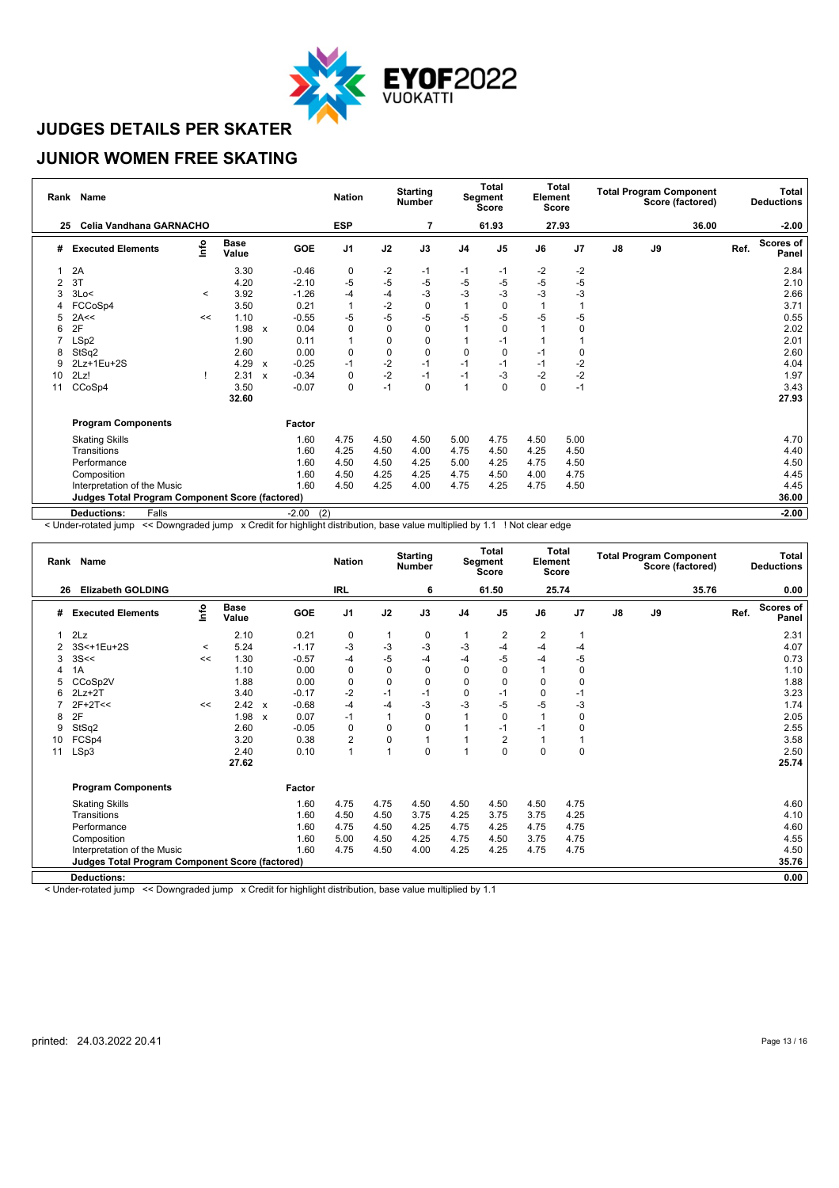

#### **JUNIOR WOMEN FREE SKATING**

| Rank | <b>Name</b>                                            |         |                      |              |                | <b>Nation</b>  |             | <b>Starting</b><br><b>Number</b> |                | Total<br>Segment<br>Score | Element | <b>Total</b><br>Score |               |    | <b>Total Program Component</b><br>Score (factored) |      | <b>Total</b><br><b>Deductions</b> |
|------|--------------------------------------------------------|---------|----------------------|--------------|----------------|----------------|-------------|----------------------------------|----------------|---------------------------|---------|-----------------------|---------------|----|----------------------------------------------------|------|-----------------------------------|
| 25   | Celia Vandhana GARNACHO                                |         |                      |              |                | <b>ESP</b>     |             | 7                                |                | 61.93                     |         | 27.93                 |               |    | 36.00                                              |      | $-2.00$                           |
| #    | <b>Executed Elements</b>                               | info    | <b>Base</b><br>Value |              | <b>GOE</b>     | J <sub>1</sub> | J2          | J3                               | J <sub>4</sub> | J <sub>5</sub>            | J6      | J7                    | $\mathsf{J}8$ | J9 |                                                    | Ref. | <b>Scores of</b><br>Panel         |
|      | 2A                                                     |         | 3.30                 |              | $-0.46$        | 0              | $-2$        | -1                               | -1             | -1                        | -2      | $-2$                  |               |    |                                                    |      | 2.84                              |
| 2    | 3T                                                     |         | 4.20                 |              | $-2.10$        | $-5$           | $-5$        | -5                               | -5             | -5                        | $-5$    | $-5$                  |               |    |                                                    |      | 2.10                              |
|      | 3Lo<                                                   | $\prec$ | 3.92                 |              | $-1.26$        | $-4$           | $-4$        | -3                               | -3             | -3                        | $-3$    | $-3$                  |               |    |                                                    |      | 2.66                              |
|      | FCCoSp4                                                |         | 3.50                 |              | 0.21           | $\mathbf{1}$   | $-2$        | $\mathbf 0$                      |                | 0                         | 1       | -1                    |               |    |                                                    |      | 3.71                              |
|      | 2A<<                                                   | <<      | 1.10                 |              | $-0.55$        | $-5$           | $-5$        | -5                               | -5             | -5                        | $-5$    | -5                    |               |    |                                                    |      | 0.55                              |
| 6    | 2F                                                     |         | 1.98                 | X            | 0.04           | 0              | $\mathbf 0$ | $\mathbf 0$                      |                | 0                         |         | 0                     |               |    |                                                    |      | 2.02                              |
|      | LSp2                                                   |         | 1.90                 |              | 0.11           |                | $\mathbf 0$ | 0                                |                | -1                        |         |                       |               |    |                                                    |      | 2.01                              |
|      | StSq2                                                  |         | 2.60                 |              | 0.00           | 0              | $\mathbf 0$ | $\Omega$                         | O              | $\Omega$                  | $-1$    | 0                     |               |    |                                                    |      | 2.60                              |
| g    | 2Lz+1Eu+2S                                             |         | 4.29                 | X            | $-0.25$        | $-1$           | $-2$        | -1                               | $-1$           | -1                        | $-1$    | -2                    |               |    |                                                    |      | 4.04                              |
| 10   | 2Lz!                                                   |         | 2.31                 | $\mathbf{x}$ | $-0.34$        | $\mathbf 0$    | $-2$        | $-1$                             | $-1$           | $-3$                      | $-2$    | $-2$                  |               |    |                                                    |      | 1.97                              |
| 11   | CCoSp4                                                 |         | 3.50                 |              | $-0.07$        | $\pmb{0}$      | $-1$        | $\mathbf 0$                      | $\overline{ }$ | 0                         | 0       | $-1$                  |               |    |                                                    |      | 3.43                              |
|      |                                                        |         | 32.60                |              |                |                |             |                                  |                |                           |         |                       |               |    |                                                    |      | 27.93                             |
|      | <b>Program Components</b>                              |         |                      |              | Factor         |                |             |                                  |                |                           |         |                       |               |    |                                                    |      |                                   |
|      | <b>Skating Skills</b>                                  |         |                      |              | 1.60           | 4.75           | 4.50        | 4.50                             | 5.00           | 4.75                      | 4.50    | 5.00                  |               |    |                                                    |      | 4.70                              |
|      | Transitions                                            |         |                      |              | 1.60           | 4.25           | 4.50        | 4.00                             | 4.75           | 4.50                      | 4.25    | 4.50                  |               |    |                                                    |      | 4.40                              |
|      | Performance                                            |         |                      |              | 1.60           | 4.50           | 4.50        | 4.25                             | 5.00           | 4.25                      | 4.75    | 4.50                  |               |    |                                                    |      | 4.50                              |
|      | Composition                                            |         |                      |              | 1.60           | 4.50           | 4.25        | 4.25                             | 4.75           | 4.50                      | 4.00    | 4.75                  |               |    |                                                    |      | 4.45                              |
|      | Interpretation of the Music                            |         |                      |              | 1.60           | 4.50           | 4.25        | 4.00                             | 4.75           | 4.25                      | 4.75    | 4.50                  |               |    |                                                    |      | 4.45                              |
|      | <b>Judges Total Program Component Score (factored)</b> |         |                      |              |                |                |             |                                  |                |                           |         |                       |               |    |                                                    |      | 36.00                             |
|      | <b>Deductions:</b><br>Falls                            |         |                      |              | (2)<br>$-2.00$ |                |             |                                  |                |                           |         |                       |               |    |                                                    |      | $-2.00$                           |

< Under-rotated jump << Downgraded jump x Credit for highlight distribution, base value multiplied by 1.1 ! Not clear edge

|    | Rank Name                                              |         |                      |                           |         | <b>Nation</b>  |             | <b>Starting</b><br><b>Number</b> |                | Total<br>Segment<br><b>Score</b> | Element  | <b>Total</b><br><b>Score</b> |               | <b>Total Program Component</b> | Score (factored) |      | <b>Total</b><br><b>Deductions</b> |
|----|--------------------------------------------------------|---------|----------------------|---------------------------|---------|----------------|-------------|----------------------------------|----------------|----------------------------------|----------|------------------------------|---------------|--------------------------------|------------------|------|-----------------------------------|
| 26 | <b>Elizabeth GOLDING</b>                               |         |                      |                           |         | <b>IRL</b>     |             | 6                                |                | 61.50                            |          | 25.74                        |               |                                | 35.76            |      | 0.00                              |
| #  | <b>Executed Elements</b>                               | Info    | <b>Base</b><br>Value |                           | GOE     | J <sub>1</sub> | J2          | J3                               | J <sub>4</sub> | J <sub>5</sub>                   | J6       | J7                           | $\mathsf{J}8$ | J9                             |                  | Ref. | Scores of<br>Panel                |
|    | 2Lz                                                    |         | 2.10                 |                           | 0.21    | 0              | 1           | 0                                |                | 2                                | 2        |                              |               |                                |                  |      | 2.31                              |
|    | 3S<+1Eu+2S                                             | $\prec$ | 5.24                 |                           | $-1.17$ | -3             | -3          | $-3$                             | $-3$           | $-4$                             | -4       | -4                           |               |                                |                  |      | 4.07                              |
| 3  | 3S<<                                                   | <<      | 1.30                 |                           | $-0.57$ | $-4$           | $-5$        | $-4$                             | $-4$           | $-5$                             | -4       | -5                           |               |                                |                  |      | 0.73                              |
| 4  | 1A                                                     |         | 1.10                 |                           | 0.00    | $\mathbf 0$    | $\mathbf 0$ | $\mathbf 0$                      | $\mathbf 0$    | $\Omega$                         |          | $\mathbf 0$                  |               |                                |                  |      | 1.10                              |
|    | CCoSp2V                                                |         | 1.88                 |                           | 0.00    | $\mathbf 0$    | $\mathbf 0$ | $\mathbf 0$                      | $\mathbf 0$    | $\Omega$                         | 0        | $\mathbf 0$                  |               |                                |                  |      | 1.88                              |
| ี  | $2Lz+2T$                                               |         | 3.40                 |                           | $-0.17$ | $-2$           | $-1$        | $-1$                             | $\mathbf 0$    | $-1$                             | 0        | -1                           |               |                                |                  |      | 3.23                              |
|    | $2F+2T<<$                                              | <<      | 2.42                 | $\boldsymbol{\mathsf{x}}$ | $-0.68$ | -4             | -4          | $-3$                             | $-3$           | $-5$                             | $-5$     | -3                           |               |                                |                  |      | 1.74                              |
| 8  | 2F                                                     |         | 1.98                 | $\boldsymbol{\mathsf{x}}$ | 0.07    | $-1$           | 1           | $\mathbf 0$                      |                | $\Omega$                         |          | 0                            |               |                                |                  |      | 2.05                              |
| 9  | StSq2                                                  |         | 2.60                 |                           | $-0.05$ | 0              | 0           | 0                                |                | $-1$                             | $-1$     | 0                            |               |                                |                  |      | 2.55                              |
| 10 | FCSp4                                                  |         | 3.20                 |                           | 0.38    | 2              | $\pmb{0}$   | $\overline{1}$                   |                | $\overline{2}$                   |          |                              |               |                                |                  |      | 3.58                              |
| 11 | LSp3                                                   |         | 2.40                 |                           | 0.10    | 1              | 1           | $\mathbf 0$                      |                | $\Omega$                         | $\Omega$ | $\mathbf 0$                  |               |                                |                  |      | 2.50                              |
|    |                                                        |         | 27.62                |                           |         |                |             |                                  |                |                                  |          |                              |               |                                |                  |      | 25.74                             |
|    | <b>Program Components</b>                              |         |                      |                           | Factor  |                |             |                                  |                |                                  |          |                              |               |                                |                  |      |                                   |
|    | <b>Skating Skills</b>                                  |         |                      |                           | 1.60    | 4.75           | 4.75        | 4.50                             | 4.50           | 4.50                             | 4.50     | 4.75                         |               |                                |                  |      | 4.60                              |
|    | Transitions                                            |         |                      |                           | 1.60    | 4.50           | 4.50        | 3.75                             | 4.25           | 3.75                             | 3.75     | 4.25                         |               |                                |                  |      | 4.10                              |
|    | Performance                                            |         |                      |                           | 1.60    | 4.75           | 4.50        | 4.25                             | 4.75           | 4.25                             | 4.75     | 4.75                         |               |                                |                  |      | 4.60                              |
|    | Composition                                            |         |                      |                           | 1.60    | 5.00           | 4.50        | 4.25                             | 4.75           | 4.50                             | 3.75     | 4.75                         |               |                                |                  |      | 4.55                              |
|    | Interpretation of the Music                            |         |                      |                           | 1.60    | 4.75           | 4.50        | 4.00                             | 4.25           | 4.25                             | 4.75     | 4.75                         |               |                                |                  |      | 4.50                              |
|    | <b>Judges Total Program Component Score (factored)</b> |         |                      |                           |         |                |             |                                  |                |                                  |          |                              |               |                                |                  |      | 35.76                             |
|    | <b>Deductions:</b>                                     |         |                      |                           |         |                |             |                                  |                |                                  |          |                              |               |                                |                  |      | 0.00                              |
|    |                                                        |         |                      |                           |         |                |             |                                  |                |                                  |          |                              |               |                                |                  |      |                                   |

< Under-rotated jump << Downgraded jump x Credit for highlight distribution, base value multiplied by 1.1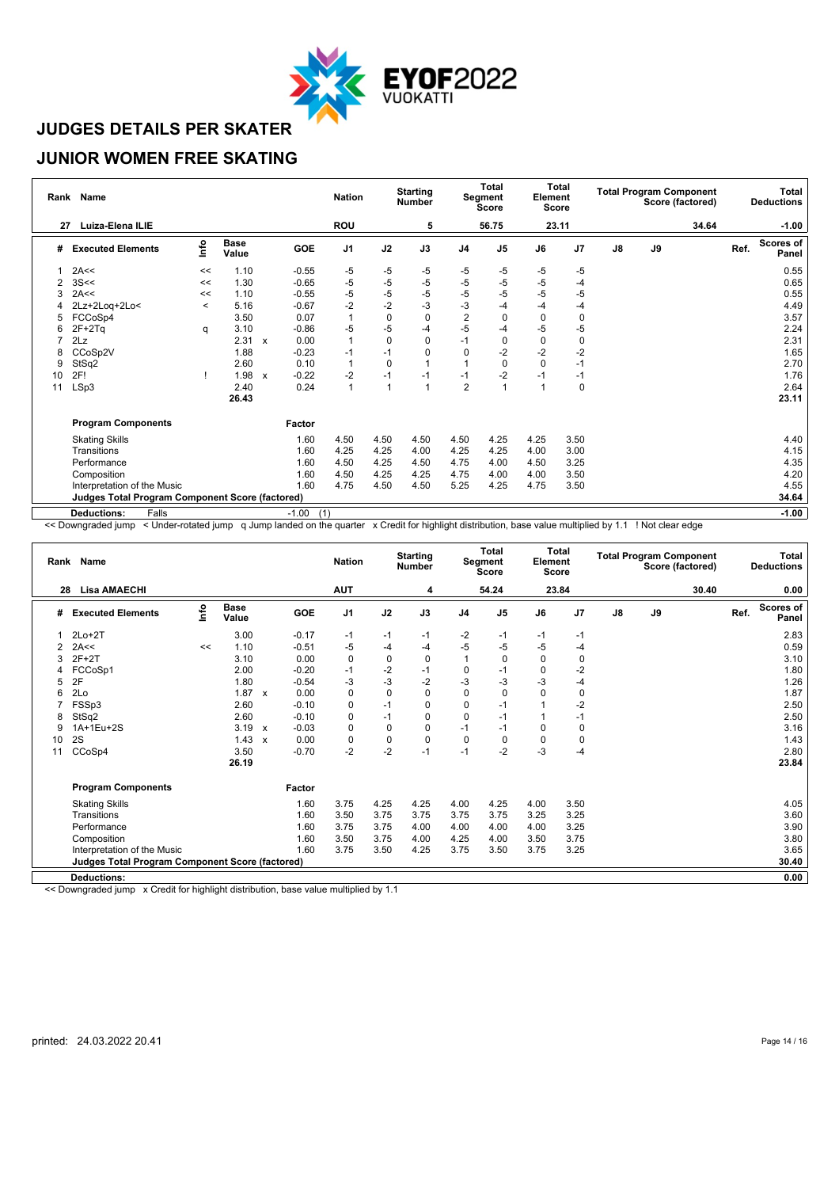

#### **JUNIOR WOMEN FREE SKATING**

| Rank | <b>Name</b>                                     |         |                      |                           |                | <b>Nation</b>  | <b>Starting</b><br><b>Number</b> |             |                | Total<br>Segment<br><b>Score</b> |      | <b>Total</b><br>Element<br>Score |               | <b>Total Program Component</b><br>Score (factored) |       |      | Total<br><b>Deductions</b> |  |
|------|-------------------------------------------------|---------|----------------------|---------------------------|----------------|----------------|----------------------------------|-------------|----------------|----------------------------------|------|----------------------------------|---------------|----------------------------------------------------|-------|------|----------------------------|--|
| 27   | Luiza-Elena ILIE                                |         |                      |                           |                | <b>ROU</b>     |                                  | 5           |                | 56.75                            |      | 23.11                            |               |                                                    | 34.64 |      | $-1.00$                    |  |
| #    | <b>Executed Elements</b>                        | lnfo    | <b>Base</b><br>Value |                           | GOE            | J <sub>1</sub> | J2                               | J3          | J <sub>4</sub> | J <sub>5</sub>                   | J6   | J7                               | $\mathsf{J}8$ | J9                                                 |       | Ref. | <b>Scores of</b><br>Panel  |  |
|      | 2A<<                                            | $\,<$   | 1.10                 |                           | $-0.55$        | $-5$           | $-5$                             | -5          | -5             | -5                               | -5   | -5                               |               |                                                    |       |      | 0.55                       |  |
| 2    | 3S <                                            | $\,<$   | 1.30                 |                           | $-0.65$        | $-5$           | $-5$                             | $-5$        | $-5$           | $-5$                             | -5   | -4                               |               |                                                    |       |      | 0.65                       |  |
|      | 2A<<                                            | <<      | 1.10                 |                           | $-0.55$        | $-5$           | $-5$                             | $-5$        | -5             | -5                               | $-5$ | -5                               |               |                                                    |       |      | 0.55                       |  |
|      | 2Lz+2Loq+2Lo<                                   | $\,<\,$ | 5.16                 |                           | $-0.67$        | $-2$           | $-2$                             | $-3$        | $-3$           | $-4$                             | -4   | $-4$                             |               |                                                    |       |      | 4.49                       |  |
|      | FCCoSp4                                         |         | 3.50                 |                           | 0.07           | $\overline{1}$ | $\mathbf 0$                      | $\mathbf 0$ | $\overline{2}$ | $\Omega$                         | 0    | $\mathbf 0$                      |               |                                                    |       |      | 3.57                       |  |
| 6    | $2F+2Tq$                                        | q       | 3.10                 |                           | $-0.86$        | $-5$           | $-5$                             | -4          | -5             | -4                               | -5   | -5                               |               |                                                    |       |      | 2.24                       |  |
|      | 2Lz                                             |         | 2.31                 | $\boldsymbol{\mathsf{x}}$ | 0.00           |                | 0                                | 0           | $-1$           | 0                                | 0    | 0                                |               |                                                    |       |      | 2.31                       |  |
| 8    | CCoSp2V                                         |         | 1.88                 |                           | $-0.23$        | $-1$           | $-1$                             | $\Omega$    | $\Omega$       | $-2$                             | $-2$ | $-2$                             |               |                                                    |       |      | 1.65                       |  |
| 9    | StSq2                                           |         | 2.60                 |                           | 0.10           | $\overline{1}$ | 0                                |             |                | 0                                | 0    | $-1$                             |               |                                                    |       |      | 2.70                       |  |
| 10   | 2F!                                             |         | 1.98                 | $\boldsymbol{\mathsf{x}}$ | $-0.22$        | $-2$           | $-1$                             | $-1$        | $-1$           | $-2$                             | $-1$ | $-1$                             |               |                                                    |       |      | 1.76                       |  |
| 11   | LSp3                                            |         | 2.40                 |                           | 0.24           | 1              |                                  |             | $\overline{2}$ |                                  | 1    | 0                                |               |                                                    |       |      | 2.64                       |  |
|      |                                                 |         | 26.43                |                           |                |                |                                  |             |                |                                  |      |                                  |               |                                                    |       |      | 23.11                      |  |
|      | <b>Program Components</b>                       |         |                      |                           | Factor         |                |                                  |             |                |                                  |      |                                  |               |                                                    |       |      |                            |  |
|      | <b>Skating Skills</b>                           |         |                      |                           | 1.60           | 4.50           | 4.50                             | 4.50        | 4.50           | 4.25                             | 4.25 | 3.50                             |               |                                                    |       |      | 4.40                       |  |
|      | Transitions                                     |         |                      |                           | 1.60           | 4.25           | 4.25                             | 4.00        | 4.25           | 4.25                             | 4.00 | 3.00                             |               |                                                    |       |      | 4.15                       |  |
|      | Performance                                     |         |                      |                           | 1.60           | 4.50           | 4.25                             | 4.50        | 4.75           | 4.00                             | 4.50 | 3.25                             |               |                                                    |       |      | 4.35                       |  |
|      | Composition                                     |         |                      |                           | 1.60           | 4.50           | 4.25                             | 4.25        | 4.75           | 4.00                             | 4.00 | 3.50                             |               |                                                    |       |      | 4.20                       |  |
|      | Interpretation of the Music                     |         |                      |                           | 1.60           | 4.75           | 4.50                             | 4.50        | 5.25           | 4.25                             | 4.75 | 3.50                             |               |                                                    |       |      | 4.55                       |  |
|      | Judges Total Program Component Score (factored) |         |                      |                           |                |                |                                  |             |                |                                  |      |                                  |               |                                                    |       |      | 34.64                      |  |
|      | <b>Deductions:</b><br>Falls                     |         |                      |                           | $-1.00$<br>(1) |                |                                  |             |                |                                  |      |                                  |               |                                                    |       |      | $-1.00$                    |  |

<< Downgraded jump < Under-rotated jump q Jump landed on the quarter x Credit for highlight distribution, base value multiplied by 1.1 ! Not clear edge

| Rank | <b>Name</b>                                            |      |                      |                           |         | <b>Nation</b>  |             | <b>Starting</b><br><b>Number</b> |                | Total<br>Segment<br><b>Score</b> | Element  | <b>Total</b><br>Score |               | <b>Total Program Component</b> | Score (factored) |      | Total<br><b>Deductions</b> |
|------|--------------------------------------------------------|------|----------------------|---------------------------|---------|----------------|-------------|----------------------------------|----------------|----------------------------------|----------|-----------------------|---------------|--------------------------------|------------------|------|----------------------------|
| 28   | <b>Lisa AMAECHI</b>                                    |      |                      |                           |         | <b>AUT</b>     |             |                                  |                | 54.24                            |          | 23.84                 |               |                                | 30.40            |      | 0.00                       |
| #    | <b>Executed Elements</b>                               | Info | <b>Base</b><br>Value |                           | GOE     | J <sub>1</sub> | J2          | J3                               | J <sub>4</sub> | J <sub>5</sub>                   | J6       | J7                    | $\mathsf{J}8$ | J9                             |                  | Ref. | <b>Scores of</b><br>Panel  |
|      | $2Lo+2T$                                               |      | 3.00                 |                           | $-0.17$ | $-1$           | $-1$        | $-1$                             | $-2$           | -1                               | $-1$     | $-1$                  |               |                                |                  |      | 2.83                       |
| 2    | 2A<<                                                   | <<   | 1.10                 |                           | $-0.51$ | -5             | $-4$        | $-4$                             | $-5$           | $-5$                             | $-5$     | -4                    |               |                                |                  |      | 0.59                       |
| 3    | $2F+2T$                                                |      | 3.10                 |                           | 0.00    | $\mathbf 0$    | 0           | $\mathbf 0$                      |                | $\Omega$                         | 0        | 0                     |               |                                |                  |      | 3.10                       |
| 4    | FCCoSp1                                                |      | 2.00                 |                           | $-0.20$ | $-1$           | $-2$        | $-1$                             | 0              | -1                               | 0        | $-2$                  |               |                                |                  |      | 1.80                       |
| 5    | 2F                                                     |      | 1.80                 |                           | $-0.54$ | -3             | $-3$        | $-2$                             | $-3$           | $-3$                             | -3       | -4                    |               |                                |                  |      | 1.26                       |
| 6    | 2Lo                                                    |      | 1.87                 | $\mathsf{x}$              | 0.00    | 0              | $\mathbf 0$ | $\mathbf 0$                      | $\mathbf 0$    | O                                | $\Omega$ | 0                     |               |                                |                  |      | 1.87                       |
|      | FSSp3                                                  |      | 2.60                 |                           | $-0.10$ | 0              | $-1$        | 0                                | 0              | -1                               |          | $-2$                  |               |                                |                  |      | 2.50                       |
| 8    | StSq2                                                  |      | 2.60                 |                           | $-0.10$ | 0              | $-1$        | 0                                | $\mathbf 0$    | -1                               |          | $-1$                  |               |                                |                  |      | 2.50                       |
| 9    | 1A+1Eu+2S                                              |      | 3.19                 | $\boldsymbol{\mathsf{x}}$ | $-0.03$ | 0              | $\mathbf 0$ | 0                                | $-1$           | $-1$                             | 0        | $\mathbf 0$           |               |                                |                  |      | 3.16                       |
| 10   | 2S                                                     |      | 1.43                 | $\boldsymbol{\mathsf{x}}$ | 0.00    | 0              | $\mathbf 0$ | 0                                | $\mathbf 0$    | O                                | 0        | 0                     |               |                                |                  |      | 1.43                       |
| 11   | CCoSp4                                                 |      | 3.50                 |                           | $-0.70$ | $-2$           | $-2$        | $-1$                             | $-1$           | $-2$                             | -3       | $-4$                  |               |                                |                  |      | 2.80                       |
|      |                                                        |      | 26.19                |                           |         |                |             |                                  |                |                                  |          |                       |               |                                |                  |      | 23.84                      |
|      | <b>Program Components</b>                              |      |                      |                           | Factor  |                |             |                                  |                |                                  |          |                       |               |                                |                  |      |                            |
|      | <b>Skating Skills</b>                                  |      |                      |                           | 1.60    | 3.75           | 4.25        | 4.25                             | 4.00           | 4.25                             | 4.00     | 3.50                  |               |                                |                  |      | 4.05                       |
|      | Transitions                                            |      |                      |                           | 1.60    | 3.50           | 3.75        | 3.75                             | 3.75           | 3.75                             | 3.25     | 3.25                  |               |                                |                  |      | 3.60                       |
|      | Performance                                            |      |                      |                           | 1.60    | 3.75           | 3.75        | 4.00                             | 4.00           | 4.00                             | 4.00     | 3.25                  |               |                                |                  |      | 3.90                       |
|      | Composition                                            |      |                      |                           | 1.60    | 3.50           | 3.75        | 4.00                             | 4.25           | 4.00                             | 3.50     | 3.75                  |               |                                |                  |      | 3.80                       |
|      | Interpretation of the Music                            |      |                      |                           | 1.60    | 3.75           | 3.50        | 4.25                             | 3.75           | 3.50                             | 3.75     | 3.25                  |               |                                |                  |      | 3.65                       |
|      | <b>Judges Total Program Component Score (factored)</b> |      |                      |                           |         |                |             |                                  |                |                                  |          |                       |               |                                |                  |      | 30.40                      |
|      | <b>Deductions:</b>                                     |      |                      |                           |         |                |             |                                  |                |                                  |          |                       |               |                                |                  |      | 0.00                       |
|      |                                                        |      |                      |                           |         |                |             |                                  |                |                                  |          |                       |               |                                |                  |      |                            |

<< Downgraded jump x Credit for highlight distribution, base value multiplied by 1.1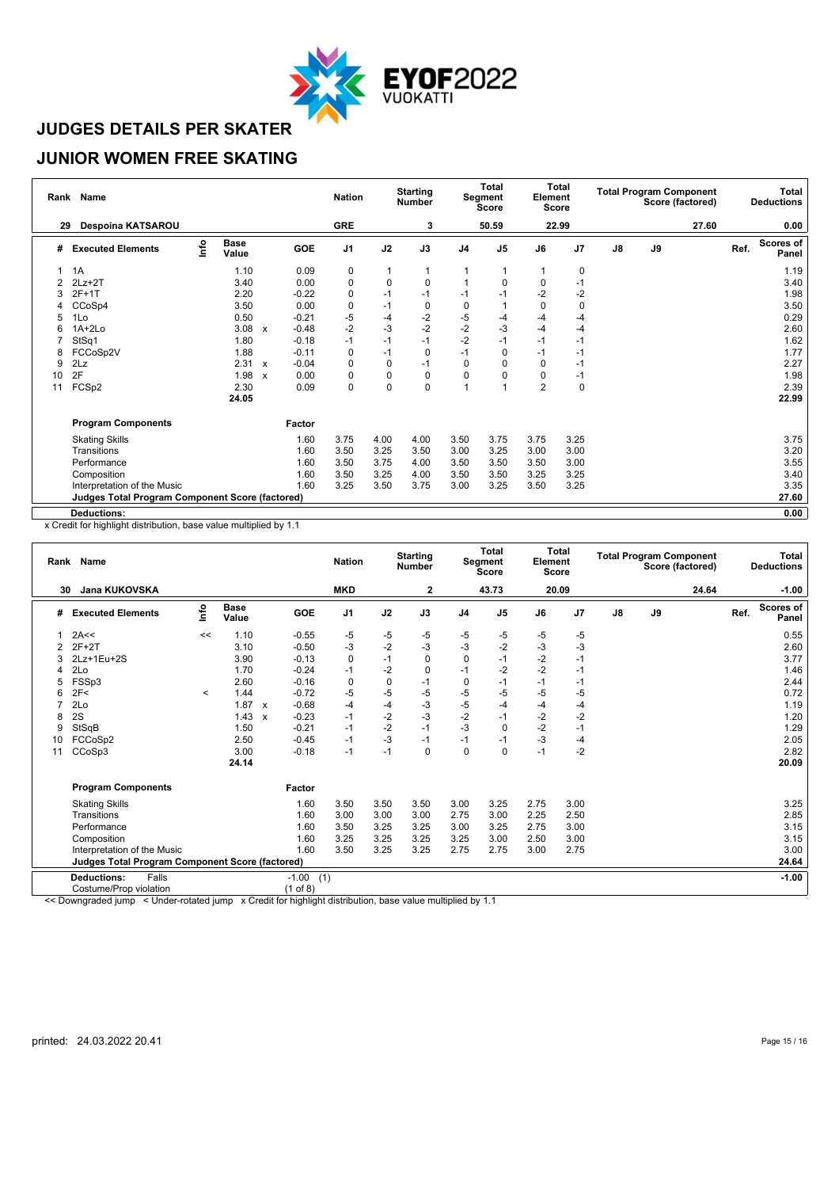

#### **JUNIOR WOMEN FREE SKATING**

| Rank           | Name                                                   |      |                      |                           |         | <b>Nation</b>  |      | <b>Starting</b><br><b>Number</b> |                | <b>Total</b><br>Segment<br><b>Score</b> | Element        | <b>Total</b><br><b>Score</b> |               |    | <b>Total Program Component</b><br>Score (factored) |      | <b>Total</b><br><b>Deductions</b> |
|----------------|--------------------------------------------------------|------|----------------------|---------------------------|---------|----------------|------|----------------------------------|----------------|-----------------------------------------|----------------|------------------------------|---------------|----|----------------------------------------------------|------|-----------------------------------|
| 29             | <b>Despoina KATSAROU</b>                               |      |                      |                           |         | <b>GRE</b>     |      | 3                                |                | 50.59                                   |                | 22.99                        |               |    | 27.60                                              |      | 0.00                              |
| #              | <b>Executed Elements</b>                               | lnfo | <b>Base</b><br>Value |                           | GOE     | J <sub>1</sub> | J2   | J3                               | J <sub>4</sub> | J <sub>5</sub>                          | J6             | J7                           | $\mathsf{J}8$ | J9 |                                                    | Ref. | <b>Scores of</b><br>Panel         |
|                | 1A                                                     |      | 1.10                 |                           | 0.09    | 0              | 1    |                                  |                |                                         |                | 0                            |               |    |                                                    |      | 1.19                              |
| $\overline{2}$ | $2Lz + 2T$                                             |      | 3.40                 |                           | 0.00    | $\pmb{0}$      | 0    | $\mathbf 0$                      |                | 0                                       | 0              | $-1$                         |               |    |                                                    |      | 3.40                              |
|                | $2F+1T$                                                |      | 2.20                 |                           | $-0.22$ | 0              | $-1$ | $-1$                             | $-1$           | $-1$                                    | $-2$           | $-2$                         |               |    |                                                    |      | 1.98                              |
|                | CCoSp4                                                 |      | 3.50                 |                           | 0.00    | 0              | $-1$ | 0                                | 0              |                                         | 0              | 0                            |               |    |                                                    |      | 3.50                              |
| 5              | 1Lo                                                    |      | 0.50                 |                           | $-0.21$ | $-5$           | -4   | -2                               | -5             | -4                                      | -4             | $-4$                         |               |    |                                                    |      | 0.29                              |
| 6              | $1A+2Lo$                                               |      | 3.08                 | $\boldsymbol{\mathsf{x}}$ | $-0.48$ | $-2$           | $-3$ | $-2$                             | $-2$           | -3                                      | $-4$           | -4                           |               |    |                                                    |      | 2.60                              |
|                | StSq1                                                  |      | 1.80                 |                           | $-0.18$ | $-1$           | $-1$ | $-1$                             | $-2$           | $-1$                                    | $-1$           | $-1$                         |               |    |                                                    |      | 1.62                              |
| 8              | FCCoSp2V                                               |      | 1.88                 |                           | $-0.11$ | 0              | $-1$ | $\mathbf 0$                      | $-1$           | 0                                       | $-1$           | $-1$                         |               |    |                                                    |      | 1.77                              |
| 9              | 2Lz                                                    |      | 2.31                 | $\boldsymbol{\mathsf{x}}$ | $-0.04$ | 0              | 0    | $-1$                             | 0              | 0                                       | 0              | $-1$                         |               |    |                                                    |      | 2.27                              |
| 10             | 2F                                                     |      | 1.98                 | $\mathbf{x}$              | 0.00    | 0              | 0    | $\Omega$                         | $\Omega$       | 0                                       | 0              | $-1$                         |               |    |                                                    |      | 1.98                              |
| 11             | FCSp2                                                  |      | 2.30                 |                           | 0.09    | $\pmb{0}$      | 0    | $\Omega$                         | 1              |                                         | $\overline{2}$ | 0                            |               |    |                                                    |      | 2.39                              |
|                |                                                        |      | 24.05                |                           |         |                |      |                                  |                |                                         |                |                              |               |    |                                                    |      | 22.99                             |
|                | <b>Program Components</b>                              |      |                      |                           | Factor  |                |      |                                  |                |                                         |                |                              |               |    |                                                    |      |                                   |
|                | <b>Skating Skills</b>                                  |      |                      |                           | 1.60    | 3.75           | 4.00 | 4.00                             | 3.50           | 3.75                                    | 3.75           | 3.25                         |               |    |                                                    |      | 3.75                              |
|                | Transitions                                            |      |                      |                           | 1.60    | 3.50           | 3.25 | 3.50                             | 3.00           | 3.25                                    | 3.00           | 3.00                         |               |    |                                                    |      | 3.20                              |
|                | Performance                                            |      |                      |                           | 1.60    | 3.50           | 3.75 | 4.00                             | 3.50           | 3.50                                    | 3.50           | 3.00                         |               |    |                                                    |      | 3.55                              |
|                | Composition                                            |      |                      |                           | 1.60    | 3.50           | 3.25 | 4.00                             | 3.50           | 3.50                                    | 3.25           | 3.25                         |               |    |                                                    |      | 3.40                              |
|                | Interpretation of the Music                            |      |                      |                           | 1.60    | 3.25           | 3.50 | 3.75                             | 3.00           | 3.25                                    | 3.50           | 3.25                         |               |    |                                                    |      | 3.35                              |
|                | <b>Judges Total Program Component Score (factored)</b> |      |                      |                           |         |                |      |                                  |                |                                         |                |                              |               |    |                                                    |      | 27.60                             |
|                | <b>Deductions:</b>                                     |      |                      |                           |         |                |      |                                  |                |                                         |                |                              |               |    |                                                    |      | 0.00                              |

x Credit for highlight distribution, base value multiplied by 1.1

|    | Rank Name                                       |          |                      |              |                | <b>Nation</b>  |           | <b>Starting</b><br><b>Number</b> |                | <b>Total</b><br><b>Segment</b><br>Score | Element | Total<br><b>Score</b> |               | <b>Total Program Component</b> | Score (factored) |      | <b>Total</b><br><b>Deductions</b> |
|----|-------------------------------------------------|----------|----------------------|--------------|----------------|----------------|-----------|----------------------------------|----------------|-----------------------------------------|---------|-----------------------|---------------|--------------------------------|------------------|------|-----------------------------------|
| 30 | <b>Jana KUKOVSKA</b>                            |          |                      |              |                | <b>MKD</b>     |           | 2                                |                | 43.73                                   |         | 20.09                 |               |                                | 24.64            |      | $-1.00$                           |
| #  | <b>Executed Elements</b>                        | info     | <b>Base</b><br>Value |              | <b>GOE</b>     | J <sub>1</sub> | J2        | J3                               | J <sub>4</sub> | J <sub>5</sub>                          | J6      | J7                    | $\mathsf{J}8$ | J9                             |                  | Ref. | <b>Scores of</b><br>Panel         |
|    | 2A<<                                            | <<       | 1.10                 |              | $-0.55$        | -5             | -5        | -5                               | $-5$           | $-5$                                    | -5      | $-5$                  |               |                                |                  |      | 0.55                              |
|    | $2F+2T$                                         |          | 3.10                 |              | $-0.50$        | -3             | $-2$      | -3                               | $-3$           | $-2$                                    | $-3$    | $-3$                  |               |                                |                  |      | 2.60                              |
|    | 2Lz+1Eu+2S                                      |          | 3.90                 |              | $-0.13$        | $\mathbf 0$    | $-1$      | $\mathbf 0$                      | $\mathbf 0$    | $-1$                                    | $-2$    | $-1$                  |               |                                |                  |      | 3.77                              |
| 4  | 2Lo                                             |          | 1.70                 |              | $-0.24$        | $-1$           | $-2$      | $\mathbf 0$                      | $-1$           | $-2$                                    | $-2$    | $-1$                  |               |                                |                  |      | 1.46                              |
|    | FSSp3                                           |          | 2.60                 |              | $-0.16$        | 0              | $\pmb{0}$ | $-1$                             | 0              | $-1$                                    | $-1$    | $-1$                  |               |                                |                  |      | 2.44                              |
|    | 2F<                                             | $\,<\,$  | 1.44                 |              | $-0.72$        | $-5$           | $-5$      | $-5$                             | $-5$           | $-5$                                    | $-5$    | $-5$                  |               |                                |                  |      | 0.72                              |
|    | 2Lo                                             |          | 1.87                 | $\mathbf{x}$ | $-0.68$        | $-4$           | $-4$      | $-3$                             | $-5$           | $-4$                                    | $-4$    | $-4$                  |               |                                |                  |      | 1.19                              |
| 8  | 2S                                              |          | 1.43                 | $\mathbf{x}$ | $-0.23$        | $-1$           | $-2$      | $-3$                             | $-2$           | $-1$                                    | $-2$    | $-2$                  |               |                                |                  |      | 1.20                              |
| 9  | StSqB                                           |          | 1.50                 |              | $-0.21$        | $-1$           | $-2$      | $-1$                             | $-3$           | $\Omega$                                | $-2$    | $-1$                  |               |                                |                  |      | 1.29                              |
| 10 | FCCoSp2                                         |          | 2.50                 |              | $-0.45$        | $-1$           | $-3$      | $-1$                             | $-1$           | $-1$                                    | $-3$    | $-4$                  |               |                                |                  |      | 2.05                              |
| 11 | CCoSp3                                          |          | 3.00                 |              | $-0.18$        | $-1$           | $-1$      | 0                                | $\Omega$       | $\Omega$                                | $-1$    | $-2$                  |               |                                |                  |      | 2.82                              |
|    |                                                 |          | 24.14                |              |                |                |           |                                  |                |                                         |         |                       |               |                                |                  |      | 20.09                             |
|    | <b>Program Components</b>                       |          |                      |              | Factor         |                |           |                                  |                |                                         |         |                       |               |                                |                  |      |                                   |
|    | <b>Skating Skills</b>                           |          |                      |              | 1.60           | 3.50           | 3.50      | 3.50                             | 3.00           | 3.25                                    | 2.75    | 3.00                  |               |                                |                  |      | 3.25                              |
|    | Transitions                                     |          |                      |              | 1.60           | 3.00           | 3.00      | 3.00                             | 2.75           | 3.00                                    | 2.25    | 2.50                  |               |                                |                  |      | 2.85                              |
|    | Performance                                     |          |                      |              | 1.60           | 3.50           | 3.25      | 3.25                             | 3.00           | 3.25                                    | 2.75    | 3.00                  |               |                                |                  |      | 3.15                              |
|    | Composition                                     |          |                      |              | 1.60           | 3.25           | 3.25      | 3.25                             | 3.25           | 3.00                                    | 2.50    | 3.00                  |               |                                |                  |      | 3.15                              |
|    | Interpretation of the Music                     |          |                      |              | 1.60           | 3.50           | 3.25      | 3.25                             | 2.75           | 2.75                                    | 3.00    | 2.75                  |               |                                |                  |      | 3.00                              |
|    | Judges Total Program Component Score (factored) |          |                      |              |                |                |           |                                  |                |                                         |         |                       |               |                                |                  |      | 24.64                             |
|    | Falls<br><b>Deductions:</b>                     |          |                      |              | (1)<br>$-1.00$ |                |           |                                  |                |                                         |         |                       |               |                                |                  |      | $-1.00$                           |
|    | Costume/Prop violation                          |          |                      |              | (1 of 8)       |                |           |                                  |                |                                         |         |                       |               |                                |                  |      |                                   |
|    |                                                 | $\cdots$ |                      |              |                |                |           |                                  |                |                                         |         |                       |               |                                |                  |      |                                   |

<< Downgraded jump < Under-rotated jump x Credit for highlight distribution, base value multiplied by 1.1